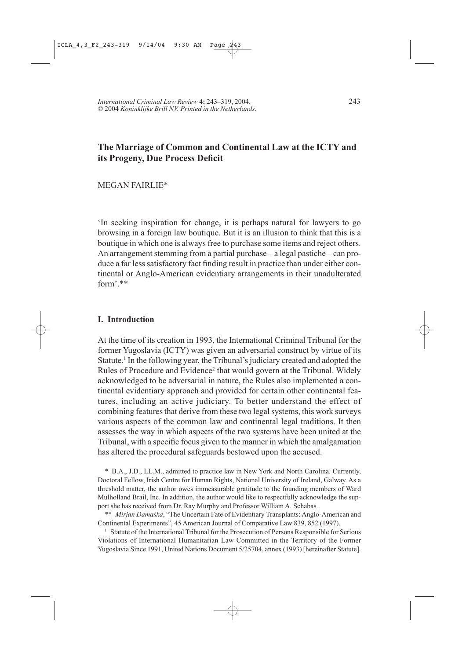# The Marriage of Common and Continental Law at the ICTY and its Progeny, Due Process Deficit

**MEGAN FAIRLIE\*** 

In seeking inspiration for change, it is perhaps natural for lawyers to go browsing in a foreign law boutique. But it is an illusion to think that this is a boutique in which one is always free to purchase some items and reject others. An arrangement stemming from a partial purchase – a legal pastiche – can produce a far less satisfactory fact finding result in practice than under either continental or Anglo-American evidentiary arrangements in their unadulterated  $form$ <sup>\*\*</sup>

### **I.** Introduction

At the time of its creation in 1993, the International Criminal Tribunal for the former Yugoslavia (ICTY) was given an adversarial construct by virtue of its Statute.<sup>1</sup> In the following year, the Tribunal's judiciary created and adopted the Rules of Procedure and Evidence<sup>2</sup> that would govern at the Tribunal. Widely acknowledged to be adversarial in nature, the Rules also implemented a continental evidentiary approach and provided for certain other continental features, including an active judiciary. To better understand the effect of combining features that derive from these two legal systems, this work surveys various aspects of the common law and continental legal traditions. It then assesses the way in which aspects of the two systems have been united at the Tribunal, with a specific focus given to the manner in which the amalgamation has altered the procedural safeguards bestowed upon the accused.

\* B.A., J.D., LL.M., admitted to practice law in New York and North Carolina. Currently, Doctoral Fellow, Irish Centre for Human Rights, National University of Ireland, Galway. As a threshold matter, the author owes immeasurable gratitude to the founding members of Ward Mulholland Brail, Inc. In addition, the author would like to respectfully acknowledge the support she has received from Dr. Ray Murphy and Professor William A. Schabas.

\*\* Mirjan Damaška, "The Uncertain Fate of Evidentiary Transplants: Anglo-American and Continental Experiments", 45 American Journal of Comparative Law 839, 852 (1997).

<sup>1</sup> Statute of the International Tribunal for the Prosecution of Persons Responsible for Serious Violations of International Humanitarian Law Committed in the Territory of the Former Yugoslavia Since 1991, United Nations Document 5/25704, annex (1993) [hereinafter Statute].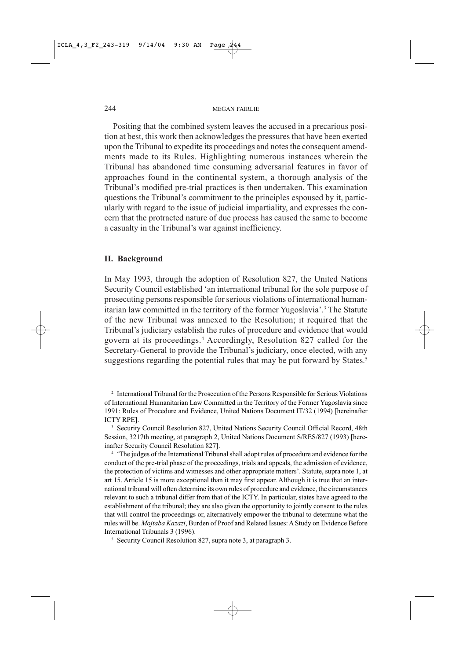Positing that the combined system leaves the accused in a precarious position at best, this work then acknowledges the pressures that have been exerted upon the Tribunal to expedite its proceedings and notes the consequent amendments made to its Rules. Highlighting numerous instances wherein the Tribunal has abandoned time consuming adversarial features in favor of approaches found in the continental system, a thorough analysis of the Tribunal's modified pre-trial practices is then undertaken. This examination questions the Tribunal's commitment to the principles espoused by it, particularly with regard to the issue of judicial impartiality, and expresses the concern that the protracted nature of due process has caused the same to become a casualty in the Tribunal's war against inefficiency.

#### **II.** Background

In May 1993, through the adoption of Resolution 827, the United Nations Security Council established 'an international tribunal for the sole purpose of prosecuting persons responsible for serious violations of international humanitarian law committed in the territory of the former Yugoslavia'.<sup>3</sup> The Statute of the new Tribunal was annexed to the Resolution; it required that the Tribunal's judiciary establish the rules of procedure and evidence that would govern at its proceedings.<sup>4</sup> Accordingly, Resolution 827 called for the Secretary-General to provide the Tribunal's judiciary, once elected, with any suggestions regarding the potential rules that may be put forward by States.<sup>5</sup>

<sup>2</sup> International Tribunal for the Prosecution of the Persons Responsible for Serious Violations of International Humanitarian Law Committed in the Territory of the Former Yugoslavia since 1991: Rules of Procedure and Evidence, United Nations Document IT/32 (1994) [hereinafter ICTY RPE].

<sup>3</sup> Security Council Resolution 827, United Nations Security Council Official Record, 48th Session, 3217th meeting, at paragraph 2, United Nations Document S/RES/827 (1993) [hereinafter Security Council Resolution 827].

<sup>4</sup> 'The judges of the International Tribunal shall adopt rules of procedure and evidence for the conduct of the pre-trial phase of the proceedings, trials and appeals, the admission of evidence, the protection of victims and witnesses and other appropriate matters'. Statute, supra note 1, at art 15. Article 15 is more exceptional than it may first appear. Although it is true that an international tribunal will often determine its own rules of procedure and evidence, the circumstances relevant to such a tribunal differ from that of the ICTY. In particular, states have agreed to the establishment of the tribunal; they are also given the opportunity to jointly consent to the rules that will control the proceedings or, alternatively empower the tribunal to determine what the rules will be. Mojtaba Kazazi, Burden of Proof and Related Issues: A Study on Evidence Before International Tribunals 3 (1996).

<sup>5</sup> Security Council Resolution 827, supra note 3, at paragraph 3.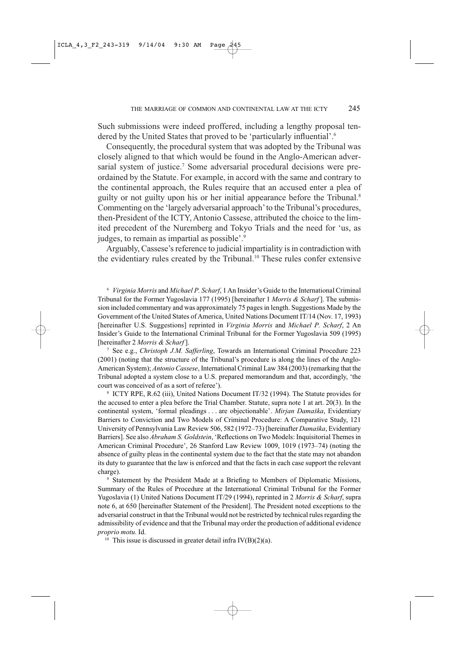Such submissions were indeed proffered, including a lengthy proposal tendered by the United States that proved to be 'particularly influential'.<sup>6</sup>

Consequently, the procedural system that was adopted by the Tribunal was closely aligned to that which would be found in the Anglo-American adversarial system of justice.<sup>7</sup> Some adversarial procedural decisions were preordained by the Statute. For example, in accord with the same and contrary to the continental approach, the Rules require that an accused enter a plea of guilty or not guilty upon his or her initial appearance before the Tribunal.<sup>8</sup> Commenting on the 'largely adversarial approach' to the Tribunal's procedures, then-President of the ICTY, Antonio Cassese, attributed the choice to the limited precedent of the Nuremberg and Tokyo Trials and the need for 'us, as judges, to remain as impartial as possible'.<sup>9</sup>

Arguably, Cassese's reference to judicial impartiality is in contradiction with the evidentiary rules created by the Tribunal.<sup>10</sup> These rules confer extensive

<sup>6</sup> Virginia Morris and Michael P. Scharf, 1 An Insider's Guide to the International Criminal Tribunal for the Former Yugoslavia 177 (1995) [hereinafter 1 Morris & Scharf]. The submission included commentary and was approximately 75 pages in length. Suggestions Made by the Government of the United States of America, United Nations Document IT/14 (Nov. 17, 1993) [hereinafter U.S. Suggestions] reprinted in Virginia Morris and Michael P. Scharf, 2 An Insider's Guide to the International Criminal Tribunal for the Former Yugoslavia 509 (1995) [hereinafter 2 Morris & Scharf].

<sup>7</sup> See e.g., Christoph J.M. Safferling, Towards an International Criminal Procedure 223 (2001) (noting that the structure of the Tribunal's procedure is along the lines of the Anglo-American System); Antonio Cassese, International Criminal Law 384 (2003) (remarking that the Tribunal adopted a system close to a U.S. prepared memorandum and that, accordingly, 'the court was conceived of as a sort of referee').

<sup>8</sup> ICTY RPE, R.62 (iii), United Nations Document IT/32 (1994). The Statute provides for the accused to enter a plea before the Trial Chamber. Statute, supra note 1 at art. 20(3). In the continental system, 'formal pleadings . . . are objectionable'. Mirjan Damaška, Evidentiary Barriers to Conviction and Two Models of Criminal Procedure: A Comparative Study, 121 University of Pennsylvania Law Review 506, 582 (1972-73) [hereinafter Damaška, Evidentiary Barriers]. See also Abraham S. Goldstein, 'Reflections on Two Models: Inquisitorial Themes in American Criminal Procedure', 26 Stanford Law Review 1009, 1019 (1973–74) (noting the absence of guilty pleas in the continental system due to the fact that the state may not abandon its duty to guarantee that the law is enforced and that the facts in each case support the relevant charge).

<sup>9</sup> Statement by the President Made at a Briefing to Members of Diplomatic Missions, Summary of the Rules of Procedure at the International Criminal Tribunal for the Former Yugoslavia (1) United Nations Document IT/29 (1994), reprinted in 2 Morris & Scharf, supra note 6, at 650 [hereinafter Statement of the President]. The President noted exceptions to the adversarial construct in that the Tribunal would not be restricted by technical rules regarding the admissibility of evidence and that the Tribunal may order the production of additional evidence proprio motu. Id.

<sup>10</sup> This issue is discussed in greater detail infra  $IV(B)(2)(a)$ .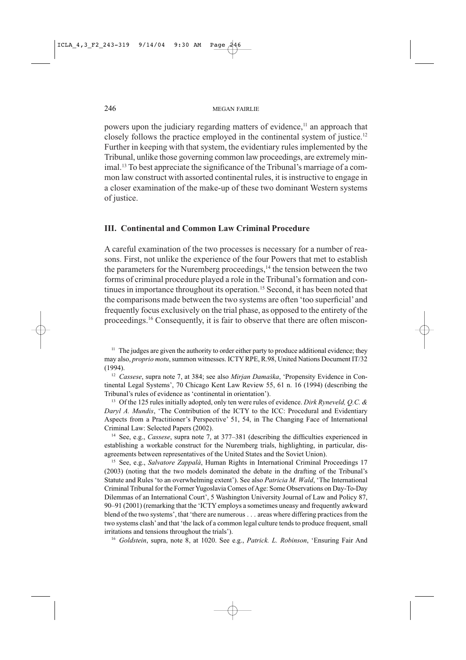powers upon the judiciary regarding matters of evidence,<sup>11</sup> an approach that closely follows the practice employed in the continental system of justice.<sup>12</sup> Further in keeping with that system, the evidentiary rules implemented by the Tribunal, unlike those governing common law proceedings, are extremely minimal.<sup>13</sup> To best appreciate the significance of the Tribunal's marriage of a common law construct with assorted continental rules, it is instructive to engage in a closer examination of the make-up of these two dominant Western systems of justice.

## III. Continental and Common Law Criminal Procedure

A careful examination of the two processes is necessary for a number of reasons. First, not unlike the experience of the four Powers that met to establish the parameters for the Nuremberg proceedings,<sup>14</sup> the tension between the two forms of criminal procedure played a role in the Tribunal's formation and continues in importance throughout its operation.<sup>15</sup> Second, it has been noted that the comparisons made between the two systems are often 'too superficial' and frequently focus exclusively on the trial phase, as opposed to the entirety of the proceedings.<sup>16</sup> Consequently, it is fair to observe that there are often miscon-

<sup>11</sup> The judges are given the authority to order either party to produce additional evidence; they may also, proprio motu, summon witnesses. ICTY RPE, R.98, United Nations Document IT/32  $(1994).$ 

<sup>12</sup> Cassese, supra note 7, at 384; see also Mirjan Damaška, 'Propensity Evidence in Continental Legal Systems', 70 Chicago Kent Law Review 55, 61 n. 16 (1994) (describing the Tribunal's rules of evidence as 'continental in orientation').

<sup>13</sup> Of the 125 rules initially adopted, only ten were rules of evidence. Dirk Ryneveld, Q.C. & Daryl A. Mundis, 'The Contribution of the ICTY to the ICC: Procedural and Evidentiary Aspects from a Practitioner's Perspective' 51, 54, in The Changing Face of International Criminal Law: Selected Papers (2002).

<sup>14</sup> See, e.g., *Cassese*, supra note 7, at 377–381 (describing the difficulties experienced in establishing a workable construct for the Nuremberg trials, highlighting, in particular, disagreements between representatives of the United States and the Soviet Union).

<sup>15</sup> See, e.g., Salvatore Zappalà, Human Rights in International Criminal Proceedings 17 (2003) (noting that the two models dominated the debate in the drafting of the Tribunal's Statute and Rules 'to an overwhelming extent'). See also Patricia M. Wald, 'The International Criminal Tribunal for the Former Yugoslavia Comes of Age: Some Observations on Day-To-Day Dilemmas of an International Court', 5 Washington University Journal of Law and Policy 87, 90-91 (2001) (remarking that the 'ICTY employs a sometimes uneasy and frequently awkward blend of the two systems', that 'there are numerous . . . areas where differing practices from the two systems clash' and that 'the lack of a common legal culture tends to produce frequent, small irritations and tensions throughout the trials').

<sup>16</sup> Goldstein, supra, note 8, at 1020. See e.g., Patrick. L. Robinson, 'Ensuring Fair And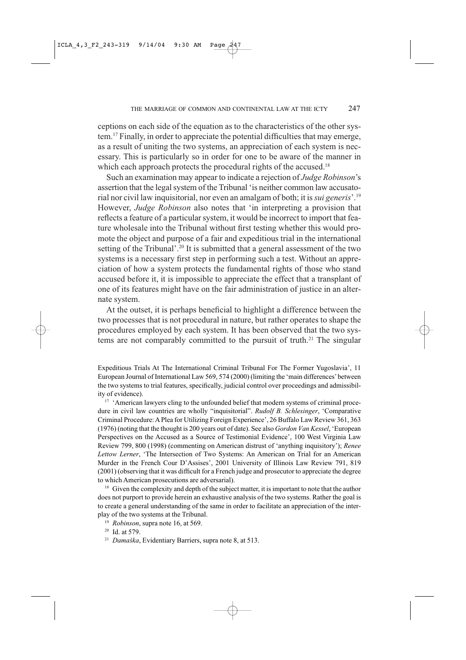ceptions on each side of the equation as to the characteristics of the other system.<sup>17</sup> Finally, in order to appreciate the potential difficulties that may emerge, as a result of uniting the two systems, an appreciation of each system is necessary. This is particularly so in order for one to be aware of the manner in which each approach protects the procedural rights of the accused.<sup>18</sup>

Such an examination may appear to indicate a rejection of *Judge Robinson's* assertion that the legal system of the Tribunal 'is neither common law accusatorial nor civil law inquisitorial, nor even an amalgam of both; it is *sui generis*'.<sup>19</sup> However, Judge Robinson also notes that 'in interpreting a provision that reflects a feature of a particular system, it would be incorrect to import that feature wholesale into the Tribunal without first testing whether this would promote the object and purpose of a fair and expeditious trial in the international setting of the Tribunal'.<sup>20</sup> It is submitted that a general assessment of the two systems is a necessary first step in performing such a test. Without an appreciation of how a system protects the fundamental rights of those who stand accused before it, it is impossible to appreciate the effect that a transplant of one of its features might have on the fair administration of justice in an alternate system.

At the outset, it is perhaps beneficial to highlight a difference between the two processes that is not procedural in nature, but rather operates to shape the procedures employed by each system. It has been observed that the two systems are not comparably committed to the pursuit of truth.<sup>21</sup> The singular

Expeditious Trials At The International Criminal Tribunal For The Former Yugoslavia', 11 European Journal of International Law 569, 574 (2000) (limiting the 'main differences' between the two systems to trial features, specifically, judicial control over proceedings and admissibility of evidence).

<sup>17</sup> 'American lawyers cling to the unfounded belief that modern systems of criminal procedure in civil law countries are wholly "inquisitorial". Rudolf B. Schlesinger, 'Comparative Criminal Procedure: A Plea for Utilizing Foreign Experience', 26 Buffalo Law Review 361, 363 (1976) (noting that the thought is 200 years out of date). See also Gordon Van Kessel, 'European Perspectives on the Accused as a Source of Testimonial Evidence', 100 West Virginia Law Review 799, 800 (1998) (commenting on American distrust of 'anything inquisitory'); Renee Lettow Lerner, 'The Intersection of Two Systems: An American on Trial for an American Murder in the French Cour D'Assises', 2001 University of Illinois Law Review 791, 819 (2001) (observing that it was difficult for a French judge and prosecutor to appreciate the degree to which American prosecutions are adversarial).

<sup>18</sup> Given the complexity and depth of the subject matter, it is important to note that the author does not purport to provide herein an exhaustive analysis of the two systems. Rather the goal is to create a general understanding of the same in order to facilitate an appreciation of the interplay of the two systems at the Tribunal.

- <sup>19</sup> Robinson, supra note 16, at 569.
- $20$  Id. at 579.
- <sup>21</sup> Damaška, Evidentiary Barriers, supra note 8, at 513.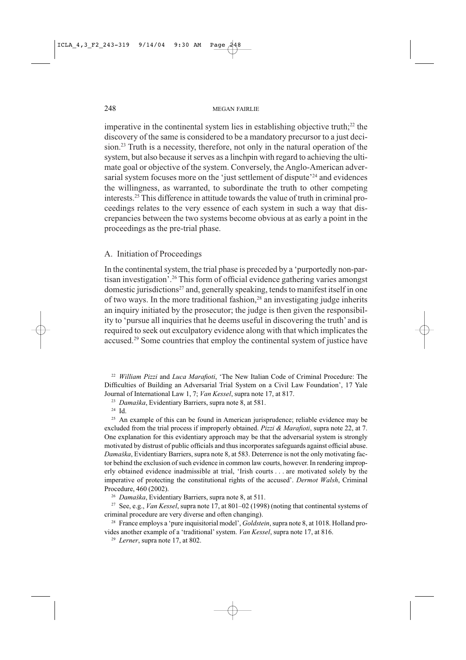imperative in the continental system lies in establishing objective truth;<sup>22</sup> the discovery of the same is considered to be a mandatory precursor to a just decision.<sup>23</sup> Truth is a necessity, therefore, not only in the natural operation of the system, but also because it serves as a linchpin with regard to achieving the ultimate goal or objective of the system. Conversely, the Anglo-American adversarial system focuses more on the 'just settlement of dispute'<sup>24</sup> and evidences the willingness, as warranted, to subordinate the truth to other competing interests.<sup>25</sup> This difference in attitude towards the value of truth in criminal proceedings relates to the very essence of each system in such a way that discrepancies between the two systems become obvious at as early a point in the proceedings as the pre-trial phase.

A. Initiation of Proceedings

In the continental system, the trial phase is preceded by a 'purportedly non-partisan investigation'.<sup>26</sup> This form of official evidence gathering varies amongst domestic jurisdictions<sup>27</sup> and, generally speaking, tends to manifest itself in one of two ways. In the more traditional fashion,<sup>28</sup> an investigating judge inherits an inquiry initiated by the prosecutor; the judge is then given the responsibility to 'pursue all inquiries that he deems useful in discovering the truth' and is required to seek out exculpatory evidence along with that which implicates the accused.<sup>29</sup> Some countries that employ the continental system of justice have

<sup>22</sup> William Pizzi and Luca Marafioti, 'The New Italian Code of Criminal Procedure: The Difficulties of Building an Adversarial Trial System on a Civil Law Foundation', 17 Yale Journal of International Law 1, 7; Van Kessel, supra note 17, at 817.

<sup>23</sup> Damaška, Evidentiary Barriers, supra note 8, at 581.

 $24$  Id.

<sup>25</sup> An example of this can be found in American jurisprudence; reliable evidence may be excluded from the trial process if improperly obtained. Pizzi & Marafioti, supra note 22, at 7. One explanation for this evidentiary approach may be that the adversarial system is strongly motivated by distrust of public officials and thus incorporates safeguards against official abuse. Damaška, Evidentiary Barriers, supra note 8, at 583. Deterrence is not the only motivating factor behind the exclusion of such evidence in common law courts, however. In rendering improperly obtained evidence inadmissible at trial, 'Irish courts . . . are motivated solely by the imperative of protecting the constitutional rights of the accused'. Dermot Walsh, Criminal Procedure, 460 (2002).

<sup>26</sup> Damaška, Evidentiary Barriers, supra note 8, at 511.

<sup>27</sup> See, e.g., *Van Kessel*, supra note 17, at 801–02 (1998) (noting that continental systems of criminal procedure are very diverse and often changing).

<sup>28</sup> France employs a 'pure inquisitorial model', *Goldstein*, supra note 8, at 1018. Holland provides another example of a 'traditional' system. Van Kessel, supra note 17, at 816.

<sup>29</sup> Lerner, supra note 17, at 802.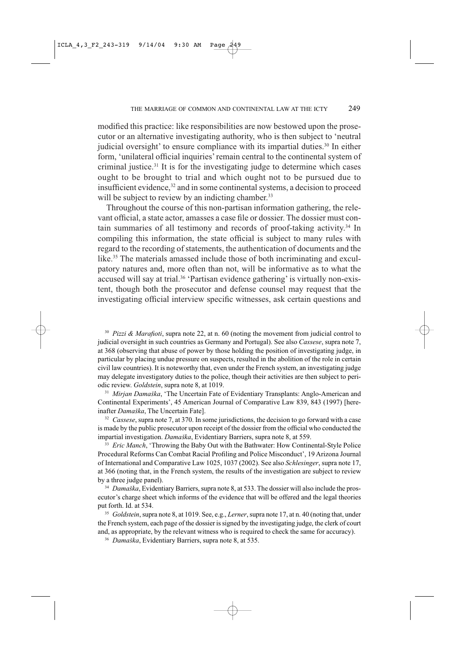modified this practice: like responsibilities are now bestowed upon the prosecutor or an alternative investigating authority, who is then subject to 'neutral judicial oversight' to ensure compliance with its impartial duties.<sup>30</sup> In either form, 'unilateral official inquiries' remain central to the continental system of criminal justice.<sup>31</sup> It is for the investigating judge to determine which cases ought to be brought to trial and which ought not to be pursued due to insufficient evidence,<sup>32</sup> and in some continental systems, a decision to proceed will be subject to review by an indicting chamber.<sup>33</sup>

Throughout the course of this non-partisan information gathering, the relevant official, a state actor, amasses a case file or dossier. The dossier must contain summaries of all testimony and records of proof-taking activity.<sup>34</sup> In compiling this information, the state official is subject to many rules with regard to the recording of statements, the authentication of documents and the like.<sup>35</sup> The materials amassed include those of both incriminating and exculpatory natures and, more often than not, will be informative as to what the accused will say at trial.<sup>36</sup> 'Partisan evidence gathering' is virtually non-existent, though both the prosecutor and defense counsel may request that the investigating official interview specific witnesses, ask certain questions and

<sup>30</sup> Pizzi & Marafioti, supra note 22, at n. 60 (noting the movement from judicial control to judicial oversight in such countries as Germany and Portugal). See also Cassese, supra note 7, at 368 (observing that abuse of power by those holding the position of investigating judge, in particular by placing undue pressure on suspects, resulted in the abolition of the role in certain civil law countries). It is noteworthy that, even under the French system, an investigating judge may delegate investigatory duties to the police, though their activities are then subject to periodic review. Goldstein, supra note 8, at 1019.

<sup>31</sup> Mirjan Damaška, 'The Uncertain Fate of Evidentiary Transplants: Anglo-American and Continental Experiments', 45 American Journal of Comparative Law 839, 843 (1997) [hereinafter Damaška, The Uncertain Fate].

 $32$  Cassese, supra note 7, at 370. In some jurisdictions, the decision to go forward with a case is made by the public prosecutor upon receipt of the dossier from the official who conducted the impartial investigation. Damaška, Evidentiary Barriers, supra note 8, at 559.

<sup>33</sup> Eric Manch, 'Throwing the Baby Out with the Bathwater: How Continental-Style Police Procedural Reforms Can Combat Racial Profiling and Police Misconduct', 19 Arizona Journal of International and Comparative Law 1025, 1037 (2002). See also Schlesinger, supra note 17, at 366 (noting that, in the French system, the results of the investigation are subject to review by a three judge panel).

<sup>34</sup> Damaška, Evidentiary Barriers, supra note 8, at 533. The dossier will also include the prosecutor's charge sheet which informs of the evidence that will be offered and the legal theories put forth. Id. at 534.

<sup>35</sup> Goldstein, supra note 8, at 1019. See, e.g., Lerner, supra note 17, at n. 40 (noting that, under the French system, each page of the dossier is signed by the investigating judge, the clerk of court and, as appropriate, by the relevant witness who is required to check the same for accuracy).

<sup>36</sup> Damaška, Evidentiary Barriers, supra note 8, at 535.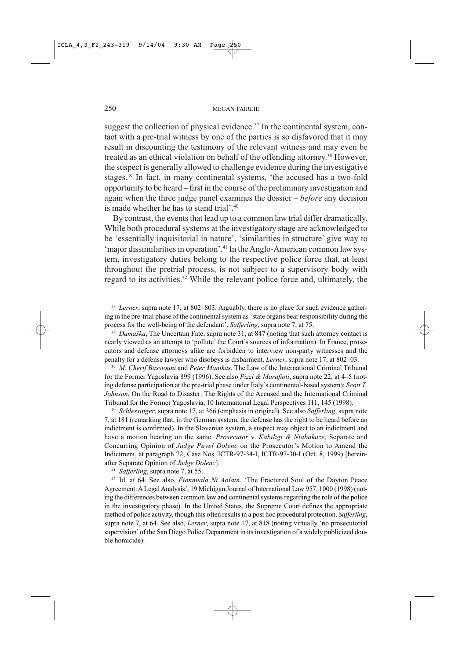suggest the collection of physical evidence.<sup>37</sup> In the continental system, contact with a pre-trial witness by one of the parties is so disfavored that it may result in discounting the testimony of the relevant witness and may even be treated as an ethical violation on behalf of the offending attorney.<sup>38</sup> However, the suspect is generally allowed to challenge evidence during the investigative stages.<sup>39</sup> In fact, in many continental systems, 'the accused has a two-fold opportunity to be heard – first in the course of the preliminary investigation and again when the three judge panel examines the dossier  $-$  *before* any decision is made whether he has to stand trial'.<sup>40</sup>

By contrast, the events that lead up to a common law trial differ dramatically. While both procedural systems at the investigatory stage are acknowledged to be 'essentially inquisitorial in nature', 'similarities in structure' give way to 'major dissimilarities in operation'.<sup>41</sup> In the Anglo-American common law system, investigatory duties belong to the respective police force that, at least throughout the pretrial process, is not subject to a supervisory body with regard to its activities.<sup>42</sup> While the relevant police force and, ultimately, the

<sup>37</sup> Lerner, supra note 17, at 802–803. Arguably, there is no place for such evidence gathering in the pre-trial phase of the continental system as 'state organs bear responsibility during the process for the well-being of the defendant'. Safferling, supra note 7, at 75.

<sup>38</sup> Damaška, The Uncertain Fate, supra note 31, at 847 (noting that such attorney contact is nearly viewed as an attempt to 'pollute' the Court's sources of information). In France, prosecutors and defense attorneys alike are forbidden to interview non-party witnesses and the penalty for a defense lawyer who disobeys is disbarment. Lerner, supra note 17, at 802-03.

<sup>39</sup> M. Cherif Bassiouni and Peter Manikas, The Law of the International Criminal Tribunal for the Former Yugoslavia 899 (1996). See also Pizzi & Marafioti, supra note 22, at 4–5 (noting defense participation at the pre-trial phase under Italy's continental-based system); Scott T. Johnson, On the Road to Disaster: The Rights of the Accused and the International Criminal Tribunal for the Former Yugoslavia, 10 International Legal Perspectives 111, 145 (1998).

<sup>40</sup> Schlessinger, supra note 17, at 366 (emphasis in original). See also Safferling, supra note 7, at 181 (remarking that, in the German system, the defense has the right to be heard before an indictment is confirmed). In the Slovenian system, a suspect may object to an indictment and have a motion hearing on the same. Prosecutor v. Kabiligi & Ntabakuze, Separate and Concurring Opinion of Judge Pavel Dolenc on the Prosecutor's Motion to Amend the Indictment, at paragraph 72, Case Nos. ICTR-97-34-I, ICTR-97-30-I (Oct. 8, 1999) [hereinafter Separate Opinion of Judge Dolenc].

<sup>41</sup> Safferling, supra note 7, at 55.

<sup>42</sup> Id. at 64. See also, *Fionnuala Ni Aolain*, 'The Fractured Soul of the Dayton Peace Agreement: A Legal Analysis', 19 Michigan Journal of International Law 957, 1000 (1998) (noting the differences between common law and continental systems regarding the role of the police in the investigatory phase). In the United States, the Supreme Court defines the appropriate method of police activity, though this often results in a post hoc procedural protection. Safferling, supra note 7, at 64. See also, Lerner, supra note 17, at 818 (noting virtually 'no prosecutorial supervision' of the San Diego Police Department in its investigation of a widely publicized double homicide).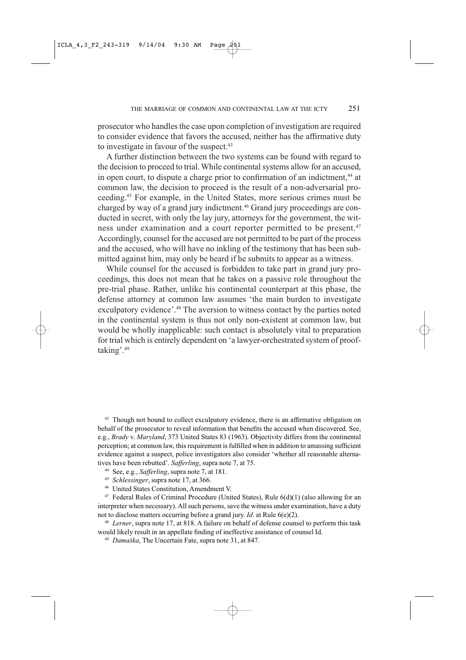prosecutor who handles the case upon completion of investigation are required to consider evidence that favors the accused, neither has the affirmative duty to investigate in favour of the suspect.<sup>43</sup>

A further distinction between the two systems can be found with regard to the decision to proceed to trial. While continental systems allow for an accused, in open court, to dispute a charge prior to confirmation of an indictment,<sup>44</sup> at common law, the decision to proceed is the result of a non-adversarial proceeding.<sup>45</sup> For example, in the United States, more serious crimes must be charged by way of a grand jury indictment.<sup>46</sup> Grand jury proceedings are conducted in secret, with only the lay jury, attorneys for the government, the witness under examination and a court reporter permitted to be present.<sup>47</sup> Accordingly, counsel for the accused are not permitted to be part of the process and the accused, who will have no inkling of the testimony that has been submitted against him, may only be heard if he submits to appear as a witness.

While counsel for the accused is forbidden to take part in grand jury proceedings, this does not mean that he takes on a passive role throughout the pre-trial phase. Rather, unlike his continental counterpart at this phase, the defense attorney at common law assumes 'the main burden to investigate exculpatory evidence'.<sup>48</sup> The aversion to witness contact by the parties noted in the continental system is thus not only non-existent at common law, but would be wholly inapplicable: such contact is absolutely vital to preparation for trial which is entirely dependent on 'a lawyer-orchestrated system of prooftaking'.<sup>49</sup>

<sup>43</sup> Though not bound to collect exculpatory evidence, there is an affirmative obligation on behalf of the prosecutor to reveal information that benefits the accused when discovered. See, e.g., Brady v. Maryland, 373 United States 83 (1963). Objectivity differs from the continental perception; at common law, this requirement is fulfilled when in addition to amassing sufficient evidence against a suspect, police investigators also consider 'whether all reasonable alternatives have been rebutted'. Safferling, supra note 7, at 75.

- <sup>44</sup> See, e.g., *Safferling*, supra note 7, at 181.
- <sup>45</sup> Schlessinger, supra note 17, at 366.
- <sup>46</sup> United States Constitution, Amendment V.

<sup>47</sup> Federal Rules of Criminal Procedure (United States), Rule 6(d)(1) (also allowing for an interpreter when necessary). All such persons, save the witness under examination, have a duty not to disclose matters occurring before a grand jury. Id. at Rule  $6(e)(2)$ .

<sup>48</sup> Lerner, supra note 17, at 818. A failure on behalf of defense counsel to perform this task would likely result in an appellate finding of ineffective assistance of counsel Id.

<sup>49</sup> Damaška, The Uncertain Fate, supra note 31, at 847.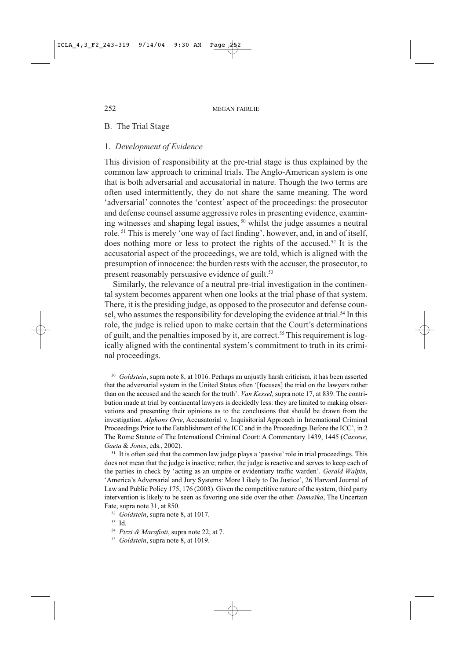### B. The Trial Stage

## 1. Development of Evidence

This division of responsibility at the pre-trial stage is thus explained by the common law approach to criminal trials. The Anglo-American system is one that is both adversarial and accusatorial in nature. Though the two terms are often used intermittently, they do not share the same meaning. The word 'adversarial' connotes the 'contest' aspect of the proceedings: the prosecutor and defense counsel assume aggressive roles in presenting evidence, examining witnesses and shaping legal issues, <sup>50</sup> whilst the judge assumes a neutral role.<sup>51</sup> This is merely 'one way of fact finding', however, and, in and of itself, does nothing more or less to protect the rights of the accused.<sup>52</sup> It is the accusatorial aspect of the proceedings, we are told, which is aligned with the presumption of innocence: the burden rests with the accuser, the prosecutor, to present reasonably persuasive evidence of guilt.<sup>53</sup>

Similarly, the relevance of a neutral pre-trial investigation in the continental system becomes apparent when one looks at the trial phase of that system. There, it is the presiding judge, as opposed to the prosecutor and defense counsel, who assumes the responsibility for developing the evidence at trial.<sup>54</sup> In this role, the judge is relied upon to make certain that the Court's determinations of guilt, and the penalties imposed by it, are correct.<sup>55</sup> This requirement is logically aligned with the continental system's commitment to truth in its criminal proceedings.

<sup>50</sup> Goldstein, supra note 8, at 1016. Perhaps an unjustly harsh criticism, it has been asserted that the adversarial system in the United States often '[focuses] the trial on the lawyers rather than on the accused and the search for the truth'. Van Kessel, supra note 17, at 839. The contribution made at trial by continental lawyers is decidedly less: they are limited to making observations and presenting their opinions as to the conclusions that should be drawn from the investigation. Alphons Orie, Accusatorial v. Inquisitorial Approach in International Criminal Proceedings Prior to the Establishment of the ICC and in the Proceedings Before the ICC', in 2 The Rome Statute of The International Criminal Court: A Commentary 1439, 1445 (Cassese, Gaeta & Jones, eds., 2002).

<sup>51</sup> It is often said that the common law judge plays a 'passive' role in trial proceedings. This does not mean that the judge is inactive; rather, the judge is reactive and serves to keep each of the parties in check by 'acting as an umpire or evidentiary traffic warden'. Gerald Walpin, 'America's Adversarial and Jury Systems: More Likely to Do Justice', 26 Harvard Journal of Law and Public Policy 175, 176 (2003). Given the competitive nature of the system, third party intervention is likely to be seen as favoring one side over the other. Damaška, The Uncertain Fate, supra note 31, at 850.

<sup>52</sup> Goldstein, supra note 8, at 1017.

<sup>&</sup>lt;sup>53</sup> Id.

<sup>&</sup>lt;sup>54</sup> Pizzi & Marafioti, supra note 22, at 7.

<sup>&</sup>lt;sup>55</sup> Goldstein, supra note 8, at 1019.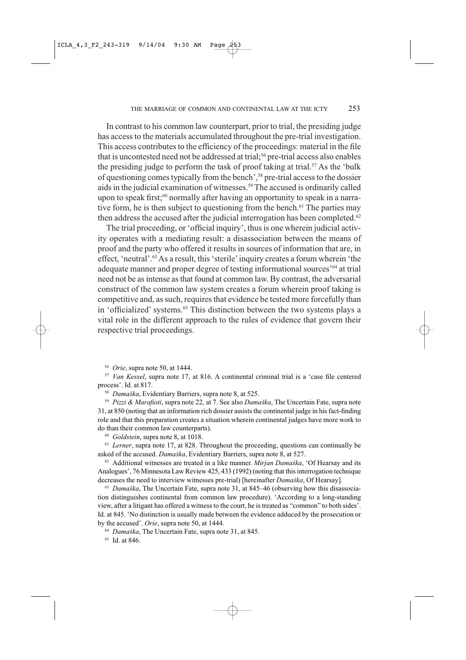In contrast to his common law counterpart, prior to trial, the presiding judge has access to the materials accumulated throughout the pre-trial investigation. This access contributes to the efficiency of the proceedings: material in the file that is uncontested need not be addressed at trial;<sup>56</sup> pre-trial access also enables the presiding judge to perform the task of proof taking at trial.<sup>57</sup> As the 'bulk of questioning comes typically from the bench',<sup>58</sup> pre-trial access to the dossier aids in the judicial examination of witnesses.<sup>59</sup> The accused is ordinarily called upon to speak first;<sup>60</sup> normally after having an opportunity to speak in a narrative form, he is then subject to questioning from the bench.<sup>61</sup> The parties may then address the accused after the judicial interrogation has been completed.<sup>62</sup>

The trial proceeding, or 'official inquiry', thus is one wherein judicial activity operates with a mediating result: a disassociation between the means of proof and the party who offered it results in sources of information that are, in effect, 'neutral'.<sup>63</sup> As a result, this 'sterile' inquiry creates a forum wherein 'the adequate manner and proper degree of testing informational sources<sup>'64</sup> at trial need not be as intense as that found at common law. By contrast, the adversarial construct of the common law system creates a forum wherein proof taking is competitive and, as such, requires that evidence be tested more forcefully than in 'officialized' systems.<sup>65</sup> This distinction between the two systems plays a vital role in the different approach to the rules of evidence that govern their respective trial proceedings.

<sup>56</sup> *Orie*, supra note 50, at 1444.

<sup>57</sup> Van Kessel, supra note 17, at 816. A continental criminal trial is a 'case file centered process'. Id. at 817.

<sup>58</sup> Damaška, Evidentiary Barriers, supra note 8, at 525.

<sup>59</sup> Pizzi & Marafioti, supra note 22, at 7. See also Damaška, The Uncertain Fate, supra note 31, at 850 (noting that an information rich dossier assists the continental judge in his fact-finding role and that this preparation creates a situation wherein continental judges have more work to do than their common law counterparts).

 $60$  Goldstein, supra note 8, at 1018.

 $61$  Lerner, supra note 17, at 828. Throughout the proceeding, questions can continually be asked of the accused. Damaška, Evidentiary Barriers, supra note 8, at 527.

 $62$  Additional witnesses are treated in a like manner. *Mirjan Damaška*, 'Of Hearsay and its Analogues', 76 Minnesota Law Review 425, 433 (1992) (noting that this interrogation technique decreases the need to interview witnesses pre-trial) [hereinafter Damaška, Of Hearsay].

63 Damaška, The Uncertain Fate, supra note 31, at 845-46 (observing how this disassociation distinguishes continental from common law procedure). 'According to a long-standing view, after a litigant has offered a witness to the court, he is treated as "common" to both sides'. Id. at 845. 'No distinction is usually made between the evidence adduced by the prosecution or by the accused'. Orie, supra note 50, at 1444.

<sup>64</sup> Damaška, The Uncertain Fate, supra note 31, at 845.

<sup>65</sup> Id. at 846.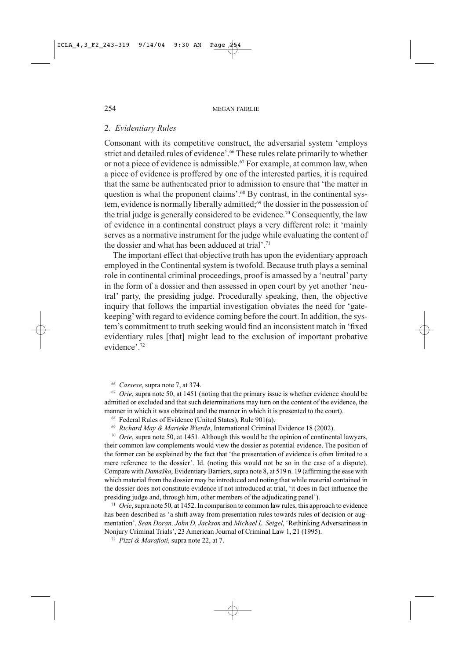### 2. Evidentiary Rules

Consonant with its competitive construct, the adversarial system 'employs strict and detailed rules of evidence'.<sup>66</sup> These rules relate primarily to whether or not a piece of evidence is admissible.<sup>67</sup> For example, at common law, when a piece of evidence is proffered by one of the interested parties, it is required that the same be authenticated prior to admission to ensure that 'the matter in question is what the proponent claims'.<sup>68</sup> By contrast, in the continental system, evidence is normally liberally admitted;<sup>69</sup> the dossier in the possession of the trial judge is generally considered to be evidence.<sup>70</sup> Consequently, the law of evidence in a continental construct plays a very different role: it 'mainly serves as a normative instrument for the judge while evaluating the content of the dossier and what has been adduced at trial'.<sup>71</sup>

The important effect that objective truth has upon the evidentiary approach employed in the Continental system is twofold. Because truth plays a seminal role in continental criminal proceedings, proof is amassed by a 'neutral' party in the form of a dossier and then assessed in open court by yet another 'neutral' party, the presiding judge. Procedurally speaking, then, the objective inquiry that follows the impartial investigation obviates the need for 'gatekeeping' with regard to evidence coming before the court. In addition, the system's commitment to truth seeking would find an inconsistent match in 'fixed evidentiary rules [that] might lead to the exclusion of important probative evidence'.<sup>72</sup>

<sup>66</sup> Cassese, supra note 7, at 374.

 $\frac{67}{2}$  Orie, supra note 50, at 1451 (noting that the primary issue is whether evidence should be admitted or excluded and that such determinations may turn on the content of the evidence, the manner in which it was obtained and the manner in which it is presented to the court).

<sup>68</sup> Federal Rules of Evidence (United States), Rule 901(a).

<sup>69</sup> Richard May & Marieke Wierda, International Criminal Evidence 18 (2002).

 $\frac{70}{10}$  Orie, supra note 50, at 1451. Although this would be the opinion of continental lawyers, their common law complements would view the dossier as potential evidence. The position of the former can be explained by the fact that 'the presentation of evidence is often limited to a mere reference to the dossier'. Id. (noting this would not be so in the case of a dispute). Compare with *Damaška*, Evidentiary Barriers, supra note 8, at 519 n. 19 (affirming the ease with which material from the dossier may be introduced and noting that while material contained in the dossier does not constitute evidence if not introduced at trial, 'it does in fact influence the presiding judge and, through him, other members of the adjudicating panel').

 $71$  Orie, supra note 50, at 1452. In comparison to common law rules, this approach to evidence has been described as 'a shift away from presentation rules towards rules of decision or augmentation'. Sean Doran, John D. Jackson and Michael L. Seigel, 'Rethinking Adversariness in Nonjury Criminal Trials', 23 American Journal of Criminal Law 1, 21 (1995).

<sup>72</sup> Pizzi & Marafioti, supra note 22, at 7.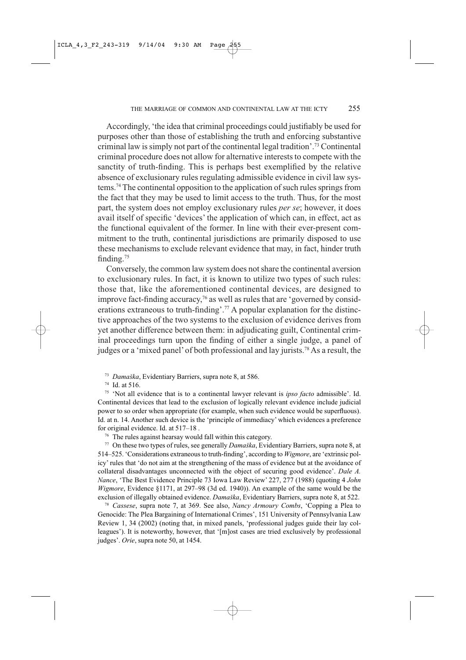Accordingly, 'the idea that criminal proceedings could justifiably be used for purposes other than those of establishing the truth and enforcing substantive criminal law is simply not part of the continental legal tradition'.<sup>73</sup> Continental criminal procedure does not allow for alternative interests to compete with the sanctity of truth-finding. This is perhaps best exemplified by the relative absence of exclusionary rules regulating admissible evidence in civil law systems.<sup>74</sup> The continental opposition to the application of such rules springs from the fact that they may be used to limit access to the truth. Thus, for the most part, the system does not employ exclusionary rules per se; however, it does avail itself of specific 'devices' the application of which can, in effect, act as the functional equivalent of the former. In line with their ever-present commitment to the truth, continental jurisdictions are primarily disposed to use these mechanisms to exclude relevant evidence that may, in fact, hinder truth finding. $75$ 

Conversely, the common law system does not share the continental aversion to exclusionary rules. In fact, it is known to utilize two types of such rules: those that, like the aforementioned continental devices, are designed to improve fact-finding accuracy,<sup>76</sup> as well as rules that are 'governed by considerations extraneous to truth-finding'.<sup>77</sup> A popular explanation for the distinctive approaches of the two systems to the exclusion of evidence derives from yet another difference between them: in adjudicating guilt, Continental criminal proceedings turn upon the finding of either a single judge, a panel of judges or a 'mixed panel' of both professional and lay jurists.<sup>78</sup> As a result, the

<sup>73</sup> Damaška, Evidentiary Barriers, supra note 8, at 586.

74 Id. at 516.

<sup>75</sup> 'Not all evidence that is to a continental lawyer relevant is *ipso facto* admissible'. Id. Continental devices that lead to the exclusion of logically relevant evidence include judicial power to so order when appropriate (for example, when such evidence would be superfluous). Id. at n. 14. Another such device is the 'principle of immediacy' which evidences a preference for original evidence. Id. at 517-18.

<sup>76</sup> The rules against hearsay would fall within this category.

<sup>77</sup> On these two types of rules, see generally *Damaška*, Evidentiary Barriers, supra note 8, at 514-525. 'Considerations extraneous to truth-finding', according to Wigmore, are 'extrinsic policy' rules that 'do not aim at the strengthening of the mass of evidence but at the avoidance of collateral disadvantages unconnected with the object of securing good evidence'. Dale A. Nance, 'The Best Evidence Principle 73 Iowa Law Review' 227, 277 (1988) (quoting 4 John Wigmore, Evidence §1171, at 297-98 (3d ed. 1940)). An example of the same would be the exclusion of illegally obtained evidence. Damaška, Evidentiary Barriers, supra note 8, at 522.

<sup>78</sup> Cassese, supra note 7, at 369. See also, *Nancy Armoury Combs*, 'Copping a Plea to Genocide: The Plea Bargaining of International Crimes', 151 University of Pennsylvania Law Review 1, 34 (2002) (noting that, in mixed panels, 'professional judges guide their lay colleagues'). It is noteworthy, however, that '[m]ost cases are tried exclusively by professional judges'. Orie, supra note 50, at 1454.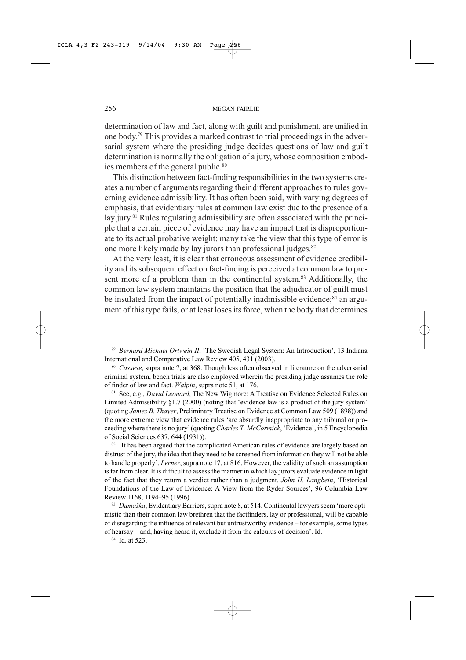determination of law and fact, along with guilt and punishment, are unified in one body.<sup>79</sup> This provides a marked contrast to trial proceedings in the adversarial system where the presiding judge decides questions of law and guilt determination is normally the obligation of a jury, whose composition embodies members of the general public.<sup>80</sup>

This distinction between fact-finding responsibilities in the two systems creates a number of arguments regarding their different approaches to rules governing evidence admissibility. It has often been said, with varying degrees of emphasis, that evidentiary rules at common law exist due to the presence of a lay jury.<sup>81</sup> Rules regulating admissibility are often associated with the principle that a certain piece of evidence may have an impact that is disproportionate to its actual probative weight; many take the view that this type of error is one more likely made by lay jurors than professional judges.<sup>82</sup>

At the very least, it is clear that erroneous assessment of evidence credibility and its subsequent effect on fact-finding is perceived at common law to present more of a problem than in the continental system.<sup>83</sup> Additionally, the common law system maintains the position that the adjudicator of guilt must be insulated from the impact of potentially inadmissible evidence;<sup>84</sup> an argument of this type fails, or at least loses its force, when the body that determines

<sup>79</sup> Bernard Michael Ortwein II, 'The Swedish Legal System: An Introduction', 13 Indiana International and Comparative Law Review 405, 431 (2003).

<sup>80</sup> Cassese, supra note 7, at 368. Though less often observed in literature on the adversarial criminal system, bench trials are also employed wherein the presiding judge assumes the role of finder of law and fact. *Walpin*, supra note 51, at 176.

<sup>81</sup> See, e.g., *David Leonard*, The New Wigmore: A Treatise on Evidence Selected Rules on Limited Admissibility §1.7 (2000) (noting that 'evidence law is a product of the jury system' (quoting James B. Thayer, Preliminary Treatise on Evidence at Common Law 509 (1898)) and the more extreme view that evidence rules 'are absurdly inappropriate to any tribunal or proceeding where there is no jury' (quoting Charles T. McCormick, 'Evidence', in 5 Encyclopedia of Social Sciences 637, 644 (1931)).

<sup>82</sup> 'It has been argued that the complicated American rules of evidence are largely based on distrust of the jury, the idea that they need to be screened from information they will not be able to handle properly'. Lerner, supra note 17, at 816. However, the validity of such an assumption is far from clear. It is difficult to assess the manner in which lay jurors evaluate evidence in light of the fact that they return a verdict rather than a judgment. John H. Langbein, 'Historical Foundations of the Law of Evidence: A View from the Ryder Sources', 96 Columbia Law Review 1168, 1194-95 (1996).

83 Damaška, Evidentiary Barriers, supra note 8, at 514. Continental lawyers seem 'more optimistic than their common law brethren that the factfinders, lay or professional, will be capable of disregarding the influence of relevant but untrustworthy evidence – for example, some types of hearsay – and, having heard it, exclude it from the calculus of decision'. Id.

<sup>84</sup> Id. at 523.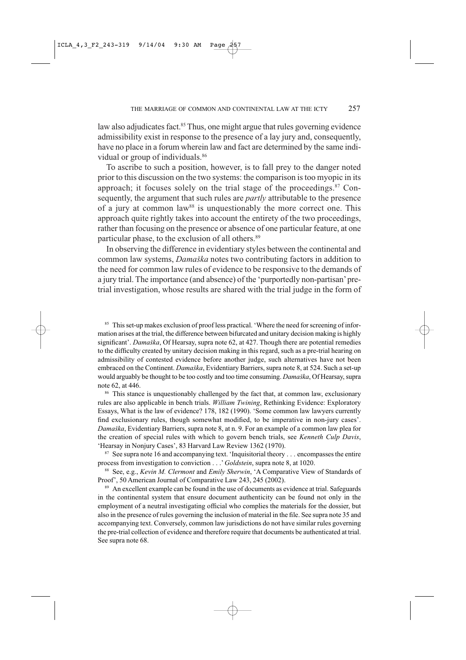law also adjudicates fact.<sup>85</sup> Thus, one might argue that rules governing evidence admissibility exist in response to the presence of a lay jury and, consequently, have no place in a forum wherein law and fact are determined by the same individual or group of individuals.<sup>86</sup>

To ascribe to such a position, however, is to fall prey to the danger noted prior to this discussion on the two systems: the comparison is too myopic in its approach; it focuses solely on the trial stage of the proceedings. $87$  Consequently, the argument that such rules are *partly* attributable to the presence of a jury at common law<sup>88</sup> is unquestionably the more correct one. This approach quite rightly takes into account the entirety of the two proceedings, rather than focusing on the presence or absence of one particular feature, at one particular phase, to the exclusion of all others.<sup>89</sup>

In observing the difference in evidentiary styles between the continental and common law systems, Damaška notes two contributing factors in addition to the need for common law rules of evidence to be responsive to the demands of a jury trial. The importance (and absence) of the 'purportedly non-partisan' pretrial investigation, whose results are shared with the trial judge in the form of

85 This set-up makes exclusion of proof less practical. 'Where the need for screening of information arises at the trial, the difference between bifurcated and unitary decision making is highly significant'. Damaška, Of Hearsay, supra note 62, at 427. Though there are potential remedies to the difficulty created by unitary decision making in this regard, such as a pre-trial hearing on admissibility of contested evidence before another judge, such alternatives have not been embraced on the Continent. Damaška, Evidentiary Barriers, supra note 8, at 524. Such a set-up would arguably be thought to be too costly and too time consuming. Damaška, Of Hearsay, supra note 62, at 446.

<sup>86</sup> This stance is unquestionably challenged by the fact that, at common law, exclusionary rules are also applicable in bench trials. William Twining, Rethinking Evidence: Exploratory Essays, What is the law of evidence? 178, 182 (1990). 'Some common law lawyers currently find exclusionary rules, though somewhat modified, to be imperative in non-jury cases'. Damaška, Evidentiary Barriers, supra note 8, at n. 9. For an example of a common law plea for the creation of special rules with which to govern bench trials, see Kenneth Culp Davis, 'Hearsay in Nonjury Cases', 83 Harvard Law Review 1362 (1970).

<sup>87</sup> See supra note 16 and accompanying text. 'Inquisitorial theory . . . encompasses the entire process from investigation to conviction . . . ' Goldstein, supra note 8, at 1020.

<sup>88</sup> See, e.g., Kevin M. Clermont and Emily Sherwin, 'A Comparative View of Standards of Proof', 50 American Journal of Comparative Law 243, 245 (2002).

<sup>89</sup> An excellent example can be found in the use of documents as evidence at trial. Safeguards in the continental system that ensure document authenticity can be found not only in the employment of a neutral investigating official who complies the materials for the dossier, but also in the presence of rules governing the inclusion of material in the file. See supra note 35 and accompanying text. Conversely, common law jurisdictions do not have similar rules governing the pre-trial collection of evidence and therefore require that documents be authenticated at trial. See supra note 68.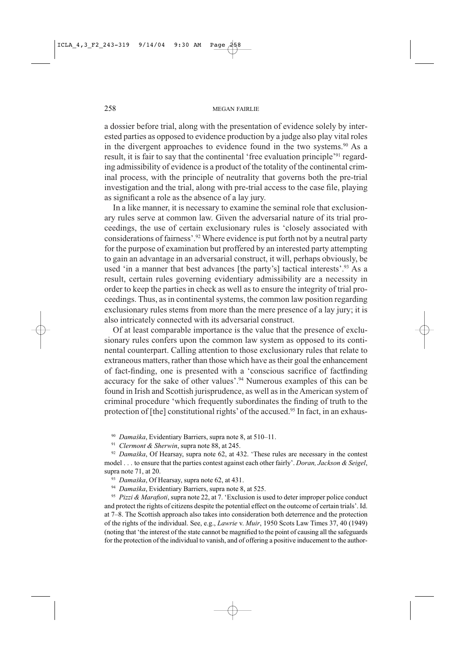a dossier before trial, along with the presentation of evidence solely by interested parties as opposed to evidence production by a judge also play vital roles in the divergent approaches to evidence found in the two systems.<sup>90</sup> As a result, it is fair to say that the continental 'free evaluation principle'<sup>91</sup> regarding admissibility of evidence is a product of the totality of the continental criminal process, with the principle of neutrality that governs both the pre-trial investigation and the trial, along with pre-trial access to the case file, playing as significant a role as the absence of a lay jury.

In a like manner, it is necessary to examine the seminal role that exclusionary rules serve at common law. Given the adversarial nature of its trial proceedings, the use of certain exclusionary rules is 'closely associated with considerations of fairness'.<sup>92</sup> Where evidence is put forth not by a neutral party for the purpose of examination but proffered by an interested party attempting to gain an advantage in an adversarial construct, it will, perhaps obviously, be used 'in a manner that best advances [the party's] tactical interests'.<sup>93</sup> As a result, certain rules governing evidentiary admissibility are a necessity in order to keep the parties in check as well as to ensure the integrity of trial proceedings. Thus, as in continental systems, the common law position regarding exclusionary rules stems from more than the mere presence of a lay jury; it is also intricately connected with its adversarial construct.

Of at least comparable importance is the value that the presence of exclusionary rules confers upon the common law system as opposed to its continental counterpart. Calling attention to those exclusionary rules that relate to extraneous matters, rather than those which have as their goal the enhancement of fact-finding, one is presented with a 'conscious sacrifice of factfinding accuracy for the sake of other values'.<sup>94</sup> Numerous examples of this can be found in Irish and Scottish jurisprudence, as well as in the American system of criminal procedure 'which frequently subordinates the finding of truth to the protection of [the] constitutional rights' of the accused.<sup>95</sup> In fact, in an exhaus-

<sup>90</sup> Damaška, Evidentiary Barriers, supra note 8, at 510-11.

<sup>91</sup> Clermont & Sherwin, supra note 88, at 245.

 $92$  Damaška, Of Hearsay, supra note 62, at 432. 'These rules are necessary in the contest model . . . to ensure that the parties contest against each other fairly'. Doran, Jackson & Seigel, supra note 71, at 20.

<sup>93</sup> Damaška, Of Hearsay, supra note 62, at 431.

<sup>94</sup> Damaška, Evidentiary Barriers, supra note 8, at 525.

<sup>95</sup> Pizzi & Marafioti, supra note 22, at 7. 'Exclusion is used to deter improper police conduct and protect the rights of citizens despite the potential effect on the outcome of certain trials'. Id. at 7–8. The Scottish approach also takes into consideration both deterrence and the protection of the rights of the individual. See, e.g., Lawrie v. Muir, 1950 Scots Law Times 37, 40 (1949) (noting that 'the interest of the state cannot be magnified to the point of causing all the safeguards for the protection of the individual to vanish, and of offering a positive inducement to the author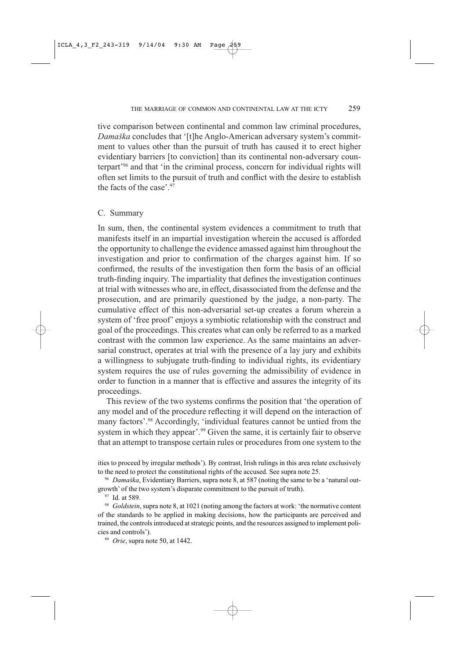tive comparison between continental and common law criminal procedures, Damaška concludes that '[t]he Anglo-American adversary system's commitment to values other than the pursuit of truth has caused it to erect higher evidentiary barriers [to conviction] than its continental non-adversary counterpart<sup>396</sup> and that 'in the criminal process, concern for individual rights will often set limits to the pursuit of truth and conflict with the desire to establish the facts of the case'.  $97$ 

#### C. Summary

In sum, then, the continental system evidences a commitment to truth that manifests itself in an impartial investigation wherein the accused is afforded the opportunity to challenge the evidence amassed against him throughout the investigation and prior to confirmation of the charges against him. If so confirmed, the results of the investigation then form the basis of an official truth-finding inquiry. The impartiality that defines the investigation continues at trial with witnesses who are, in effect, disassociated from the defense and the prosecution, and are primarily questioned by the judge, a non-party. The cumulative effect of this non-adversarial set-up creates a forum wherein a system of 'free proof' enjoys a symbiotic relationship with the construct and goal of the proceedings. This creates what can only be referred to as a marked contrast with the common law experience. As the same maintains an adversarial construct, operates at trial with the presence of a lay jury and exhibits a willingness to subjugate truth-finding to individual rights, its evidentiary system requires the use of rules governing the admissibility of evidence in order to function in a manner that is effective and assures the integrity of its proceedings.

This review of the two systems confirms the position that 'the operation of any model and of the procedure reflecting it will depend on the interaction of many factors'.<sup>98</sup> Accordingly, 'individual features cannot be untied from the system in which they appear'.<sup>99</sup> Given the same, it is certainly fair to observe that an attempt to transpose certain rules or procedures from one system to the

ities to proceed by irregular methods'). By contrast, Irish rulings in this area relate exclusively to the need to protect the constitutional rights of the accused. See supra note 25.

<sup>96</sup> Damaška, Evidentiary Barriers, supra note 8, at 587 (noting the same to be a 'natural outgrowth' of the two system's disparate commitment to the pursuit of truth).

<sup>97</sup> Id. at 589.

<sup>98</sup> Goldstein, supra note 8, at 1021 (noting among the factors at work: 'the normative content of the standards to be applied in making decisions, how the participants are perceived and trained, the controls introduced at strategic points, and the resources assigned to implement policies and controls').

<sup>99</sup> Orie, supra note 50, at 1442.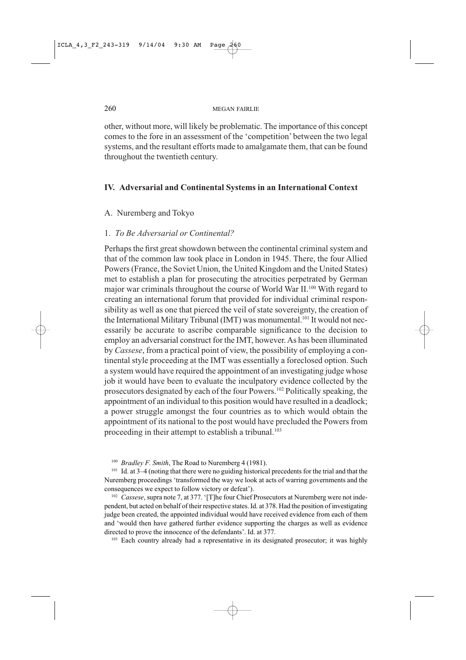other, without more, will likely be problematic. The importance of this concept comes to the fore in an assessment of the 'competition' between the two legal systems, and the resultant efforts made to amalgamate them, that can be found throughout the twentieth century.

## IV. Adversarial and Continental Systems in an International Context

## A. Nuremberg and Tokyo

## 1. To Be Adversarial or Continental?

Perhaps the first great showdown between the continental criminal system and that of the common law took place in London in 1945. There, the four Allied Powers (France, the Soviet Union, the United Kingdom and the United States) met to establish a plan for prosecuting the atrocities perpetrated by German major war criminals throughout the course of World War II.<sup>100</sup> With regard to creating an international forum that provided for individual criminal responsibility as well as one that pierced the veil of state sovereignty, the creation of the International Military Tribunal (IMT) was monumental.<sup>101</sup> It would not necessarily be accurate to ascribe comparable significance to the decision to employ an adversarial construct for the IMT, however. As has been illuminated by Cassese, from a practical point of view, the possibility of employing a continental style proceeding at the IMT was essentially a foreclosed option. Such a system would have required the appointment of an investigating judge whose job it would have been to evaluate the inculpatory evidence collected by the prosecutors designated by each of the four Powers.<sup>102</sup> Politically speaking, the appointment of an individual to this position would have resulted in a deadlock; a power struggle amongst the four countries as to which would obtain the appointment of its national to the post would have precluded the Powers from proceeding in their attempt to establish a tribunal.<sup>103</sup>

<sup>100</sup> Bradley F. Smith, The Road to Nuremberg 4 (1981).

<sup>101</sup> Id. at 3–4 (noting that there were no guiding historical precedents for the trial and that the Nuremberg proceedings 'transformed the way we look at acts of warring governments and the consequences we expect to follow victory or defeat').

<sup>102</sup> Cassese, supra note 7, at 377. '[T]he four Chief Prosecutors at Nuremberg were not independent, but acted on behalf of their respective states. Id. at 378. Had the position of investigating judge been created, the appointed individual would have received evidence from each of them and 'would then have gathered further evidence supporting the charges as well as evidence directed to prove the innocence of the defendants'. Id. at 377.

<sup>103</sup> Each country already had a representative in its designated prosecutor; it was highly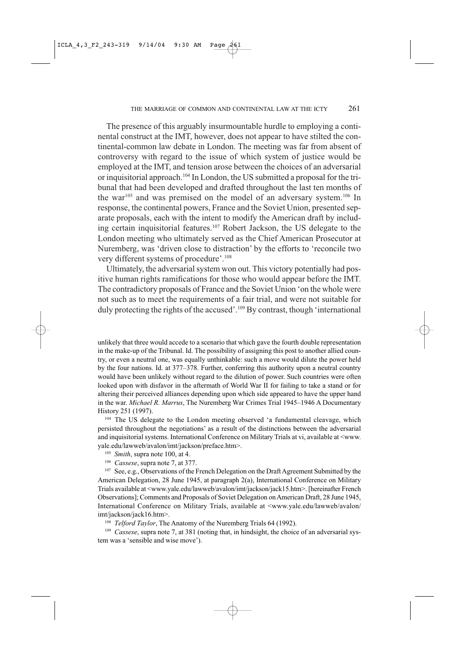The presence of this arguably insurmountable hurdle to employing a continental construct at the IMT, however, does not appear to have stilted the continental-common law debate in London. The meeting was far from absent of controversy with regard to the issue of which system of justice would be employed at the IMT, and tension arose between the choices of an adversarial or inquisitorial approach.<sup>104</sup> In London, the US submitted a proposal for the tribunal that had been developed and drafted throughout the last ten months of the war<sup>105</sup> and was premised on the model of an adversary system.<sup>106</sup> In response, the continental powers, France and the Soviet Union, presented separate proposals, each with the intent to modify the American draft by including certain inquisitorial features.<sup>107</sup> Robert Jackson, the US delegate to the London meeting who ultimately served as the Chief American Prosecutor at Nuremberg, was 'driven close to distraction' by the efforts to 'reconcile two very different systems of procedure'.<sup>108</sup>

Ultimately, the adversarial system won out. This victory potentially had positive human rights ramifications for those who would appear before the IMT. The contradictory proposals of France and the Soviet Union 'on the whole were not such as to meet the requirements of a fair trial, and were not suitable for duly protecting the rights of the accused'.<sup>109</sup> By contrast, though 'international

unlikely that three would accede to a scenario that which gave the fourth double representation in the make-up of the Tribunal. Id. The possibility of assigning this post to another allied country, or even a neutral one, was equally unthinkable: such a move would dilute the power held by the four nations. Id. at 377–378. Further, conferring this authority upon a neutral country would have been unlikely without regard to the dilution of power. Such countries were often looked upon with disfavor in the aftermath of World War II for failing to take a stand or for altering their perceived alliances depending upon which side appeared to have the upper hand in the war. Michael R. Marrus, The Nuremberg War Crimes Trial 1945-1946 A Documentary History 251 (1997).

<sup>104</sup> The US delegate to the London meeting observed 'a fundamental cleavage, which persisted throughout the negotiations' as a result of the distinctions between the adversarial and inquisitorial systems. International Conference on Military Trials at vi, available at <www. yale.edu/lawweb/avalon/imt/jackson/preface.htm>.

- $105$  Smith, supra note 100, at 4.
- <sup>106</sup> Cassese, supra note 7, at 377.

<sup>107</sup> See, e.g., Observations of the French Delegation on the Draft Agreement Submitted by the American Delegation, 28 June 1945, at paragraph 2(a), International Conference on Military Trials available at <www.yale.edu/lawweb/avalon/imt/jackson/jack15.htm>. [hereinafter French Observations]; Comments and Proposals of Soviet Delegation on American Draft, 28 June 1945, International Conference on Military Trials, available at <www.yale.edu/lawweb/avalon/ imt/jackson/jack16.htm>.

<sup>108</sup> Telford Taylor, The Anatomy of the Nuremberg Trials 64 (1992).

<sup>109</sup> Cassese, supra note 7, at 381 (noting that, in hindsight, the choice of an adversarial system was a 'sensible and wise move').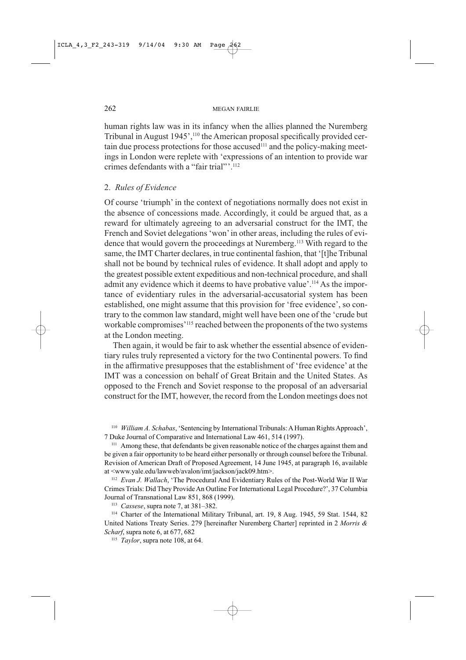human rights law was in its infancy when the allies planned the Nuremberg Tribunal in August 1945',<sup>110</sup> the American proposal specifically provided certain due process protections for those accused<sup>111</sup> and the policy-making meetings in London were replete with 'expressions of an intention to provide war crimes defendants with a "fair trial"'.<sup>112</sup>

## 2. Rules of Evidence

Of course 'triumph' in the context of negotiations normally does not exist in the absence of concessions made. Accordingly, it could be argued that, as a reward for ultimately agreeing to an adversarial construct for the IMT, the French and Soviet delegations 'won' in other areas, including the rules of evidence that would govern the proceedings at Nuremberg.<sup>113</sup> With regard to the same, the IMT Charter declares, in true continental fashion, that '[t]he Tribunal shall not be bound by technical rules of evidence. It shall adopt and apply to the greatest possible extent expeditious and non-technical procedure, and shall admit any evidence which it deems to have probative value'.<sup>114</sup> As the importance of evidentiary rules in the adversarial-accusatorial system has been established, one might assume that this provision for 'free evidence', so contrary to the common law standard, might well have been one of the 'crude but workable compromises'<sup>115</sup> reached between the proponents of the two systems at the London meeting.

Then again, it would be fair to ask whether the essential absence of evidentiary rules truly represented a victory for the two Continental powers. To find in the affirmative presupposes that the establishment of 'free evidence' at the IMT was a concession on behalf of Great Britain and the United States. As opposed to the French and Soviet response to the proposal of an adversarial construct for the IMT, however, the record from the London meetings does not

<sup>110</sup> William A. Schabas, 'Sentencing by International Tribunals: A Human Rights Approach', 7 Duke Journal of Comparative and International Law 461, 514 (1997).

<sup>111</sup> Among these, that defendants be given reasonable notice of the charges against them and be given a fair opportunity to be heard either personally or through counsel before the Tribunal. Revision of American Draft of Proposed Agreement, 14 June 1945, at paragraph 16, available at <www.yale.edu/lawweb/avalon/imt/jackson/jack09.htm>.

<sup>112</sup> Evan J. Wallach, 'The Procedural And Evidentiary Rules of the Post-World War II War Crimes Trials: Did They Provide An Outline For International Legal Procedure?', 37 Columbia Journal of Transnational Law 851, 868 (1999).

<sup>113</sup> Cassese, supra note 7, at 381-382.

<sup>114</sup> Charter of the International Military Tribunal, art. 19, 8 Aug. 1945, 59 Stat. 1544, 82 United Nations Treaty Series. 279 [hereinafter Nuremberg Charter] reprinted in 2 Morris & Scharf, supra note 6, at 677, 682

<sup>115</sup> Taylor, supra note 108, at 64.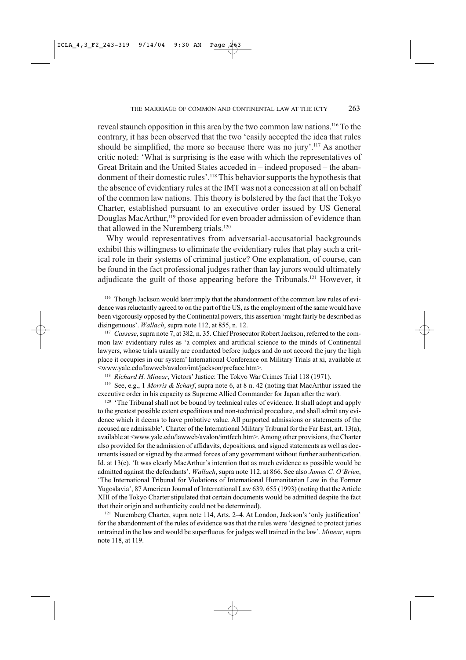reveal staunch opposition in this area by the two common law nations.<sup>116</sup> To the contrary, it has been observed that the two 'easily accepted the idea that rules should be simplified, the more so because there was no jury'.<sup>117</sup> As another critic noted: 'What is surprising is the ease with which the representatives of Great Britain and the United States acceded in – indeed proposed – the abandonment of their domestic rules'.<sup>118</sup> This behavior supports the hypothesis that the absence of evidentiary rules at the IMT was not a concession at all on behalf of the common law nations. This theory is bolstered by the fact that the Tokyo Charter, established pursuant to an executive order issued by US General Douglas MacArthur,<sup>119</sup> provided for even broader admission of evidence than that allowed in the Nuremberg trials.<sup>120</sup>

Why would representatives from adversarial-accusatorial backgrounds exhibit this willingness to eliminate the evidentiary rules that play such a critical role in their systems of criminal justice? One explanation, of course, can be found in the fact professional judges rather than lay jurors would ultimately adjudicate the guilt of those appearing before the Tribunals.<sup>121</sup> However, it

<sup>116</sup> Though Jackson would later imply that the abandonment of the common law rules of evidence was reluctantly agreed to on the part of the US, as the employment of the same would have been vigorously opposed by the Continental powers, this assertion 'might fairly be described as disingenuous'. Wallach, supra note 112, at 855, n. 12.

<sup>117</sup> Cassese, supra note 7, at 382, n. 35. Chief Prosecutor Robert Jackson, referred to the common law evidentiary rules as 'a complex and artificial science to the minds of Continental lawyers, whose trials usually are conducted before judges and do not accord the jury the high place it occupies in our system' International Conference on Military Trials at xi, available at <www.yale.edu/lawweb/avalon/imt/jackson/preface.htm>.

<sup>118</sup> Richard H. Minear, Victors' Justice: The Tokyo War Crimes Trial 118 (1971).

<sup>119</sup> See, e.g., 1 Morris & Scharf, supra note 6, at 8 n. 42 (noting that MacArthur issued the executive order in his capacity as Supreme Allied Commander for Japan after the war).

<sup>120</sup> 'The Tribunal shall not be bound by technical rules of evidence. It shall adopt and apply to the greatest possible extent expeditious and non-technical procedure, and shall admit any evidence which it deems to have probative value. All purported admissions or statements of the accused are admissible'. Charter of the International Military Tribunal for the Far East, art. 13(a), available at <www.yale.edu/lawweb/avalon/imtfech.htm>. Among other provisions, the Charter also provided for the admission of affidavits, depositions, and signed statements as well as documents issued or signed by the armed forces of any government without further authentication. Id. at 13(c). 'It was clearly MacArthur's intention that as much evidence as possible would be admitted against the defendants'. Wallach, supra note 112, at 866. See also James C. O'Brien, 'The International Tribunal for Violations of International Humanitarian Law in the Former Yugoslavia', 87 American Journal of International Law 639, 655 (1993) (noting that the Article XIII of the Tokyo Charter stipulated that certain documents would be admitted despite the fact that their origin and authenticity could not be determined).

<sup>121</sup> Nuremberg Charter, supra note 114, Arts. 2-4. At London, Jackson's 'only justification' for the abandonment of the rules of evidence was that the rules were 'designed to protect juries untrained in the law and would be superfluous for judges well trained in the law'. Minear, supra note 118, at 119.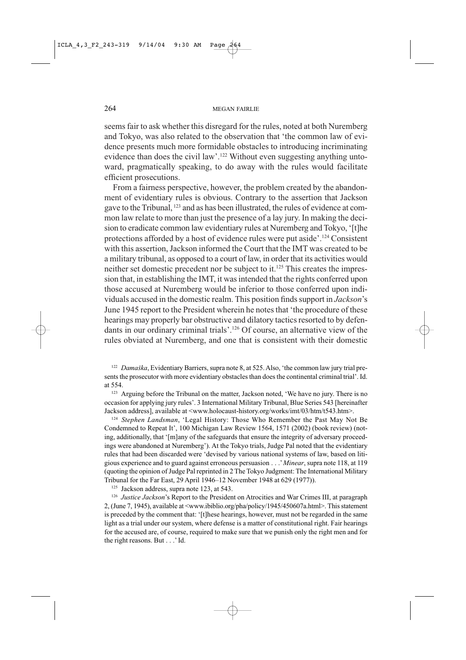seems fair to ask whether this disregard for the rules, noted at both Nuremberg and Tokyo, was also related to the observation that 'the common law of evidence presents much more formidable obstacles to introducing incriminating evidence than does the civil law'.<sup>122</sup> Without even suggesting anything untoward, pragmatically speaking, to do away with the rules would facilitate efficient prosecutions.

From a fairness perspective, however, the problem created by the abandonment of evidentiary rules is obvious. Contrary to the assertion that Jackson gave to the Tribunal, <sup>123</sup> and as has been illustrated, the rules of evidence at common law relate to more than just the presence of a lay jury. In making the decision to eradicate common law evidentiary rules at Nuremberg and Tokyo, '[t]he protections afforded by a host of evidence rules were put aside'.<sup>124</sup> Consistent with this assertion, Jackson informed the Court that the IMT was created to be a military tribunal, as opposed to a court of law, in order that its activities would neither set domestic precedent nor be subject to it.<sup>125</sup> This creates the impression that, in establishing the IMT, it was intended that the rights conferred upon those accused at Nuremberg would be inferior to those conferred upon individuals accused in the domestic realm. This position finds support in *Jackson's* June 1945 report to the President wherein he notes that 'the procedure of these hearings may properly bar obstructive and dilatory tactics resorted to by defendants in our ordinary criminal trials'.<sup>126</sup> Of course, an alternative view of the rules obviated at Nuremberg, and one that is consistent with their domestic

<sup>122</sup> Damaška, Evidentiary Barriers, supra note 8, at 525. Also, 'the common law jury trial presents the prosecutor with more evidentiary obstacles than does the continental criminal trial'. Id. at 554.

<sup>123</sup> Arguing before the Tribunal on the matter, Jackson noted, 'We have no jury. There is no occasion for applying jury rules'. 3 International Military Tribunal, Blue Series 543 [hereinafter Jackson address], available at <www.holocaust-history.org/works/imt/03/htm/t543.htm>.

<sup>124</sup> Stephen Landsman, 'Legal History: Those Who Remember the Past May Not Be Condemned to Repeat It', 100 Michigan Law Review 1564, 1571 (2002) (book review) (noting, additionally, that '[m]any of the safeguards that ensure the integrity of adversary proceedings were abandoned at Nuremberg'). At the Tokyo trials, Judge Pal noted that the evidentiary rules that had been discarded were 'devised by various national systems of law, based on litigious experience and to guard against erroneous persuasion . . . ' Minear, supra note 118, at 119 (quoting the opinion of Judge Pal reprinted in 2 The Tokyo Judgment: The International Military Tribunal for the Far East, 29 April 1946–12 November 1948 at 629 (1977)).

<sup>125</sup> Jackson address, supra note 123, at 543.

<sup>126</sup> Justice Jackson's Report to the President on Atrocities and War Crimes III, at paragraph 2, (June 7, 1945), available at <www.ibiblio.org/pha/policy/1945/450607a.html>. This statement is preceded by the comment that: '[t]hese hearings, however, must not be regarded in the same light as a trial under our system, where defense is a matter of constitutional right. Fair hearings for the accused are, of course, required to make sure that we punish only the right men and for the right reasons. But . . . 'Id.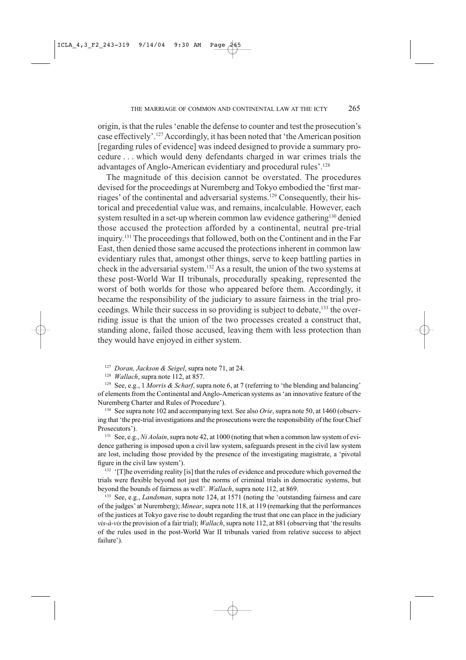origin, is that the rules 'enable the defense to counter and test the prosecution's case effectively'.<sup>127</sup> Accordingly, it has been noted that 'the American position [regarding rules of evidence] was indeed designed to provide a summary procedure ... which would deny defendants charged in war crimes trials the advantages of Anglo-American evidentiary and procedural rules'.<sup>128</sup>

The magnitude of this decision cannot be overstated. The procedures devised for the proceedings at Nuremberg and Tokyo embodied the 'first marriages' of the continental and adversarial systems.<sup>129</sup> Consequently, their historical and precedential value was, and remains, incalculable. However, each system resulted in a set-up wherein common law evidence gathering<sup>130</sup> denied those accused the protection afforded by a continental, neutral pre-trial inquiry.<sup>131</sup> The proceedings that followed, both on the Continent and in the Far East, then denied those same accused the protections inherent in common law evidentiary rules that, amongst other things, serve to keep battling parties in check in the adversarial system.<sup>132</sup> As a result, the union of the two systems at these post-World War II tribunals, procedurally speaking, represented the worst of both worlds for those who appeared before them. Accordingly, it became the responsibility of the judiciary to assure fairness in the trial proceedings. While their success in so providing is subject to debate,<sup>133</sup> the overriding issue is that the union of the two processes created a construct that, standing alone, failed those accused, leaving them with less protection than they would have enjoyed in either system.

<sup>127</sup> Doran, Jackson & Seigel, supra note 71, at 24.

<sup>128</sup> *Wallach*, supra note 112, at 857.

<sup>129</sup> See, e.g., 1 Morris & Scharf, supra note 6, at 7 (referring to 'the blending and balancing' of elements from the Continental and Anglo-American systems as 'an innovative feature of the Nuremberg Charter and Rules of Procedure').

<sup>130</sup> See supra note 102 and accompanying text. See also *Orie*, supra note 50, at 1460 (observing that 'the pre-trial investigations and the prosecutions were the responsibility of the four Chief Prosecutors').

<sup>131</sup> See, e.g., *Ni Aolain*, supra note 42, at 1000 (noting that when a common law system of evidence gathering is imposed upon a civil law system, safeguards present in the civil law system are lost, including those provided by the presence of the investigating magistrate, a 'pivotal figure in the civil law system').

<sup>132</sup> '[T]he overriding reality [is] that the rules of evidence and procedure which governed the trials were flexible beyond not just the norms of criminal trials in democratic systems, but beyond the bounds of fairness as well'. Wallach, supra note 112, at 869.

<sup>133</sup> See, e.g., *Landsman*, supra note 124, at 1571 (noting the 'outstanding fairness and care of the judges' at Nuremberg); Minear, supra note 118, at 119 (remarking that the performances of the justices at Tokyo gave rise to doubt regarding the trust that one can place in the judiciary vis-à-vis the provision of a fair trial); Wallach, supra note 112, at 881 (observing that 'the results of the rules used in the post-World War II tribunals varied from relative success to abject failure').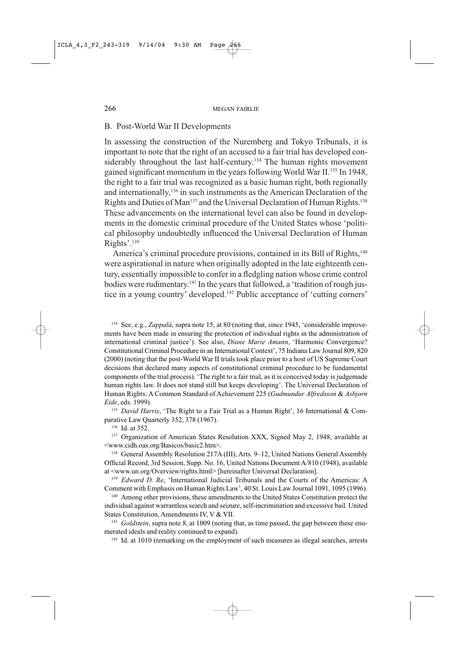## B. Post-World War II Developments

In assessing the construction of the Nuremberg and Tokyo Tribunals, it is important to note that the right of an accused to a fair trial has developed considerably throughout the last half-century.<sup>134</sup> The human rights movement gained significant momentum in the years following World War II.<sup>135</sup> In 1948, the right to a fair trial was recognized as a basic human right, both regionally and internationally,<sup>136</sup> in such instruments as the American Declaration of the Rights and Duties of Man<sup>137</sup> and the Universal Declaration of Human Rights.<sup>138</sup> These advancements on the international level can also be found in developments in the domestic criminal procedure of the United States whose 'political philosophy undoubtedly influenced the Universal Declaration of Human Rights'.<sup>139</sup>

America's criminal procedure provisions, contained in its Bill of Rights,<sup>140</sup> were aspirational in nature when originally adopted in the late eighteenth century, essentially impossible to confer in a fledgling nation whose crime control bodies were rudimentary.<sup>141</sup> In the years that followed, a 'tradition of rough justice in a young country' developed.<sup>142</sup> Public acceptance of 'cutting corners'

<sup>134</sup> See, e.g., Zappalà, supra note 15, at 80 (noting that, since 1945, 'considerable improvements have been made in ensuring the protection of individual rights in the administration of international criminal justice'). See also, Diane Marie Amann, 'Harmonic Convergence? Constitutional Criminal Procedure in an International Context', 75 Indiana Law Journal 809, 820 (2000) (noting that the post-World War II trials took place prior to a host of US Supreme Court decisions that declared many aspects of constitutional criminal procedure to be fundamental components of the trial process). 'The right to a fair trial, as it is conceived today is judgemade human rights law. It does not stand still but keeps developing'. The Universal Declaration of Human Rights: A Common Standard of Achievement 225 (Gudmundur Alfredsson & Asbjorn Eide, eds. 1999).

<sup>135</sup> David Harris, 'The Right to a Fair Trial as a Human Right', 16 International & Comparative Law Quarterly 352, 378 (1967).

<sup>136</sup> Id. at 352.

<sup>137</sup> Organization of American States Resolution XXX, Signed May 2, 1948, available at <www.cidh.oas.org/Basicos/basic2.htm>.

<sup>138</sup> General Assembly Resolution 217A (III), Arts. 9-12, United Nations General Assembly Official Record, 3rd Session, Supp. No. 16, United Nations Document A/810 (1948), available at <www.un.org/Overview/rights.html> [hereinafter Universal Declaration].

<sup>139</sup> Edward D. Re, 'International Judicial Tribunals and the Courts of the Americas: A Comment with Emphasis on Human Rights Law', 40 St. Louis Law Journal 1091, 1095 (1996).

<sup>140</sup> Among other provisions, these amendments to the United States Constitution protect the individual against warrantless search and seizure, self-incrimination and excessive bail. United States Constitution, Amendments IV, V & VII.

<sup>141</sup> Goldstein, supra note 8, at 1009 (noting that, as time passed, the gap between these enumerated ideals and reality continued to expand).

<sup>142</sup> Id. at 1010 (remarking on the employment of such measures as illegal searches, arrests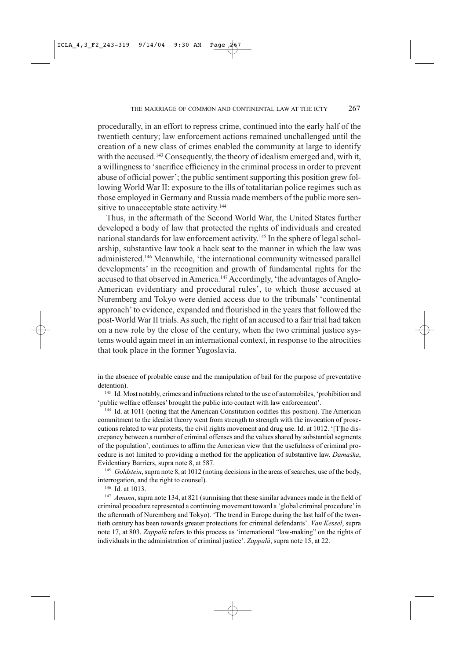procedurally, in an effort to repress crime, continued into the early half of the twentieth century; law enforcement actions remained unchallenged until the creation of a new class of crimes enabled the community at large to identify with the accused.<sup>143</sup> Consequently, the theory of idealism emerged and, with it, a willingness to 'sacrifice efficiency in the criminal process in order to prevent abuse of official power'; the public sentiment supporting this position grew following World War II: exposure to the ills of totalitarian police regimes such as those employed in Germany and Russia made members of the public more sensitive to unacceptable state activity.<sup>144</sup>

Thus, in the aftermath of the Second World War, the United States further developed a body of law that protected the rights of individuals and created national standards for law enforcement activity.<sup>145</sup> In the sphere of legal scholarship, substantive law took a back seat to the manner in which the law was administered.<sup>146</sup> Meanwhile, 'the international community witnessed parallel developments' in the recognition and growth of fundamental rights for the accused to that observed in America.<sup>147</sup> Accordingly, 'the advantages of Anglo-American evidentiary and procedural rules', to which those accused at Nuremberg and Tokyo were denied access due to the tribunals' 'continental approach' to evidence, expanded and flourished in the years that followed the post-World War II trials. As such, the right of an accused to a fair trial had taken on a new role by the close of the century, when the two criminal justice systems would again meet in an international context, in response to the atrocities that took place in the former Yugoslavia.

in the absence of probable cause and the manipulation of bail for the purpose of preventative detention).

<sup>143</sup> Id. Most notably, crimes and infractions related to the use of automobiles, 'prohibition and 'public welfare offenses' brought the public into contact with law enforcement'.

<sup>144</sup> Id. at 1011 (noting that the American Constitution codifies this position). The American commitment to the idealist theory went from strength to strength with the invocation of prosecutions related to war protests, the civil rights movement and drug use. Id. at 1012. '[T]he discrepancy between a number of criminal offenses and the values shared by substantial segments of the population', continues to affirm the American view that the usefulness of criminal procedure is not limited to providing a method for the application of substantive law. Damaška, Evidentiary Barriers, supra note 8, at 587.

<sup>145</sup> Goldstein, supra note 8, at 1012 (noting decisions in the areas of searches, use of the body, interrogation, and the right to counsel).

 $146$  Id. at 1013.

<sup>147</sup> Amann, supra note 134, at 821 (surmising that these similar advances made in the field of criminal procedure represented a continuing movement toward a 'global criminal procedure' in the aftermath of Nuremberg and Tokyo). 'The trend in Europe during the last half of the twentieth century has been towards greater protections for criminal defendants'. Van Kessel, supra note 17, at 803. Zappalà refers to this process as 'international "law-making" on the rights of individuals in the administration of criminal justice'. Zappalà, supra note 15, at 22.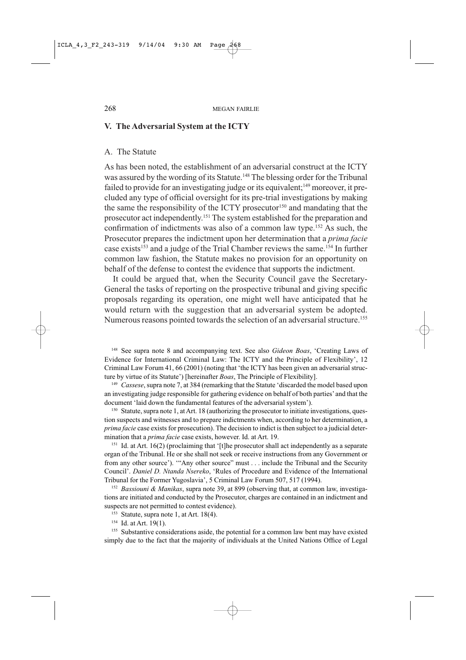### V. The Adversarial System at the ICTY

#### A. The Statute

As has been noted, the establishment of an adversarial construct at the ICTY was assured by the wording of its Statute.<sup>148</sup> The blessing order for the Tribunal failed to provide for an investigating judge or its equivalent;<sup>149</sup> moreover, it precluded any type of official oversight for its pre-trial investigations by making the same the responsibility of the ICTY prosecutor<sup>150</sup> and mandating that the prosecutor act independently.<sup>151</sup> The system established for the preparation and confirmation of indictments was also of a common law type.<sup>152</sup> As such, the Prosecutor prepares the indictment upon her determination that a *prima facie* case exists<sup>153</sup> and a judge of the Trial Chamber reviews the same.<sup>154</sup> In further common law fashion, the Statute makes no provision for an opportunity on behalf of the defense to contest the evidence that supports the indictment.

It could be argued that, when the Security Council gave the Secretary-General the tasks of reporting on the prospective tribunal and giving specific proposals regarding its operation, one might well have anticipated that he would return with the suggestion that an adversarial system be adopted. Numerous reasons pointed towards the selection of an adversarial structure.<sup>155</sup>

<sup>148</sup> See supra note 8 and accompanying text. See also *Gideon Boas*, 'Creating Laws of Evidence for International Criminal Law: The ICTY and the Principle of Flexibility', 12 Criminal Law Forum 41, 66 (2001) (noting that 'the ICTY has been given an adversarial structure by virtue of its Statute') [hereinafter *Boas*, The Principle of Flexibility].

<sup>149</sup> Cassese, supra note 7, at 384 (remarking that the Statute 'discarded the model based upon an investigating judge responsible for gathering evidence on behalf of both parties' and that the document 'laid down the fundamental features of the adversarial system').

<sup>150</sup> Statute, supra note 1, at Art. 18 (authorizing the prosecutor to initiate investigations, question suspects and witnesses and to prepare indictments when, according to her determination, a prima facie case exists for prosecution). The decision to indict is then subject to a judicial determination that a *prima facie* case exists, however. Id. at Art. 19.

 $151$  Id. at Art. 16(2) (proclaiming that '[t]he prosecutor shall act independently as a separate organ of the Tribunal. He or she shall not seek or receive instructions from any Government or from any other source'). "Any other source" must . . . include the Tribunal and the Security Council'. Daniel D. Ntanda Nsereko, 'Rules of Procedure and Evidence of the International Tribunal for the Former Yugoslavia', 5 Criminal Law Forum 507, 517 (1994).

<sup>152</sup> Bassiouni & Manikas, supra note 39, at 899 (observing that, at common law, investigations are initiated and conducted by the Prosecutor, charges are contained in an indictment and suspects are not permitted to contest evidence).

<sup>153</sup> Statute, supra note 1, at Art. 18(4).

<sup>154</sup> Id. at Art. 19(1).

<sup>155</sup> Substantive considerations aside, the potential for a common law bent may have existed simply due to the fact that the majority of individuals at the United Nations Office of Legal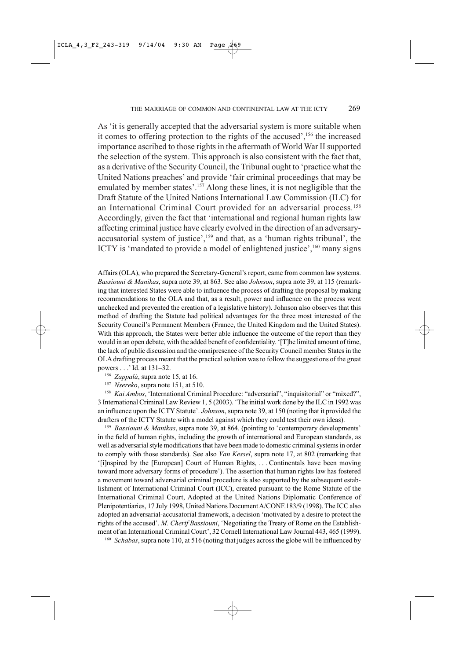As 'it is generally accepted that the adversarial system is more suitable when it comes to offering protection to the rights of the accused',<sup>156</sup> the increased importance ascribed to those rights in the aftermath of World War II supported the selection of the system. This approach is also consistent with the fact that, as a derivative of the Security Council, the Tribunal ought to 'practice what the United Nations preaches' and provide 'fair criminal proceedings that may be emulated by member states'.<sup>157</sup> Along these lines, it is not negligible that the Draft Statute of the United Nations International Law Commission (ILC) for an International Criminal Court provided for an adversarial process.<sup>158</sup> Accordingly, given the fact that 'international and regional human rights law affecting criminal justice have clearly evolved in the direction of an adversaryaccusatorial system of justice',<sup>159</sup> and that, as a 'human rights tribunal', the ICTY is 'mandated to provide a model of enlightened justice',<sup>160</sup> many signs

Affairs (OLA), who prepared the Secretary-General's report, came from common law systems. Bassiouni & Manikas, supra note 39, at 863. See also Johnson, supra note 39, at 115 (remarking that interested States were able to influence the process of drafting the proposal by making recommendations to the OLA and that, as a result, power and influence on the process went unchecked and prevented the creation of a legislative history). Johnson also observes that this method of drafting the Statute had political advantages for the three most interested of the Security Council's Permanent Members (France, the United Kingdom and the United States). With this approach, the States were better able influence the outcome of the report than they would in an open debate, with the added benefit of confidentiality. '[T]he limited amount of time, the lack of public discussion and the omnipresence of the Security Council member States in the OLA drafting process meant that the practical solution was to follow the suggestions of the great powers . . .' Id. at 131-32.

<sup>156</sup> Zappalà, supra note 15, at 16.

 $157$  Nsereko, supra note 151, at 510.

<sup>158</sup> Kai Ambos, 'International Criminal Procedure: "adversarial", "inquisitorial" or "mixed?", 3 International Criminal Law Review 1, 5 (2003). 'The initial work done by the ILC in 1992 was an influence upon the ICTY Statute'. Johnson, supra note 39, at 150 (noting that it provided the drafters of the ICTY Statute with a model against which they could test their own ideas).

<sup>159</sup> Bassiouni & Manikas, supra note 39, at 864. (pointing to 'contemporary developments' in the field of human rights, including the growth of international and European standards, as well as adversarial style modifications that have been made to domestic criminal systems in order to comply with those standards). See also Van Kessel, supra note 17, at 802 (remarking that '[i]nspired by the [European] Court of Human Rights, ... Continentals have been moving toward more adversary forms of procedure'). The assertion that human rights law has fostered a movement toward adversarial criminal procedure is also supported by the subsequent establishment of International Criminal Court (ICC), created pursuant to the Rome Statute of the International Criminal Court, Adopted at the United Nations Diplomatic Conference of Plenipotentiaries, 17 July 1998, United Nations Document A/CONF.183/9 (1998). The ICC also adopted an adversarial-accusatorial framework, a decision 'motivated by a desire to protect the rights of the accused'. M. Cherif Bassiouni, 'Negotiating the Treaty of Rome on the Establishment of an International Criminal Court', 32 Cornell International Law Journal 443, 465 (1999).

<sup>160</sup> Schabas, supra note 110, at 516 (noting that judges across the globe will be influenced by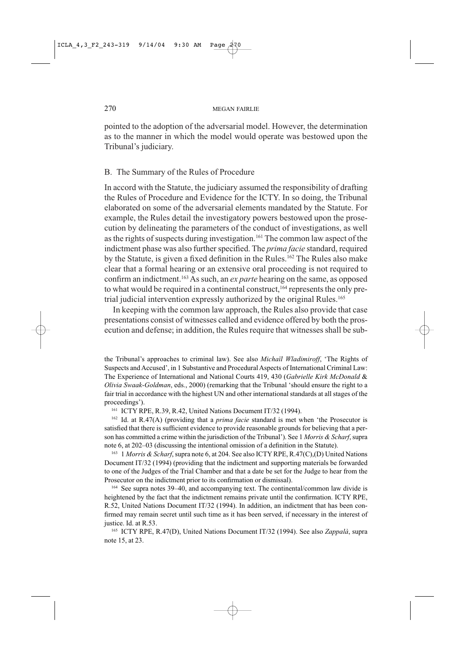pointed to the adoption of the adversarial model. However, the determination as to the manner in which the model would operate was bestowed upon the Tribunal's judiciary.

## B. The Summary of the Rules of Procedure

In accord with the Statute, the judiciary assumed the responsibility of drafting the Rules of Procedure and Evidence for the ICTY. In so doing, the Tribunal elaborated on some of the adversarial elements mandated by the Statute. For example, the Rules detail the investigatory powers bestowed upon the prosecution by delineating the parameters of the conduct of investigations, as well as the rights of suspects during investigation.<sup>161</sup> The common law aspect of the indictment phase was also further specified. The prima facie standard, required by the Statute, is given a fixed definition in the Rules.<sup>162</sup> The Rules also make clear that a formal hearing or an extensive oral proceeding is not required to confirm an indictment.<sup>163</sup> As such, an ex parte hearing on the same, as opposed to what would be required in a continental construct,<sup>164</sup> represents the only pretrial judicial intervention expressly authorized by the original Rules.<sup>165</sup>

In keeping with the common law approach, the Rules also provide that case presentations consist of witnesses called and evidence offered by both the prosecution and defense; in addition, the Rules require that witnesses shall be sub-

the Tribunal's approaches to criminal law). See also Michaïl Wladimiroff, 'The Rights of Suspects and Accused', in 1 Substantive and Procedural Aspects of International Criminal Law: The Experience of International and National Courts 419, 430 (Gabrielle Kirk McDonald & Olivia Swaak-Goldman, eds., 2000) (remarking that the Tribunal 'should ensure the right to a fair trial in accordance with the highest UN and other international standards at all stages of the proceedings').

<sup>161</sup> ICTY RPE, R.39, R.42, United Nations Document IT/32 (1994).

<sup>162</sup> Id. at R.47(A) (providing that a *prima facie* standard is met when 'the Prosecutor is satisfied that there is sufficient evidence to provide reasonable grounds for believing that a person has committed a crime within the jurisdiction of the Tribunal'). See 1 Morris & Scharf, supra note 6, at 202–03 (discussing the intentional omission of a definition in the Statute).

<sup>163</sup> 1 Morris & Scharf, supra note 6, at 204. See also ICTY RPE, R.47(C),(D) United Nations Document IT/32 (1994) (providing that the indictment and supporting materials be forwarded to one of the Judges of the Trial Chamber and that a date be set for the Judge to hear from the Prosecutor on the indictment prior to its confirmation or dismissal).

<sup>164</sup> See supra notes 39–40, and accompanying text. The continental/common law divide is heightened by the fact that the indictment remains private until the confirmation. ICTY RPE, R.52, United Nations Document IT/32 (1994). In addition, an indictment that has been confirmed may remain secret until such time as it has been served, if necessary in the interest of justice. Id. at R.53.

<sup>165</sup> ICTY RPE, R.47(D), United Nations Document IT/32 (1994). See also Zappalà, supra note 15, at 23.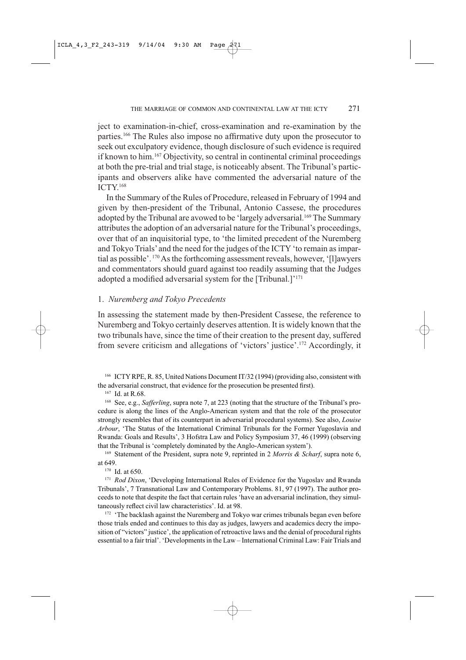ject to examination-in-chief, cross-examination and re-examination by the parties.<sup>166</sup> The Rules also impose no affirmative duty upon the prosecutor to seek out exculpatory evidence, though disclosure of such evidence is required if known to him.<sup>167</sup> Objectivity, so central in continental criminal proceedings at both the pre-trial and trial stage, is noticeably absent. The Tribunal's participants and observers alike have commented the adversarial nature of the  $ICTY<sup>168</sup>$ 

In the Summary of the Rules of Procedure, released in February of 1994 and given by then-president of the Tribunal, Antonio Cassese, the procedures adopted by the Tribunal are avowed to be 'largely adversarial.<sup>169</sup> The Summary attributes the adoption of an adversarial nature for the Tribunal's proceedings, over that of an inquisitorial type, to 'the limited precedent of the Nuremberg and Tokyo Trials' and the need for the judges of the ICTY 'to remain as impartial as possible'. <sup>170</sup> As the forthcoming assessment reveals, however, '[I]awyers and commentators should guard against too readily assuming that the Judges adopted a modified adversarial system for the [Tribunal.]'<sup>171</sup>

#### 1. Nuremberg and Tokyo Precedents

In assessing the statement made by then-President Cassese, the reference to Nuremberg and Tokyo certainly deserves attention. It is widely known that the two tribunals have, since the time of their creation to the present day, suffered from severe criticism and allegations of 'victors' justice'.<sup>172</sup> Accordingly, it

<sup>166</sup> ICTY RPE, R. 85, United Nations Document IT/32 (1994) (providing also, consistent with the adversarial construct, that evidence for the prosecution be presented first).

 $167$  Id. at R.68.

<sup>168</sup> See, e.g., Safferling, supra note 7, at 223 (noting that the structure of the Tribunal's procedure is along the lines of the Anglo-American system and that the role of the prosecutor strongly resembles that of its counterpart in adversarial procedural systems). See also, Louise Arbour, 'The Status of the International Criminal Tribunals for the Former Yugoslavia and Rwanda: Goals and Results', 3 Hofstra Law and Policy Symposium 37, 46 (1999) (observing that the Tribunal is 'completely dominated by the Anglo-American system').

<sup>169</sup> Statement of the President, supra note 9, reprinted in 2 Morris & Scharf, supra note 6, at 649.

 $170$  Id. at 650.

<sup>171</sup> Rod Dixon, 'Developing International Rules of Evidence for the Yugoslav and Rwanda Tribunals', 7 Transnational Law and Contemporary Problems. 81, 97 (1997). The author proceeds to note that despite the fact that certain rules 'have an adversarial inclination, they simultaneously reflect civil law characteristics'. Id. at 98.

<sup>172</sup> 'The backlash against the Nuremberg and Tokyo war crimes tribunals began even before those trials ended and continues to this day as judges, lawyers and academics decry the imposition of "victors" justice', the application of retroactive laws and the denial of procedural rights essential to a fair trial'. 'Developments in the Law - International Criminal Law: Fair Trials and

271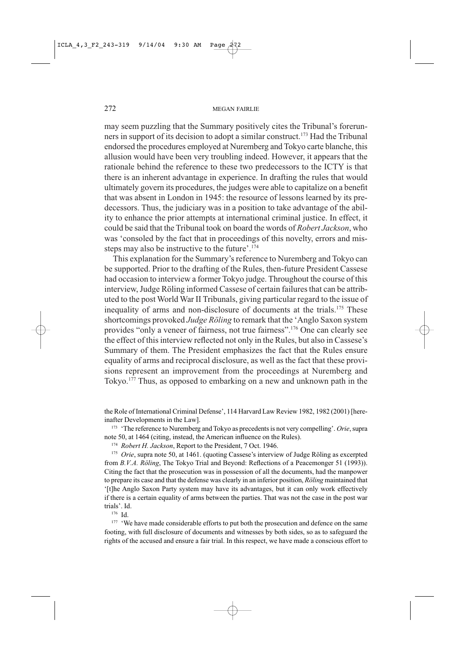may seem puzzling that the Summary positively cites the Tribunal's forerunners in support of its decision to adopt a similar construct.<sup>173</sup> Had the Tribunal endorsed the procedures employed at Nuremberg and Tokyo carte blanche, this allusion would have been very troubling indeed. However, it appears that the rationale behind the reference to these two predecessors to the ICTY is that there is an inherent advantage in experience. In drafting the rules that would ultimately govern its procedures, the judges were able to capitalize on a benefit that was absent in London in 1945: the resource of lessons learned by its predecessors. Thus, the judiciary was in a position to take advantage of the ability to enhance the prior attempts at international criminal justice. In effect, it could be said that the Tribunal took on board the words of Robert Jackson, who was 'consoled by the fact that in proceedings of this novelty, errors and missteps may also be instructive to the future'.<sup>174</sup>

This explanation for the Summary's reference to Nuremberg and Tokyo can be supported. Prior to the drafting of the Rules, then-future President Cassese had occasion to interview a former Tokyo judge. Throughout the course of this interview, Judge Röling informed Cassese of certain failures that can be attributed to the post World War II Tribunals, giving particular regard to the issue of inequality of arms and non-disclosure of documents at the trials.<sup>175</sup> These shortcomings provoked Judge Röling to remark that the 'Anglo Saxon system provides "only a veneer of fairness, not true fairness".<sup>176</sup> One can clearly see the effect of this interview reflected not only in the Rules, but also in Cassese's Summary of them. The President emphasizes the fact that the Rules ensure equality of arms and reciprocal disclosure, as well as the fact that these provisions represent an improvement from the proceedings at Nuremberg and Tokyo.<sup>177</sup> Thus, as opposed to embarking on a new and unknown path in the

the Role of International Criminal Defense', 114 Harvard Law Review 1982, 1982 (2001) [hereinafter Developments in the Law].

<sup>173</sup> 'The reference to Nuremberg and Tokyo as precedents is not very compelling'. *Orie*, supra note 50, at 1464 (citing, instead, the American influence on the Rules).

<sup>174</sup> Robert H. Jackson, Report to the President, 7 Oct. 1946.

<sup>175</sup> Orie, supra note 50, at 1461. (quoting Cassese's interview of Judge Röling as excerpted from B.V.A. Röling, The Tokyo Trial and Beyond: Reflections of a Peacemonger 51 (1993)). Citing the fact that the prosecution was in possession of all the documents, had the manpower to prepare its case and that the defense was clearly in an inferior position, Röling maintained that '[t]he Anglo Saxon Party system may have its advantages, but it can only work effectively if there is a certain equality of arms between the parties. That was not the case in the post war trials'. Id.

 $176$  Id.

<sup>177</sup> 'We have made considerable efforts to put both the prosecution and defence on the same footing, with full disclosure of documents and witnesses by both sides, so as to safeguard the rights of the accused and ensure a fair trial. In this respect, we have made a conscious effort to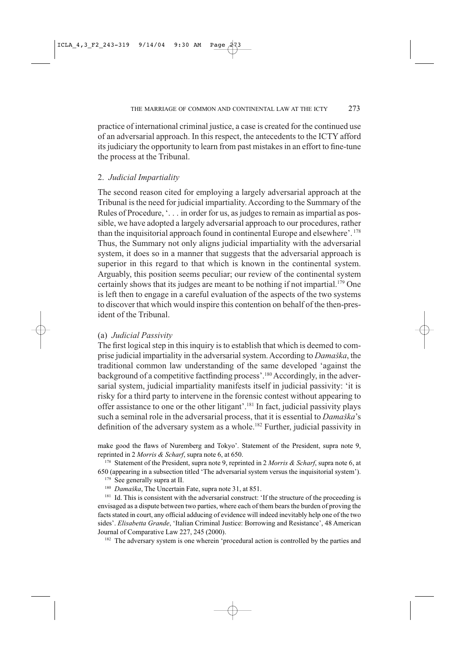practice of international criminal justice, a case is created for the continued use of an adversarial approach. In this respect, the antecedents to the ICTY afford its judiciary the opportunity to learn from past mistakes in an effort to fine-tune the process at the Tribunal.

## 2. Judicial Impartiality

The second reason cited for employing a largely adversarial approach at the Tribunal is the need for judicial impartiality. According to the Summary of the Rules of Procedure, '... in order for us, as judges to remain as impartial as possible, we have adopted a largely adversarial approach to our procedures, rather than the inquisitorial approach found in continental Europe and elsewhere'.<sup>178</sup> Thus, the Summary not only aligns judicial impartiality with the adversarial system, it does so in a manner that suggests that the adversarial approach is superior in this regard to that which is known in the continental system. Arguably, this position seems peculiar; our review of the continental system certainly shows that its judges are meant to be nothing if not impartial.<sup>179</sup> One is left then to engage in a careful evaluation of the aspects of the two systems to discover that which would inspire this contention on behalf of the then-president of the Tribunal.

#### (a) *Judicial Passivity*

The first logical step in this inquiry is to establish that which is deemed to comprise judicial impartiality in the adversarial system. According to Damaška, the traditional common law understanding of the same developed 'against the background of a competitive factfinding process'.<sup>180</sup> Accordingly, in the adversarial system, judicial impartiality manifests itself in judicial passivity: 'it is risky for a third party to intervene in the forensic contest without appearing to offer assistance to one or the other litigant'.<sup>181</sup> In fact, judicial passivity plays such a seminal role in the adversarial process, that it is essential to Damaška's definition of the adversary system as a whole.<sup>182</sup> Further, judicial passivity in

make good the flaws of Nuremberg and Tokyo'. Statement of the President, supra note 9, reprinted in 2 Morris & Scharf, supra note 6, at 650.

178 Statement of the President, supra note 9, reprinted in 2 Morris & Scharf, supra note 6, at 650 (appearing in a subsection titled 'The adversarial system versus the inquisitorial system').

- <sup>179</sup> See generally supra at II.
- <sup>180</sup> Damaška, The Uncertain Fate, supra note 31, at 851.

<sup>181</sup> Id. This is consistent with the adversarial construct: 'If the structure of the proceeding is envisaged as a dispute between two parties, where each of them bears the burden of proving the facts stated in court, any official adducing of evidence will indeed inevitably help one of the two sides'. Elisabetta Grande, 'Italian Criminal Justice: Borrowing and Resistance', 48 American Journal of Comparative Law 227, 245 (2000).

<sup>182</sup> The adversary system is one wherein 'procedural action is controlled by the parties and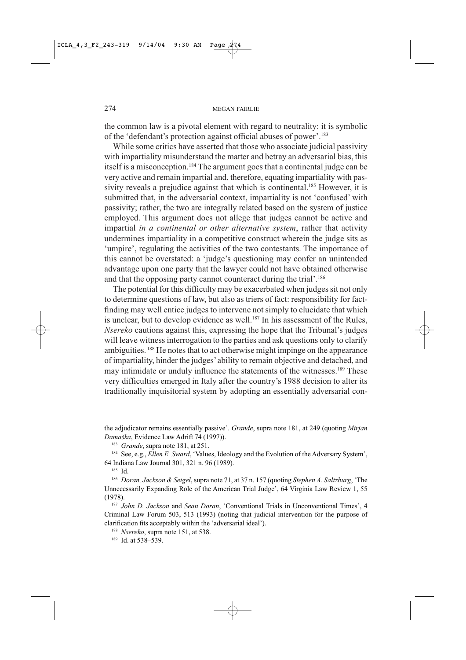the common law is a pivotal element with regard to neutrality: it is symbolic of the 'defendant's protection against official abuses of power'.<sup>183</sup>

While some critics have asserted that those who associate judicial passivity with impartiality misunderstand the matter and betray an adversarial bias, this itself is a misconception.<sup>184</sup> The argument goes that a continental judge can be very active and remain impartial and, therefore, equating impartiality with passivity reveals a prejudice against that which is continental.<sup>185</sup> However, it is submitted that, in the adversarial context, impartiality is not 'confused' with passivity; rather, the two are integrally related based on the system of justice employed. This argument does not allege that judges cannot be active and impartial in a continental or other alternative system, rather that activity undermines impartiality in a competitive construct wherein the judge sits as 'umpire', regulating the activities of the two contestants. The importance of this cannot be overstated: a 'judge's questioning may confer an unintended advantage upon one party that the lawyer could not have obtained otherwise and that the opposing party cannot counteract during the trial'.<sup>186</sup>

The potential for this difficulty may be exacerbated when judges sit not only to determine questions of law, but also as triers of fact: responsibility for factfinding may well entice judges to intervene not simply to elucidate that which is unclear, but to develop evidence as well.<sup>187</sup> In his assessment of the Rules, Nsereko cautions against this, expressing the hope that the Tribunal's judges will leave witness interrogation to the parties and ask questions only to clarify ambiguities.<sup>188</sup> He notes that to act otherwise might impinge on the appearance of impartiality, hinder the judges' ability to remain objective and detached, and may intimidate or unduly influence the statements of the witnesses.<sup>189</sup> These very difficulties emerged in Italy after the country's 1988 decision to alter its traditionally inquisitorial system by adopting an essentially adversarial con-

the adjudicator remains essentially passive'. Grande, supra note 181, at 249 (quoting Mirjan Damaška, Evidence Law Adrift 74 (1997)).

<sup>183</sup> Grande, supra note 181, at 251.

<sup>184</sup> See, e.g., *Ellen E. Sward*, 'Values, Ideology and the Evolution of the Adversary System', 64 Indiana Law Journal 301, 321 n. 96 (1989).

 $185$  Id.

<sup>186</sup> Doran, Jackson & Seigel, supra note 71, at 37 n. 157 (quoting Stephen A. Saltzburg, 'The Unnecessarily Expanding Role of the American Trial Judge', 64 Virginia Law Review 1, 55  $(1978).$ 

<sup>187</sup> John D. Jackson and Sean Doran, 'Conventional Trials in Unconventional Times', 4 Criminal Law Forum 503, 513 (1993) (noting that judicial intervention for the purpose of clarification fits acceptably within the 'adversarial ideal').

<sup>188</sup> Nsereko, supra note 151, at 538.

<sup>189</sup> Id. at 538-539.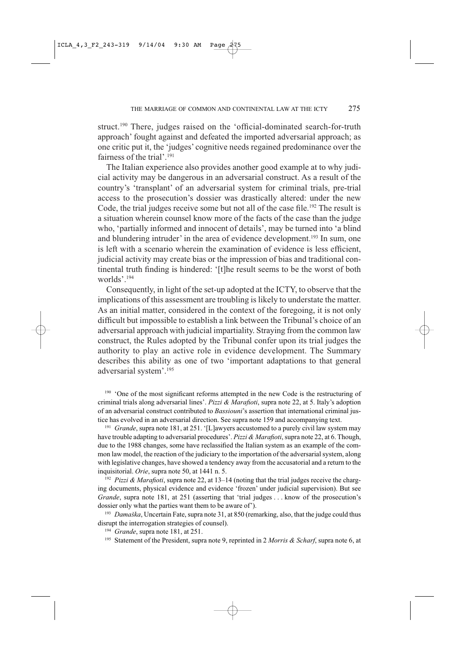struct.<sup>190</sup> There, judges raised on the 'official-dominated search-for-truth approach' fought against and defeated the imported adversarial approach; as one critic put it, the 'judges' cognitive needs regained predominance over the fairness of the trial'.<sup>191</sup>

The Italian experience also provides another good example at to why judicial activity may be dangerous in an adversarial construct. As a result of the country's 'transplant' of an adversarial system for criminal trials, pre-trial access to the prosecution's dossier was drastically altered: under the new Code, the trial judges receive some but not all of the case file.<sup>192</sup> The result is a situation wherein counsel know more of the facts of the case than the judge who, 'partially informed and innocent of details', may be turned into 'a blind and blundering intruder' in the area of evidence development.<sup>193</sup> In sum, one is left with a scenario wherein the examination of evidence is less efficient. judicial activity may create bias or the impression of bias and traditional continental truth finding is hindered: '[t]he result seems to be the worst of both worlds'.<sup>194</sup>

Consequently, in light of the set-up adopted at the ICTY, to observe that the implications of this assessment are troubling is likely to understate the matter. As an initial matter, considered in the context of the foregoing, it is not only difficult but impossible to establish a link between the Tribunal's choice of an adversarial approach with judicial impartiality. Straying from the common law construct, the Rules adopted by the Tribunal confer upon its trial judges the authority to play an active role in evidence development. The Summary describes this ability as one of two 'important adaptations to that general adversarial system'.<sup>195</sup>

<sup>190</sup> 'One of the most significant reforms attempted in the new Code is the restructuring of criminal trials along adversarial lines'. Pizzi & Marafioti, supra note 22, at 5. Italy's adoption of an adversarial construct contributed to *Bassiouni's* assertion that international criminal justice has evolved in an adversarial direction. See supra note 159 and accompanying text.

<sup>191</sup> Grande, supra note 181, at 251. '[L]awyers accustomed to a purely civil law system may have trouble adapting to adversarial procedures'. Pizzi & Marafioti, supra note 22, at 6. Though, due to the 1988 changes, some have reclassified the Italian system as an example of the common law model, the reaction of the judiciary to the importation of the adversarial system, along with legislative changes, have showed a tendency away from the accusatorial and a return to the inquisitorial. Orie, supra note 50, at 1441 n. 5.

<sup>192</sup> Pizzi & Marafioti, supra note 22, at 13-14 (noting that the trial judges receive the charging documents, physical evidence and evidence 'frozen' under judicial supervision). But see Grande, supra note 181, at 251 (asserting that 'trial judges . . . know of the prosecution's dossier only what the parties want them to be aware of').

 $193$  Damaška, Uncertain Fate, supra note 31, at 850 (remarking, also, that the judge could thus disrupt the interrogation strategies of counsel).

<sup>194</sup> Grande, supra note 181, at 251.

<sup>195</sup> Statement of the President, supra note 9, reprinted in 2 Morris & Scharf, supra note 6, at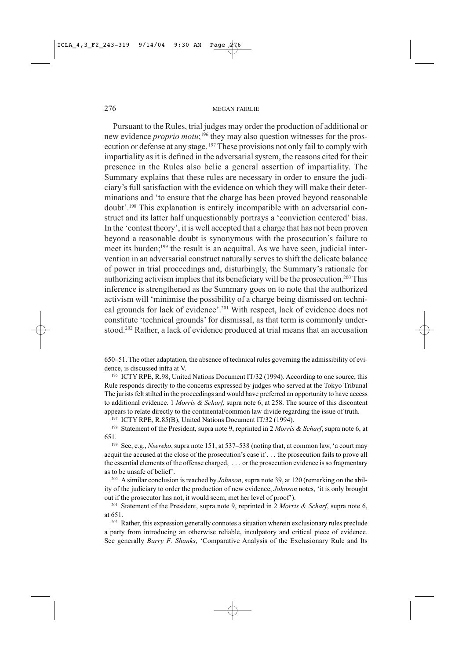Pursuant to the Rules, trial judges may order the production of additional or new evidence *proprio motu*;<sup>196</sup> they may also question witnesses for the prosecution or defense at any stage.<sup>197</sup> These provisions not only fail to comply with impartiality as it is defined in the adversarial system, the reasons cited for their presence in the Rules also belie a general assertion of impartiality. The Summary explains that these rules are necessary in order to ensure the judiciary's full satisfaction with the evidence on which they will make their determinations and 'to ensure that the charge has been proved beyond reasonable doubt'.<sup>198</sup> This explanation is entirely incompatible with an adversarial construct and its latter half unquestionably portrays a 'conviction centered' bias. In the 'contest theory', it is well accepted that a charge that has not been proven beyond a reasonable doubt is synonymous with the prosecution's failure to meet its burden;<sup>199</sup> the result is an acquittal. As we have seen, judicial intervention in an adversarial construct naturally serves to shift the delicate balance of power in trial proceedings and, disturbingly, the Summary's rationale for authorizing activism implies that its beneficiary will be the prosecution.<sup>200</sup> This inference is strengthened as the Summary goes on to note that the authorized activism will 'minimise the possibility of a charge being dismissed on technical grounds for lack of evidence'.<sup>201</sup> With respect, lack of evidence does not constitute 'technical grounds' for dismissal, as that term is commonly understood.<sup>202</sup> Rather, a lack of evidence produced at trial means that an accusation

650–51. The other adaptation, the absence of technical rules governing the admissibility of evidence, is discussed infra at V.

<sup>196</sup> ICTY RPE, R.98, United Nations Document IT/32 (1994). According to one source, this Rule responds directly to the concerns expressed by judges who served at the Tokyo Tribunal The jurists felt stilted in the proceedings and would have preferred an opportunity to have access to additional evidence. 1 Morris & Scharf, supra note 6, at 258. The source of this discontent appears to relate directly to the continental/common law divide regarding the issue of truth.

<sup>197</sup> ICTY RPE, R.85(B), United Nations Document IT/32 (1994).

<sup>198</sup> Statement of the President, supra note 9, reprinted in 2 Morris & Scharf, supra note 6, at 651.

<sup>199</sup> See, e.g., *Nsereko*, supra note 151, at 537–538 (noting that, at common law, 'a court may acquit the accused at the close of the prosecution's case if . . . the prosecution fails to prove all the essential elements of the offense charged, ... or the prosecution evidence is so fragmentary as to be unsafe of belief'.

<sup>200</sup> A similar conclusion is reached by *Johnson*, supra note 39, at 120 (remarking on the ability of the judiciary to order the production of new evidence, *Johnson* notes, 'it is only brought out if the prosecutor has not, it would seem, met her level of proof').

<sup>201</sup> Statement of the President, supra note 9, reprinted in 2 *Morris & Scharf*, supra note 6, at 651.

<sup>202</sup> Rather, this expression generally connotes a situation wherein exclusionary rules preclude a party from introducing an otherwise reliable, inculpatory and critical piece of evidence. See generally *Barry F. Shanks*, 'Comparative Analysis of the Exclusionary Rule and Its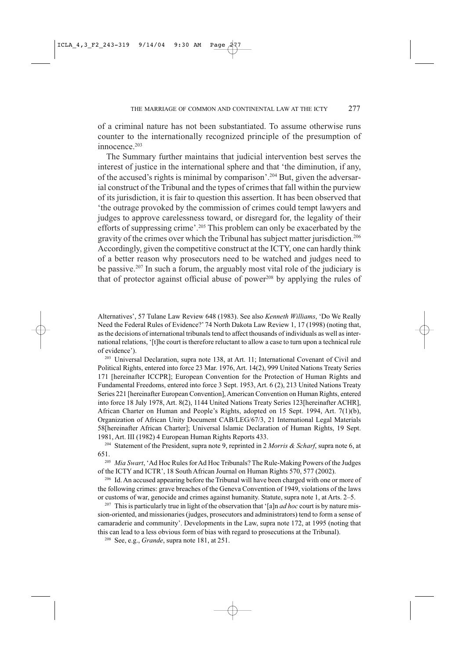of a criminal nature has not been substantiated. To assume otherwise runs counter to the internationally recognized principle of the presumption of innocence.<sup>203</sup>

The Summary further maintains that judicial intervention best serves the interest of justice in the international sphere and that 'the diminution, if any, of the accused's rights is minimal by comparison'.<sup>204</sup> But, given the adversarial construct of the Tribunal and the types of crimes that fall within the purview of its jurisdiction, it is fair to question this assertion. It has been observed that 'the outrage provoked by the commission of crimes could tempt lawyers and judges to approve carelessness toward, or disregard for, the legality of their efforts of suppressing crime'.<sup>205</sup> This problem can only be exacerbated by the gravity of the crimes over which the Tribunal has subject matter jurisdiction.<sup>206</sup> Accordingly, given the competitive construct at the ICTY, one can hardly think of a better reason why prosecutors need to be watched and judges need to be passive.<sup>207</sup> In such a forum, the arguably most vital role of the judiciary is that of protector against official abuse of power<sup>208</sup> by applying the rules of

Alternatives', 57 Tulane Law Review 648 (1983). See also Kenneth Williams, 'Do We Really Need the Federal Rules of Evidence?' 74 North Dakota Law Review 1, 17 (1998) (noting that, as the decisions of international tribunals tend to affect thousands of individuals as well as international relations, '[t]he court is therefore reluctant to allow a case to turn upon a technical rule of evidence').

<sup>203</sup> Universal Declaration, supra note 138, at Art. 11; International Covenant of Civil and Political Rights, entered into force 23 Mar. 1976, Art. 14(2), 999 United Nations Treaty Series 171 [hereinafter ICCPR]; European Convention for the Protection of Human Rights and Fundamental Freedoms, entered into force 3 Sept. 1953, Art. 6 (2), 213 United Nations Treaty Series 221 [hereinafter European Convention], American Convention on Human Rights, entered into force 18 July 1978, Art. 8(2), 1144 United Nations Treaty Series 123[hereinafter ACHR], African Charter on Human and People's Rights, adopted on 15 Sept. 1994, Art. 7(1)(b), Organization of African Unity Document CAB/LEG/67/3, 21 International Legal Materials 58 [hereinafter African Charter]; Universal Islamic Declaration of Human Rights, 19 Sept. 1981, Art. III (1982) 4 European Human Rights Reports 433.

<sup>204</sup> Statement of the President, supra note 9, reprinted in 2 *Morris & Scharf*, supra note 6, at 651.

<sup>205</sup> Mia Swart, 'Ad Hoc Rules for Ad Hoc Tribunals? The Rule-Making Powers of the Judges of the ICTY and ICTR', 18 South African Journal on Human Rights 570, 577 (2002).

<sup>206</sup> Id. An accused appearing before the Tribunal will have been charged with one or more of the following crimes: grave breaches of the Geneva Convention of 1949, violations of the laws or customs of war, genocide and crimes against humanity. Statute, supra note 1, at Arts. 2–5.

<sup>207</sup> This is particularly true in light of the observation that '[a]n *ad hoc* court is by nature mission-oriented, and missionaries (judges, prosecutors and administrators) tend to form a sense of camaraderie and community'. Developments in the Law, supra note 172, at 1995 (noting that this can lead to a less obvious form of bias with regard to prosecutions at the Tribunal).

<sup>208</sup> See, e.g., *Grande*, supra note 181, at 251.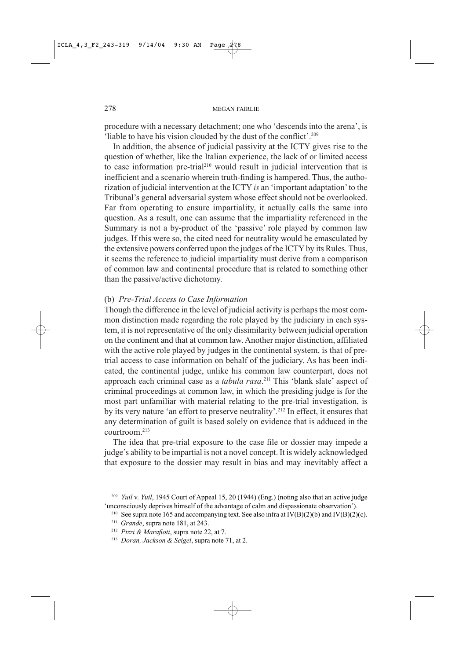procedure with a necessary detachment; one who 'descends into the arena', is 'liable to have his vision clouded by the dust of the conflict'.<sup>209</sup>

In addition, the absence of judicial passivity at the ICTY gives rise to the question of whether, like the Italian experience, the lack of or limited access to case information pre-trial<sup>210</sup> would result in judicial intervention that is inefficient and a scenario wherein truth-finding is hampered. Thus, the authorization of judicial intervention at the ICTY is an 'important adaptation' to the Tribunal's general adversarial system whose effect should not be overlooked. Far from operating to ensure impartiality, it actually calls the same into question. As a result, one can assume that the impartiality referenced in the Summary is not a by-product of the 'passive' role played by common law judges. If this were so, the cited need for neutrality would be emasculated by the extensive powers conferred upon the judges of the ICTY by its Rules. Thus, it seems the reference to judicial impartiality must derive from a comparison of common law and continental procedure that is related to something other than the passive/active dichotomy.

## (b) Pre-Trial Access to Case Information

Though the difference in the level of judicial activity is perhaps the most common distinction made regarding the role played by the judiciary in each system, it is not representative of the only dissimilarity between judicial operation on the continent and that at common law. Another major distinction, affiliated with the active role played by judges in the continental system, is that of pretrial access to case information on behalf of the judiciary. As has been indicated, the continental judge, unlike his common law counterpart, does not approach each criminal case as a *tabula rasa*.<sup>211</sup> This 'blank slate' aspect of criminal proceedings at common law, in which the presiding judge is for the most part unfamiliar with material relating to the pre-trial investigation, is by its very nature 'an effort to preserve neutrality'.<sup>212</sup> In effect, it ensures that any determination of guilt is based solely on evidence that is adduced in the  $contrroom<sup>213</sup>$ 

The idea that pre-trial exposure to the case file or dossier may impede a judge's ability to be impartial is not a novel concept. It is widely acknowledged that exposure to the dossier may result in bias and may inevitably affect a

<sup>&</sup>lt;sup>209</sup> Yuil v. Yuil, 1945 Court of Appeal 15, 20 (1944) (Eng.) (noting also that an active judge 'unconsciously deprives himself of the advantage of calm and dispassionate observation').

<sup>&</sup>lt;sup>210</sup> See supra note 165 and accompanying text. See also infra at  $IV(B)(2)(b)$  and  $IV(B)(2)(c)$ .

<sup>&</sup>lt;sup>211</sup> Grande, supra note 181, at 243.

<sup>&</sup>lt;sup>212</sup> Pizzi & Marafioti, supra note 22, at 7.

<sup>&</sup>lt;sup>213</sup> Doran, Jackson & Seigel, supra note 71, at 2.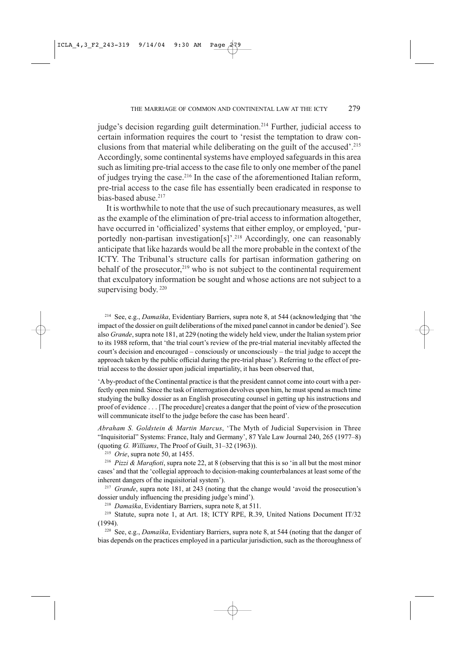judge's decision regarding guilt determination.<sup>214</sup> Further, judicial access to certain information requires the court to 'resist the temptation to draw conclusions from that material while deliberating on the guilt of the accused'.<sup>215</sup> Accordingly, some continental systems have employed safeguards in this area such as limiting pre-trial access to the case file to only one member of the panel of judges trying the case.<sup>216</sup> In the case of the aforementioned Italian reform, pre-trial access to the case file has essentially been eradicated in response to bias-based abuse.<sup>217</sup>

It is worthwhile to note that the use of such precautionary measures, as well as the example of the elimination of pre-trial access to information altogether, have occurred in 'officialized' systems that either employ, or employed, 'purportedly non-partisan investigation[s]'.<sup>218</sup> Accordingly, one can reasonably anticipate that like hazards would be all the more probable in the context of the ICTY. The Tribunal's structure calls for partisan information gathering on behalf of the prosecutor,<sup>219</sup> who is not subject to the continental requirement that exculpatory information be sought and whose actions are not subject to a supervising body.<sup>220</sup>

<sup>214</sup> See, e.g., *Damaška*, Evidentiary Barriers, supra note 8, at 544 (acknowledging that 'the impact of the dossier on guilt deliberations of the mixed panel cannot in candor be denied'). See also Grande, supra note 181, at 229 (noting the widely held view, under the Italian system prior to its 1988 reform, that 'the trial court's review of the pre-trial material inevitably affected the court's decision and encouraged – consciously or unconsciously – the trial judge to accept the approach taken by the public official during the pre-trial phase'). Referring to the effect of pretrial access to the dossier upon judicial impartiality, it has been observed that,

'A by-product of the Continental practice is that the president cannot come into court with a perfectly open mind. Since the task of interrogation devolves upon him, he must spend as much time studying the bulky dossier as an English prosecuting counsel in getting up his instructions and proof of evidence . . . [The procedure] creates a danger that the point of view of the prosecution will communicate itself to the judge before the case has been heard'.

Abraham S. Goldstein & Martin Marcus, 'The Myth of Judicial Supervision in Three "Inquisitorial" Systems: France, Italy and Germany', 87 Yale Law Journal 240, 265 (1977-8) (quoting G. Williams, The Proof of Guilt, 31-32 (1963)).

<sup>215</sup> *Orie*, supra note 50, at 1455.

<sup>216</sup> Pizzi & Marafioti, supra note 22, at 8 (observing that this is so 'in all but the most minor cases' and that the 'collegial approach to decision-making counterbalances at least some of the inherent dangers of the inquisitorial system').

<sup>217</sup> Grande, supra note 181, at 243 (noting that the change would 'avoid the prosecution's dossier unduly influencing the presiding judge's mind').

<sup>218</sup> Damaška, Evidentiary Barriers, supra note 8, at 511.

<sup>219</sup> Statute, supra note 1, at Art. 18; ICTY RPE, R.39, United Nations Document IT/32  $(1994)$ .

<sup>220</sup> See, e.g., *Damaška*, Evidentiary Barriers, supra note 8, at 544 (noting that the danger of bias depends on the practices employed in a particular jurisdiction, such as the thoroughness of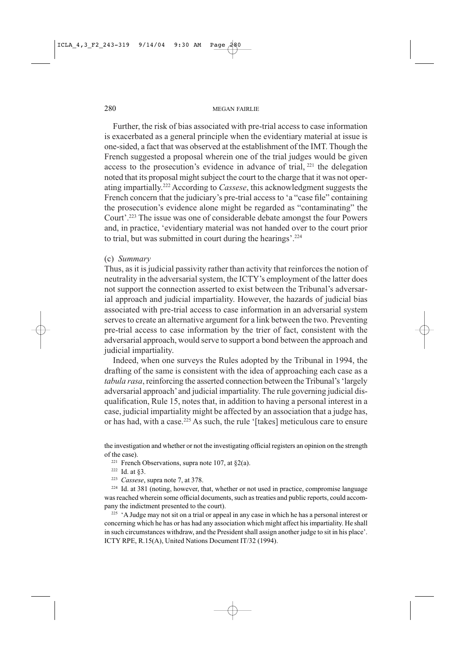Further, the risk of bias associated with pre-trial access to case information is exacerbated as a general principle when the evidentiary material at issue is one-sided, a fact that was observed at the establishment of the IMT. Though the French suggested a proposal wherein one of the trial judges would be given access to the prosecution's evidence in advance of trial, <sup>221</sup> the delegation noted that its proposal might subject the court to the charge that it was not operating impartially.<sup>222</sup> According to Cassese, this acknowledgment suggests the French concern that the judiciary's pre-trial access to 'a "case file" containing the prosecution's evidence alone might be regarded as "contaminating" the Court'.<sup>223</sup> The issue was one of considerable debate amongst the four Powers and, in practice, 'evidentiary material was not handed over to the court prior to trial, but was submitted in court during the hearings'.<sup>224</sup>

#### (c) Summary

Thus, as it is judicial passivity rather than activity that reinforces the notion of neutrality in the adversarial system, the ICTY's employment of the latter does not support the connection asserted to exist between the Tribunal's adversarial approach and judicial impartiality. However, the hazards of judicial bias associated with pre-trial access to case information in an adversarial system serves to create an alternative argument for a link between the two. Preventing pre-trial access to case information by the trier of fact, consistent with the adversarial approach, would serve to support a bond between the approach and judicial impartiality.

Indeed, when one surveys the Rules adopted by the Tribunal in 1994, the drafting of the same is consistent with the idea of approaching each case as a tabula rasa, reinforcing the asserted connection between the Tribunal's 'largely adversarial approach' and judicial impartiality. The rule governing judicial disqualification, Rule 15, notes that, in addition to having a personal interest in a case, judicial impartiality might be affected by an association that a judge has, or has had, with a case.<sup>225</sup> As such, the rule '[takes] meticulous care to ensure

the investigation and whether or not the investigating official registers an opinion on the strength of the case).

- <sup>221</sup> French Observations, supra note 107, at  $\S 2(a)$ .
- $222$  Id. at §3.
- <sup>223</sup> Cassese, supra note 7, at 378.

<sup>224</sup> Id. at 381 (noting, however, that, whether or not used in practice, compromise language was reached wherein some official documents, such as treaties and public reports, could accompany the indictment presented to the court).

<sup>225</sup> 'A Judge may not sit on a trial or appeal in any case in which he has a personal interest or concerning which he has or has had any association which might affect his impartiality. He shall in such circumstances withdraw, and the President shall assign another judge to sit in his place'. ICTY RPE, R.15(A), United Nations Document IT/32 (1994).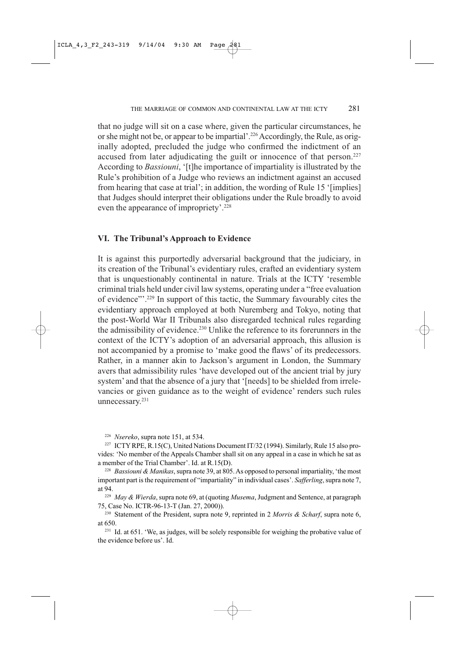that no judge will sit on a case where, given the particular circumstances, he or she might not be, or appear to be impartial'.<sup>226</sup> Accordingly, the Rule, as originally adopted, precluded the judge who confirmed the indictment of an accused from later adjudicating the guilt or innocence of that person.<sup>227</sup> According to *Bassiouni*, '[t]he importance of impartiality is illustrated by the Rule's prohibition of a Judge who reviews an indictment against an accused from hearing that case at trial'; in addition, the wording of Rule 15 '[implies] that Judges should interpret their obligations under the Rule broadly to avoid even the appearance of impropriety'.<sup>228</sup>

### VI. The Tribunal's Approach to Evidence

It is against this purportedly adversarial background that the judiciary, in its creation of the Tribunal's evidentiary rules, crafted an evidentiary system that is unquestionably continental in nature. Trials at the ICTY 'resemble criminal trials held under civil law systems, operating under a "free evaluation" of evidence"'.<sup>229</sup> In support of this tactic, the Summary favourably cites the evidentiary approach employed at both Nuremberg and Tokyo, noting that the post-World War II Tribunals also disregarded technical rules regarding the admissibility of evidence.<sup>230</sup> Unlike the reference to its forerunners in the context of the ICTY's adoption of an adversarial approach, this allusion is not accompanied by a promise to 'make good the flaws' of its predecessors. Rather, in a manner akin to Jackson's argument in London, the Summary avers that admissibility rules 'have developed out of the ancient trial by jury system' and that the absence of a jury that '[needs] to be shielded from irrelevancies or given guidance as to the weight of evidence' renders such rules unnecessary.<sup>231</sup>

<sup>226</sup> Nsereko, supra note 151, at 534.

<sup>227</sup> ICTY RPE, R.15(C), United Nations Document IT/32 (1994). Similarly, Rule 15 also provides: 'No member of the Appeals Chamber shall sit on any appeal in a case in which he sat as a member of the Trial Chamber'. Id. at R.15(D).

<sup>228</sup> Bassiouni & Manikas, supra note 39, at 805. As opposed to personal impartiality, 'the most important part is the requirement of "impartiality" in individual cases'. Safferling, supra note 7, at 94.

<sup>229</sup> May & Wierda, supra note 69, at (quoting Musema, Judgment and Sentence, at paragraph 75, Case No. ICTR-96-13-T (Jan. 27, 2000)).

<sup>230</sup> Statement of the President, supra note 9, reprinted in 2 Morris & Scharf, supra note 6, at 650.

<sup>231</sup> Id. at 651. 'We, as judges, will be solely responsible for weighing the probative value of the evidence before us'. Id.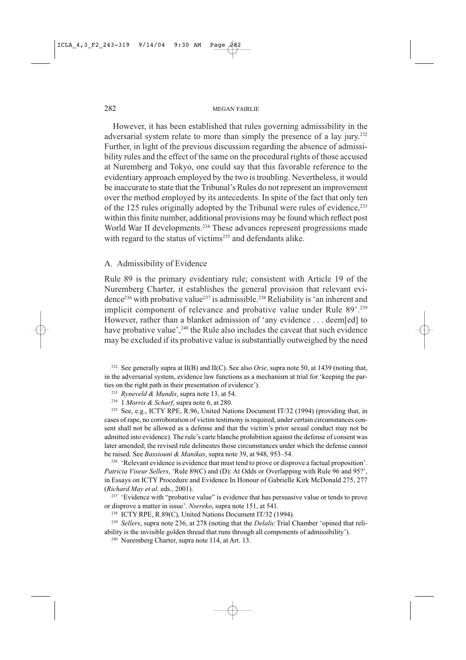However, it has been established that rules governing admissibility in the adversarial system relate to more than simply the presence of a lay jury.<sup>232</sup> Further, in light of the previous discussion regarding the absence of admissibility rules and the effect of the same on the procedural rights of those accused at Nuremberg and Tokyo, one could say that this favorable reference to the evidentiary approach employed by the two is troubling. Nevertheless, it would be inaccurate to state that the Tribunal's Rules do not represent an improvement over the method employed by its antecedents. In spite of the fact that only ten of the 125 rules originally adopted by the Tribunal were rules of evidence,<sup>233</sup> within this finite number, additional provisions may be found which reflect post World War II developments.<sup>234</sup> These advances represent progressions made with regard to the status of victims<sup>235</sup> and defendants alike.

#### A. Admissibility of Evidence

Rule 89 is the primary evidentiary rule; consistent with Article 19 of the Nuremberg Charter, it establishes the general provision that relevant evidence<sup>236</sup> with probative value<sup>237</sup> is admissible.<sup>238</sup> Reliability is 'an inherent and implicit component of relevance and probative value under Rule 89'.<sup>239</sup> However, rather than a blanket admission of 'any evidence . . . deem[ed] to have probative value',<sup>240</sup> the Rule also includes the caveat that such evidence may be excluded if its probative value is substantially outweighed by the need

<sup>232</sup> See generally supra at II(B) and II(C). See also *Orie*, supra note 50, at 1439 (noting that, in the adversarial system, evidence law functions as a mechanism at trial for 'keeping the parties on the right path in their presentation of evidence').

- <sup>233</sup> Ryneveld & Mundis, supra note 13, at 54.
- $234$  1 *Morris & Scharf*, supra note 6, at 280.

<sup>235</sup> See, e.g., ICTY RPE, R.96, United Nations Document IT/32 (1994) (providing that, in cases of rape, no corroboration of victim testimony is required, under certain circumstances consent shall not be allowed as a defense and that the victim's prior sexual conduct may not be admitted into evidence). The rule's carte blanche prohibition against the defense of consent was later amended; the revised rule delineates those circumstances under which the defense cannot be raised. See Bassiouni & Manikas, supra note 39, at 948, 953–54.

<sup>236</sup> 'Relevant evidence is evidence that must tend to prove or disprove a factual proposition'. Patricia Viseur Sellers, 'Rule 89(C) and (D): At Odds or Overlapping with Rule 96 and 95?', in Essays on ICTY Procedure and Evidence In Honour of Gabrielle Kirk McDonald 275, 277 (Richard May et al. eds., 2001).

<sup>237</sup> 'Evidence with "probative value" is evidence that has persuasive value or tends to prove or disprove a matter in issue'. Nsereko, supra note 151, at 541.

<sup>238</sup> ICTY RPE, R.89(C), United Nations Document IT/32 (1994).

<sup>239</sup> Sellers, supra note 236, at 278 (noting that the *Delalic* Trial Chamber 'opined that reliability is the invisible golden thread that runs through all components of admissibility').

<sup>240</sup> Nuremberg Charter, supra note 114, at Art. 13.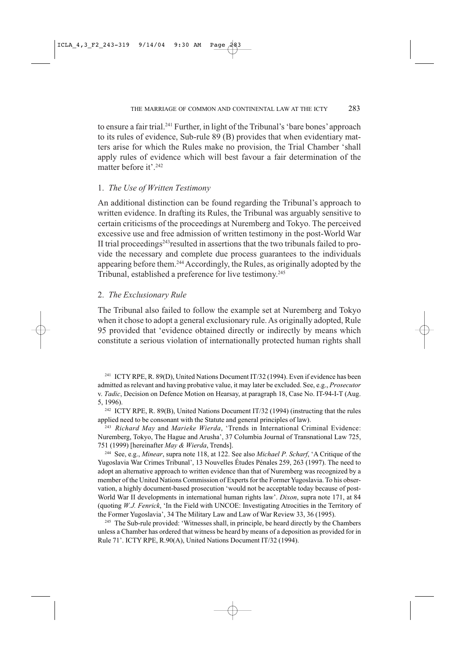to ensure a fair trial.<sup>241</sup> Further, in light of the Tribunal's 'bare bones' approach to its rules of evidence, Sub-rule 89 (B) provides that when evidentiary matters arise for which the Rules make no provision, the Trial Chamber 'shall apply rules of evidence which will best favour a fair determination of the matter before it'.<sup>242</sup>

## 1. The Use of Written Testimony

An additional distinction can be found regarding the Tribunal's approach to written evidence. In drafting its Rules, the Tribunal was arguably sensitive to certain criticisms of the proceedings at Nuremberg and Tokyo. The perceived excessive use and free admission of written testimony in the post-World War II trial proceedings<sup>243</sup> resulted in assertions that the two tribunals failed to provide the necessary and complete due process guarantees to the individuals appearing before them.<sup>244</sup> Accordingly, the Rules, as originally adopted by the Tribunal, established a preference for live testimony.<sup>245</sup>

## 2. The Exclusionary Rule

The Tribunal also failed to follow the example set at Nuremberg and Tokyo when it chose to adopt a general exclusionary rule. As originally adopted, Rule 95 provided that 'evidence obtained directly or indirectly by means which constitute a serious violation of internationally protected human rights shall

<sup>241</sup> ICTY RPE, R. 89(D), United Nations Document IT/32 (1994). Even if evidence has been admitted as relevant and having probative value, it may later be excluded. See, e.g., Prosecutor v. Tadic, Decision on Defence Motion on Hearsay, at paragraph 18, Case No. IT-94-I-T (Aug. 5, 1996).

<sup>242</sup> ICTY RPE, R. 89(B), United Nations Document IT/32 (1994) (instructing that the rules applied need to be consonant with the Statute and general principles of law).

<sup>243</sup> Richard May and Marieke Wierda, 'Trends in International Criminal Evidence: Nuremberg, Tokyo, The Hague and Arusha', 37 Columbia Journal of Transnational Law 725, 751 (1999) [hereinafter May & Wierda, Trends].

<sup>244</sup> See, e.g., *Minear*, supra note 118, at 122. See also *Michael P. Scharf*, 'A Critique of the Yugoslavia War Crimes Tribunal', 13 Nouvelles Études Pénales 259, 263 (1997). The need to adopt an alternative approach to written evidence than that of Nuremberg was recognized by a member of the United Nations Commission of Experts for the Former Yugoslavia. To his observation, a highly document-based prosecution 'would not be acceptable today because of post-World War II developments in international human rights law'. Dixon, supra note 171, at 84 (quoting W.J. Fenrick, 'In the Field with UNCOE: Investigating Atrocities in the Territory of the Former Yugoslavia', 34 The Military Law and Law of War Review 33, 36 (1995).

<sup>245</sup> The Sub-rule provided: 'Witnesses shall, in principle, be heard directly by the Chambers unless a Chamber has ordered that witness be heard by means of a deposition as provided for in Rule 71'. ICTY RPE, R.90(A), United Nations Document IT/32 (1994).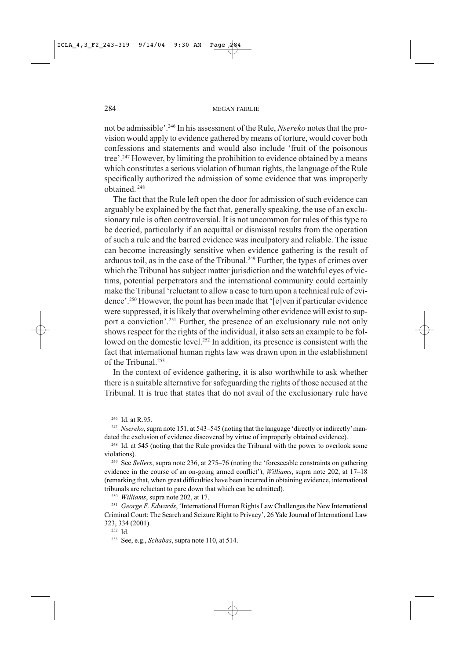not be admissible'.<sup>246</sup> In his assessment of the Rule, *Nsereko* notes that the provision would apply to evidence gathered by means of torture, would cover both confessions and statements and would also include 'fruit of the poisonous tree'.<sup>247</sup> However, by limiting the prohibition to evidence obtained by a means which constitutes a serious violation of human rights, the language of the Rule specifically authorized the admission of some evidence that was improperly obtained.<sup>248</sup>

The fact that the Rule left open the door for admission of such evidence can arguably be explained by the fact that, generally speaking, the use of an exclusionary rule is often controversial. It is not uncommon for rules of this type to be decried, particularly if an acquittal or dismissal results from the operation of such a rule and the barred evidence was inculpatory and reliable. The issue can become increasingly sensitive when evidence gathering is the result of arduous toil, as in the case of the Tribunal.<sup>249</sup> Further, the types of crimes over which the Tribunal has subject matter jurisdiction and the watchful eyes of victims, potential perpetrators and the international community could certainly make the Tribunal 'reluctant to allow a case to turn upon a technical rule of evidence'.<sup>250</sup> However, the point has been made that '[e]ven if particular evidence were suppressed, it is likely that overwhelming other evidence will exist to support a conviction'.<sup>251</sup> Further, the presence of an exclusionary rule not only shows respect for the rights of the individual, it also sets an example to be followed on the domestic level.<sup>252</sup> In addition, its presence is consistent with the fact that international human rights law was drawn upon in the establishment of the Tribunal.<sup>253</sup>

In the context of evidence gathering, it is also worthwhile to ask whether there is a suitable alternative for safeguarding the rights of those accused at the Tribunal. It is true that states that do not avail of the exclusionary rule have

<sup>246</sup> Id. at R.95.

<sup>247</sup> Nsereko, supra note 151, at 543–545 (noting that the language 'directly or indirectly' mandated the exclusion of evidence discovered by virtue of improperly obtained evidence).

<sup>248</sup> Id. at 545 (noting that the Rule provides the Tribunal with the power to overlook some violations).

<sup>249</sup> See Sellers, supra note 236, at 275–76 (noting the 'foreseeable constraints on gathering evidence in the course of an on-going armed conflict'); *Williams*, supra note 202, at 17–18 (remarking that, when great difficulties have been incurred in obtaining evidence, international tribunals are reluctant to pare down that which can be admitted).

<sup>250</sup> *Williams*, supra note 202, at 17.

<sup>251</sup> George E. Edwards, 'International Human Rights Law Challenges the New International Criminal Court: The Search and Seizure Right to Privacy', 26 Yale Journal of International Law 323, 334 (2001).

 $252$  Id.

<sup>&</sup>lt;sup>253</sup> See, e.g., *Schabas*, supra note 110, at 514.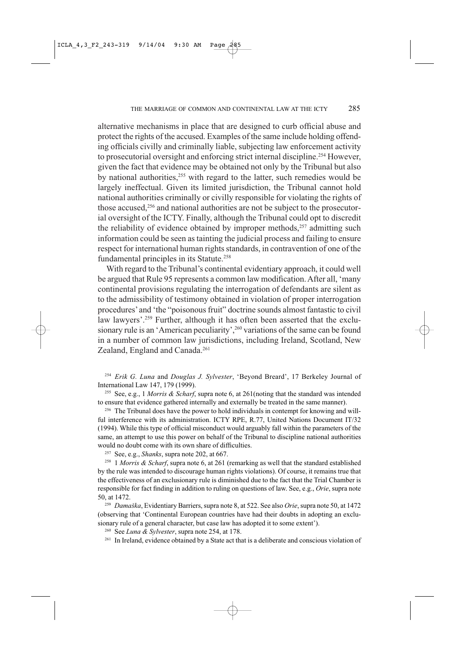alternative mechanisms in place that are designed to curb official abuse and protect the rights of the accused. Examples of the same include holding offending officials civilly and criminally liable, subjecting law enforcement activity to prosecutorial oversight and enforcing strict internal discipline.<sup>254</sup> However, given the fact that evidence may be obtained not only by the Tribunal but also by national authorities,<sup>255</sup> with regard to the latter, such remedies would be largely ineffectual. Given its limited jurisdiction, the Tribunal cannot hold national authorities criminally or civilly responsible for violating the rights of those accused,<sup>256</sup> and national authorities are not be subject to the prosecutorial oversight of the ICTY. Finally, although the Tribunal could opt to discredit the reliability of evidence obtained by improper methods,<sup>257</sup> admitting such information could be seen as tainting the judicial process and failing to ensure respect for international human rights standards, in contravention of one of the fundamental principles in its Statute.<sup>258</sup>

With regard to the Tribunal's continental evidentiary approach, it could well be argued that Rule 95 represents a common law modification. After all, 'many continental provisions regulating the interrogation of defendants are silent as to the admissibility of testimony obtained in violation of proper interrogation procedures' and 'the "poisonous fruit" doctrine sounds almost fantastic to civil law lawyers'.<sup>259</sup> Further, although it has often been asserted that the exclusionary rule is an 'American peculiarity',<sup>260</sup> variations of the same can be found in a number of common law jurisdictions, including Ireland, Scotland, New Zealand, England and Canada.<sup>261</sup>

<sup>254</sup> Erik G. Luna and Douglas J. Sylvester, 'Beyond Breard', 17 Berkeley Journal of International Law 147, 179 (1999).

<sup>255</sup> See, e.g., 1 Morris & Scharf, supra note 6, at 261(noting that the standard was intended to ensure that evidence gathered internally and externally be treated in the same manner).

<sup>256</sup> The Tribunal does have the power to hold individuals in contempt for knowing and willful interference with its administration. ICTY RPE, R.77, United Nations Document IT/32 (1994). While this type of official misconduct would arguably fall within the parameters of the same, an attempt to use this power on behalf of the Tribunal to discipline national authorities would no doubt come with its own share of difficulties.

<sup>257</sup> See, e.g., *Shanks*, supra note 202, at 667.

<sup>258</sup> 1 Morris & Scharf, supra note 6, at 261 (remarking as well that the standard established by the rule was intended to discourage human rights violations). Of course, it remains true that the effectiveness of an exclusionary rule is diminished due to the fact that the Trial Chamber is responsible for fact finding in addition to ruling on questions of law. See, e.g., Orie, supra note 50, at 1472.

<sup>259</sup> Damaška, Evidentiary Barriers, supra note 8, at 522. See also Orie, supra note 50, at 1472 (observing that 'Continental European countries have had their doubts in adopting an exclusionary rule of a general character, but case law has adopted it to some extent').

<sup>260</sup> See Luna & Sylvester, supra note 254, at 178.

<sup>261</sup> In Ireland, evidence obtained by a State act that is a deliberate and conscious violation of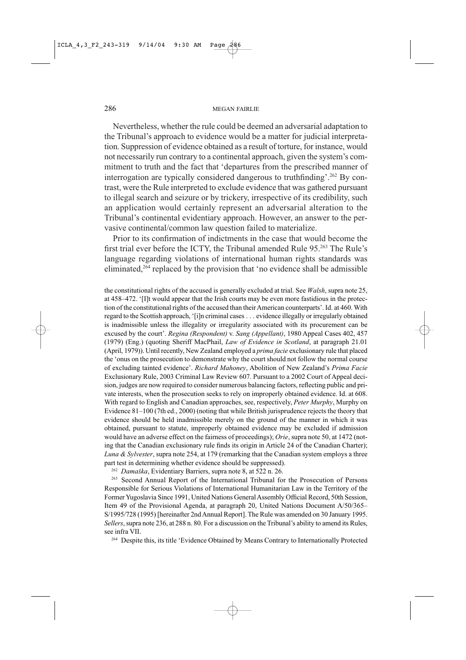Nevertheless, whether the rule could be deemed an adversarial adaptation to the Tribunal's approach to evidence would be a matter for judicial interpretation. Suppression of evidence obtained as a result of torture, for instance, would not necessarily run contrary to a continental approach, given the system's commitment to truth and the fact that 'departures from the prescribed manner of interrogation are typically considered dangerous to truthfinding'.<sup>262</sup> By contrast, were the Rule interpreted to exclude evidence that was gathered pursuant to illegal search and seizure or by trickery, irrespective of its credibility, such an application would certainly represent an adversarial alteration to the Tribunal's continental evidentiary approach. However, an answer to the pervasive continental/common law question failed to materialize.

Prior to its confirmation of indictments in the case that would become the first trial ever before the ICTY, the Tribunal amended Rule 95.<sup>263</sup> The Rule's language regarding violations of international human rights standards was eliminated,<sup>264</sup> replaced by the provision that 'no evidence shall be admissible

the constitutional rights of the accused is generally excluded at trial. See Walsh, supra note 25, at 458–472. '[I]t would appear that the Irish courts may be even more fastidious in the protection of the constitutional rights of the accused than their American counterparts'. Id. at 460. With regard to the Scottish approach, '[i]n criminal cases . . . evidence illegally or irregularly obtained is inadmissible unless the illegality or irregularity associated with its procurement can be excused by the court'. Regina (Respondent) v. Sang (Appellant), 1980 Appeal Cases 402, 457 (1979) (Eng.) (quoting Sheriff MacPhail, Law of Evidence in Scotland, at paragraph 21.01 (April, 1979)). Until recently, New Zealand employed a *prima facie* exclusionary rule that placed the 'onus on the prosecution to demonstrate why the court should not follow the normal course of excluding tainted evidence'. Richard Mahoney, Abolition of New Zealand's Prima Facie Exclusionary Rule, 2003 Criminal Law Review 607. Pursuant to a 2002 Court of Appeal decision, judges are now required to consider numerous balancing factors, reflecting public and private interests, when the prosecution seeks to rely on improperly obtained evidence. Id. at 608. With regard to English and Canadian approaches, see, respectively, Peter Murphy, Murphy on Evidence 81–100 (7th ed., 2000) (noting that while British jurisprudence rejects the theory that evidence should be held inadmissible merely on the ground of the manner in which it was obtained, pursuant to statute, improperly obtained evidence may be excluded if admission would have an adverse effect on the fairness of proceedings); Orie, supra note 50, at 1472 (noting that the Canadian exclusionary rule finds its origin in Article 24 of the Canadian Charter); Luna & Sylvester, supra note 254, at 179 (remarking that the Canadian system employs a three part test in determining whether evidence should be suppressed).

<sup>262</sup> Damaška, Evidentiary Barriers, supra note 8, at 522 n. 26.

<sup>263</sup> Second Annual Report of the International Tribunal for the Prosecution of Persons Responsible for Serious Violations of International Humanitarian Law in the Territory of the Former Yugoslavia Since 1991, United Nations General Assembly Official Record, 50th Session, Item 49 of the Provisional Agenda, at paragraph 20, United Nations Document A/50/365-S/1995/728 (1995) [hereinafter 2nd Annual Report]. The Rule was amended on 30 January 1995. Sellers, supra note 236, at 288 n. 80. For a discussion on the Tribunal's ability to amend its Rules, see infra VII.

<sup>264</sup> Despite this, its title 'Evidence Obtained by Means Contrary to Internationally Protected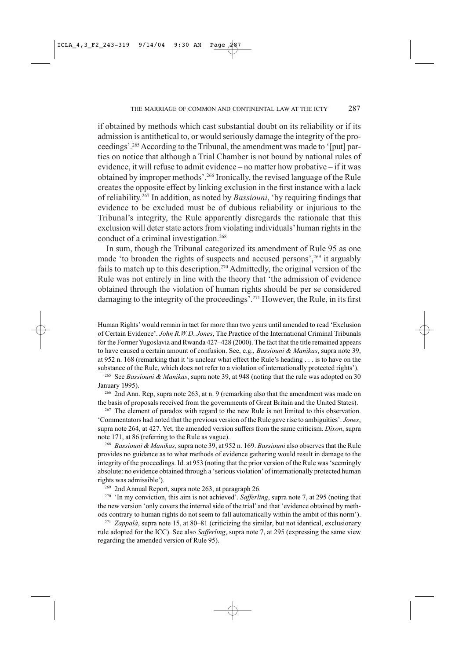if obtained by methods which cast substantial doubt on its reliability or if its admission is antithetical to, or would seriously damage the integrity of the proceedings'.<sup>265</sup> According to the Tribunal, the amendment was made to '[put] parties on notice that although a Trial Chamber is not bound by national rules of evidence, it will refuse to admit evidence – no matter how probative – if it was obtained by improper methods'.<sup>266</sup> Ironically, the revised language of the Rule creates the opposite effect by linking exclusion in the first instance with a lack of reliability.<sup>267</sup> In addition, as noted by *Bassiouni*, 'by requiring findings that evidence to be excluded must be of dubious reliability or injurious to the Tribunal's integrity, the Rule apparently disregards the rationale that this exclusion will deter state actors from violating individuals' human rights in the conduct of a criminal investigation.<sup>268</sup>

In sum, though the Tribunal categorized its amendment of Rule 95 as one made 'to broaden the rights of suspects and accused persons',<sup>269</sup> it arguably fails to match up to this description.<sup>270</sup> Admittedly, the original version of the Rule was not entirely in line with the theory that 'the admission of evidence obtained through the violation of human rights should be per se considered damaging to the integrity of the proceedings'.<sup>271</sup> However, the Rule, in its first

Human Rights' would remain in tact for more than two years until amended to read 'Exclusion of Certain Evidence'. John R.W.D. Jones, The Practice of the International Criminal Tribunals for the Former Yugoslavia and Rwanda 427-428 (2000). The fact that the title remained appears to have caused a certain amount of confusion. See, e.g., *Bassiouni & Manikas*, supra note 39, at 952 n. 168 (remarking that it 'is unclear what effect the Rule's heading . . . is to have on the substance of the Rule, which does not refer to a violation of internationally protected rights').

<sup>265</sup> See *Bassiouni & Manikas*, supra note 39, at 948 (noting that the rule was adopted on 30 January 1995).

<sup>266</sup> 2nd Ann. Rep, supra note 263, at n. 9 (remarking also that the amendment was made on the basis of proposals received from the governments of Great Britain and the United States).

<sup>267</sup> The element of paradox with regard to the new Rule is not limited to this observation. 'Commentators had noted that the previous version of the Rule gave rise to ambiguities'. Jones, supra note 264, at 427. Yet, the amended version suffers from the same criticism. *Dixon*, supra note 171, at 86 (referring to the Rule as vague).

<sup>268</sup> Bassiouni & Manikas, supra note 39, at 952 n. 169. Bassiouni also observes that the Rule provides no guidance as to what methods of evidence gathering would result in damage to the integrity of the proceedings. Id. at 953 (noting that the prior version of the Rule was 'seemingly absolute: no evidence obtained through a 'serious violation' of internationally protected human rights was admissible').

<sup>269</sup> 2nd Annual Report, supra note 263, at paragraph 26.

<sup>270</sup> 'In my conviction, this aim is not achieved'. Safferling, supra note 7, at 295 (noting that the new version 'only covers the internal side of the trial' and that 'evidence obtained by methods contrary to human rights do not seem to fall automatically within the ambit of this norm').

<sup>271</sup> Zappalà, supra note 15, at 80–81 (criticizing the similar, but not identical, exclusionary rule adopted for the ICC). See also Safferling, supra note 7, at 295 (expressing the same view regarding the amended version of Rule 95).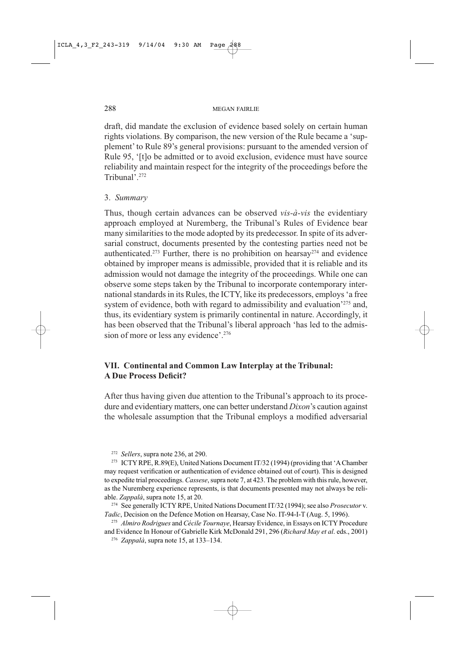draft, did mandate the exclusion of evidence based solely on certain human rights violations. By comparison, the new version of the Rule became a 'supplement' to Rule 89's general provisions: pursuant to the amended version of Rule 95, '[t]o be admitted or to avoid exclusion, evidence must have source reliability and maintain respect for the integrity of the proceedings before the Tribunal'.<sup>272</sup>

# 3. Summary

Thus, though certain advances can be observed vis-à-vis the evidentiary approach employed at Nuremberg, the Tribunal's Rules of Evidence bear many similarities to the mode adopted by its predecessor. In spite of its adversarial construct, documents presented by the contesting parties need not be authenticated.<sup>273</sup> Further, there is no prohibition on hearsay<sup>274</sup> and evidence obtained by improper means is admissible, provided that it is reliable and its admission would not damage the integrity of the proceedings. While one can observe some steps taken by the Tribunal to incorporate contemporary international standards in its Rules, the ICTY, like its predecessors, employs 'a free system of evidence, both with regard to admissibility and evaluation<sup>275</sup> and, thus, its evidentiary system is primarily continental in nature. Accordingly, it has been observed that the Tribunal's liberal approach 'has led to the admission of more or less any evidence'.<sup>276</sup>

# VII. Continental and Common Law Interplay at the Tribunal: **A Due Process Deficit?**

After thus having given due attention to the Tribunal's approach to its procedure and evidentiary matters, one can better understand *Dixon's* caution against the wholesale assumption that the Tribunal employs a modified adversarial

<sup>272</sup> Sellers, supra note 236, at 290.

<sup>273</sup> ICTY RPE, R.89(E), United Nations Document IT/32 (1994) (providing that 'A Chamber may request verification or authentication of evidence obtained out of court). This is designed to expedite trial proceedings. Cassese, supra note 7, at 423. The problem with this rule, however, as the Nuremberg experience represents, is that documents presented may not always be reliable. Zappalà, supra note 15, at 20.

<sup>274</sup> See generally ICTY RPE, United Nations Document IT/32 (1994); see also Prosecutor v. Tadic, Decision on the Defence Motion on Hearsay, Case No. IT-94-I-T (Aug. 5, 1996).

<sup>275</sup> Almiro Rodrigues and Cécile Tournaye, Hearsay Evidence, in Essays on ICTY Procedure and Evidence In Honour of Gabrielle Kirk McDonald 291, 296 (Richard May et al. eds., 2001) <sup>276</sup> Zappalà, supra note 15, at 133–134.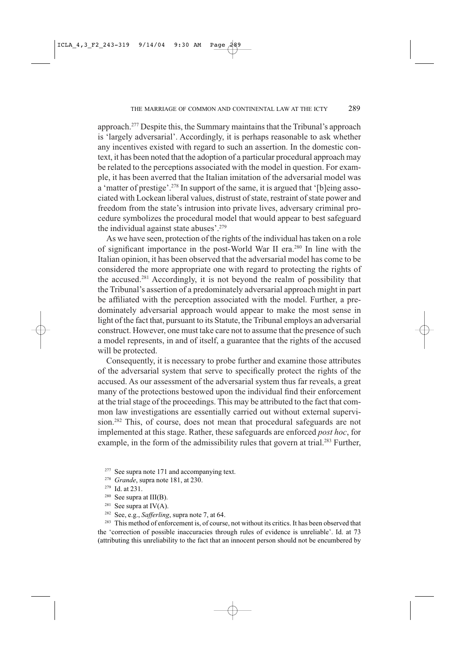approach.<sup>277</sup> Despite this, the Summary maintains that the Tribunal's approach is 'largely adversarial'. Accordingly, it is perhaps reasonable to ask whether any incentives existed with regard to such an assertion. In the domestic context, it has been noted that the adoption of a particular procedural approach may be related to the perceptions associated with the model in question. For example, it has been averred that the Italian imitation of the adversarial model was a 'matter of prestige'.<sup>278</sup> In support of the same, it is argued that '[b]eing associated with Lockean liberal values, distrust of state, restraint of state power and freedom from the state's intrusion into private lives, adversary criminal procedure symbolizes the procedural model that would appear to best safeguard the individual against state abuses'.<sup>279</sup>

As we have seen, protection of the rights of the individual has taken on a role of significant importance in the post-World War II era.<sup>280</sup> In line with the Italian opinion, it has been observed that the adversarial model has come to be considered the more appropriate one with regard to protecting the rights of the accused.<sup>281</sup> Accordingly, it is not beyond the realm of possibility that the Tribunal's assertion of a predominately adversarial approach might in part be affiliated with the perception associated with the model. Further, a predominately adversarial approach would appear to make the most sense in light of the fact that, pursuant to its Statute, the Tribunal employs an adversarial construct. However, one must take care not to assume that the presence of such a model represents, in and of itself, a guarantee that the rights of the accused will be protected.

Consequently, it is necessary to probe further and examine those attributes of the adversarial system that serve to specifically protect the rights of the accused. As our assessment of the adversarial system thus far reveals, a great many of the protections bestowed upon the individual find their enforcement at the trial stage of the proceedings. This may be attributed to the fact that common law investigations are essentially carried out without external supervision.<sup>282</sup> This, of course, does not mean that procedural safeguards are not implemented at this stage. Rather, these safeguards are enforced post hoc, for example, in the form of the admissibility rules that govern at trial.<sup>283</sup> Further,

- $277\,$ See supra note 171 and accompanying text.
- <sup>278</sup> Grande, supra note 181, at 230.
- <sup>279</sup> Id. at 231.
- $280$  See supra at III(B).
- 281 See supra at  $IV(A)$ .
- <sup>282</sup> See, e.g., Safferling, supra note 7, at 64.

<sup>283</sup> This method of enforcement is, of course, not without its critics. It has been observed that the 'correction of possible inaccuracies through rules of evidence is unreliable'. Id. at 73 (attributing this unreliability to the fact that an innocent person should not be encumbered by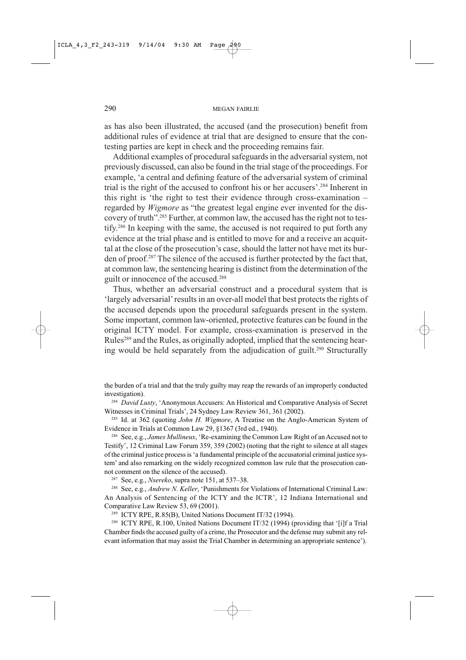as has also been illustrated, the accused (and the prosecution) benefit from additional rules of evidence at trial that are designed to ensure that the contesting parties are kept in check and the proceeding remains fair.

Additional examples of procedural safeguards in the adversarial system, not previously discussed, can also be found in the trial stage of the proceedings. For example, 'a central and defining feature of the adversarial system of criminal trial is the right of the accused to confront his or her accusers'.<sup>284</sup> Inherent in this right is 'the right to test their evidence through cross-examination regarded by *Wigmore* as "the greatest legal engine ever invented for the discovery of truth".<sup>285</sup> Further, at common law, the accused has the right not to testify.<sup>286</sup> In keeping with the same, the accused is not required to put forth any evidence at the trial phase and is entitled to move for and a receive an acquittal at the close of the prosecution's case, should the latter not have met its burden of proof.<sup>287</sup> The silence of the accused is further protected by the fact that, at common law, the sentencing hearing is distinct from the determination of the guilt or innocence of the accused.<sup>288</sup>

Thus, whether an adversarial construct and a procedural system that is 'largely adversarial' results in an over-all model that best protects the rights of the accused depends upon the procedural safeguards present in the system. Some important, common law-oriented, protective features can be found in the original ICTY model. For example, cross-examination is preserved in the Rules<sup>289</sup> and the Rules, as originally adopted, implied that the sentencing hearing would be held separately from the adjudication of guilt.<sup>290</sup> Structurally

the burden of a trial and that the truly guilty may reap the rewards of an improperly conducted investigation).

<sup>284</sup> David Lusty, 'Anonymous Accusers: An Historical and Comparative Analysis of Secret Witnesses in Criminal Trials', 24 Sydney Law Review 361, 361 (2002).

<sup>285</sup> Id. at 362 (quoting *John H. Wigmore*, A Treatise on the Anglo-American System of Evidence in Trials at Common Law 29, §1367 (3rd ed., 1940).

<sup>286</sup> See, e.g., *James Mullineux*, 'Re-examining the Common Law Right of an Accused not to Testify', 12 Criminal Law Forum 359, 359 (2002) (noting that the right to silence at all stages of the criminal justice process is 'a fundamental principle of the accusatorial criminal justice system' and also remarking on the widely recognized common law rule that the prosecution cannot comment on the silence of the accused).

<sup>287</sup> See, e.g., *Nsereko*, supra note 151, at 537-38.

<sup>288</sup> See, e.g., *Andrew N. Keller*, 'Punishments for Violations of International Criminal Law: An Analysis of Sentencing of the ICTY and the ICTR', 12 Indiana International and Comparative Law Review 53, 69 (2001).

<sup>289</sup> ICTY RPE, R.85(B), United Nations Document IT/32 (1994).

<sup>290</sup> ICTY RPE, R.100, United Nations Document IT/32 (1994) (providing that '[i]f a Trial Chamber finds the accused guilty of a crime, the Prosecutor and the defense may submit any relevant information that may assist the Trial Chamber in determining an appropriate sentence').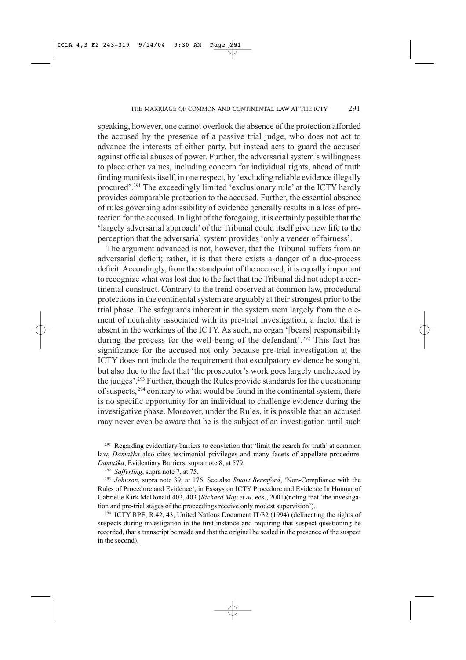speaking, however, one cannot overlook the absence of the protection afforded the accused by the presence of a passive trial judge, who does not act to advance the interests of either party, but instead acts to guard the accused against official abuses of power. Further, the adversarial system's willingness to place other values, including concern for individual rights, ahead of truth finding manifests itself, in one respect, by 'excluding reliable evidence illegally procured'.<sup>291</sup> The exceedingly limited 'exclusionary rule' at the ICTY hardly provides comparable protection to the accused. Further, the essential absence of rules governing admissibility of evidence generally results in a loss of protection for the accused. In light of the foregoing, it is certainly possible that the 'largely adversarial approach' of the Tribunal could itself give new life to the perception that the adversarial system provides 'only a veneer of fairness'.

The argument advanced is not, however, that the Tribunal suffers from an adversarial deficit; rather, it is that there exists a danger of a due-process deficit. Accordingly, from the standpoint of the accused, it is equally important to recognize what was lost due to the fact that the Tribunal did not adopt a continental construct. Contrary to the trend observed at common law, procedural protections in the continental system are arguably at their strongest prior to the trial phase. The safeguards inherent in the system stem largely from the element of neutrality associated with its pre-trial investigation, a factor that is absent in the workings of the ICTY. As such, no organ '[bears] responsibility during the process for the well-being of the defendant'.<sup>292</sup> This fact has significance for the accused not only because pre-trial investigation at the ICTY does not include the requirement that exculpatory evidence be sought, but also due to the fact that 'the prosecutor's work goes largely unchecked by the judges'.<sup>293</sup> Further, though the Rules provide standards for the questioning of suspects, <sup>294</sup> contrary to what would be found in the continental system, there is no specific opportunity for an individual to challenge evidence during the investigative phase. Moreover, under the Rules, it is possible that an accused may never even be aware that he is the subject of an investigation until such

<sup>291</sup> Regarding evidentiary barriers to conviction that 'limit the search for truth' at common law, Damaška also cites testimonial privileges and many facets of appellate procedure. Damaška, Evidentiary Barriers, supra note 8, at 579.

<sup>292</sup> Safferling, supra note 7, at 75.

<sup>293</sup> Johnson, supra note 39, at 176. See also Stuart Beresford, 'Non-Compliance with the Rules of Procedure and Evidence', in Essays on ICTY Procedure and Evidence In Honour of Gabrielle Kirk McDonald 403, 403 (Richard May et al. eds., 2001)(noting that 'the investigation and pre-trial stages of the proceedings receive only modest supervision').

<sup>294</sup> ICTY RPE, R.42, 43, United Nations Document IT/32 (1994) (delineating the rights of suspects during investigation in the first instance and requiring that suspect questioning be recorded, that a transcript be made and that the original be sealed in the presence of the suspect in the second).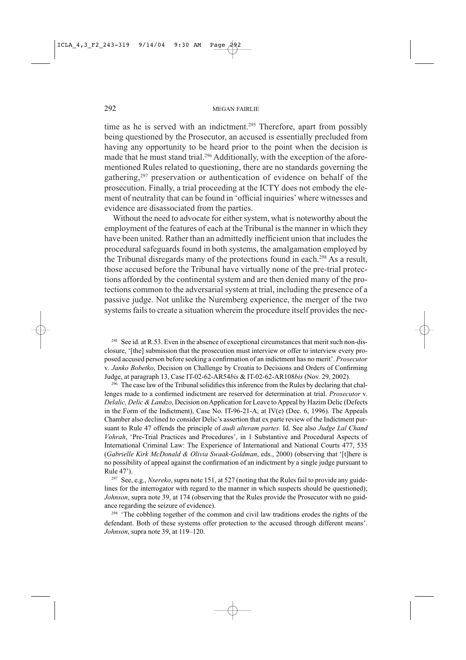time as he is served with an indictment.<sup>295</sup> Therefore, apart from possibly being questioned by the Prosecutor, an accused is essentially precluded from having any opportunity to be heard prior to the point when the decision is made that he must stand trial.<sup>296</sup> Additionally, with the exception of the aforementioned Rules related to questioning, there are no standards governing the gathering.<sup>297</sup> preservation or authentication of evidence on behalf of the prosecution. Finally, a trial proceeding at the ICTY does not embody the element of neutrality that can be found in 'official inquiries' where witnesses and evidence are disassociated from the parties.

Without the need to advocate for either system, what is noteworthy about the employment of the features of each at the Tribunal is the manner in which they have been united. Rather than an admittedly inefficient union that includes the procedural safeguards found in both systems, the amalgamation employed by the Tribunal disregards many of the protections found in each.<sup>298</sup> As a result, those accused before the Tribunal have virtually none of the pre-trial protections afforded by the continental system and are then denied many of the protections common to the adversarial system at trial, including the presence of a passive judge. Not unlike the Nuremberg experience, the merger of the two systems fails to create a situation wherein the procedure itself provides the nec-

<sup>295</sup> See id. at R.53. Even in the absence of exceptional circumstances that merit such non-disclosure, '[the] submission that the prosecution must interview or offer to interview every proposed accused person before seeking a confirmation of an indictment has no merit'. Prosecutor v. Janko Bobetko, Decision on Challenge by Croatia to Decisions and Orders of Confirming Judge, at paragraph 13, Case IT-02-62-AR54bis & IT-02-62-AR108bis (Nov. 29, 2002).

<sup>296</sup> The case law of the Tribunal solidifies this inference from the Rules by declaring that challenges made to a confirmed indictment are reserved for determination at trial. *Prosecutor* v. Delalic, Delic & Landzo, Decision on Application for Leave to Appeal by Hazim Delic (Defects in the Form of the Indictment), Case No. IT-96-21-A, at IV(e) (Dec. 6, 1996). The Appeals Chamber also declined to consider Delic's assertion that ex parte review of the Indictment pursuant to Rule 47 offends the principle of audi alteram partes. Id. See also Judge Lal Chand Vohrah, 'Pre-Trial Practices and Procedures', in 1 Substantive and Procedural Aspects of International Criminal Law: The Experience of International and National Courts 477, 535 (Gabrielle Kirk McDonald & Olivia Swaak-Goldman, eds., 2000) (observing that '[t]here is no possibility of appeal against the confirmation of an indictment by a single judge pursuant to Rule 47').

<sup>297</sup> See, e.g., *Nsereko*, supra note 151, at 527 (noting that the Rules fail to provide any guidelines for the interrogator with regard to the manner in which suspects should be questioned); Johnson, supra note 39, at 174 (observing that the Rules provide the Prosecutor with no guidance regarding the seizure of evidence).

<sup>298</sup> 'The cobbling together of the common and civil law traditions erodes the rights of the defendant. Both of these systems offer protection to the accused through different means'. Johnson, supra note 39, at 119-120.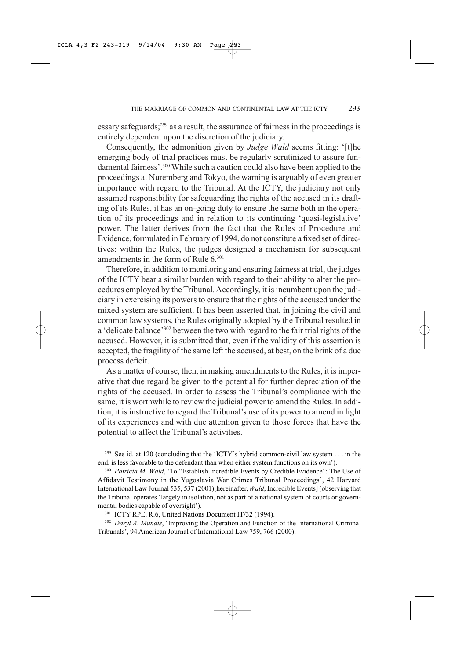essary safeguards;<sup>299</sup> as a result, the assurance of fairness in the proceedings is entirely dependent upon the discretion of the judiciary.

Consequently, the admonition given by *Judge Wald* seems fitting: '[t]he emerging body of trial practices must be regularly scrutinized to assure fundamental fairness'.<sup>300</sup> While such a caution could also have been applied to the proceedings at Nuremberg and Tokyo, the warning is arguably of even greater importance with regard to the Tribunal. At the ICTY, the judiciary not only assumed responsibility for safeguarding the rights of the accused in its drafting of its Rules, it has an on-going duty to ensure the same both in the operation of its proceedings and in relation to its continuing 'quasi-legislative' power. The latter derives from the fact that the Rules of Procedure and Evidence, formulated in February of 1994, do not constitute a fixed set of directives: within the Rules, the judges designed a mechanism for subsequent amendments in the form of Rule 6.<sup>301</sup>

Therefore, in addition to monitoring and ensuring fairness at trial, the judges of the ICTY bear a similar burden with regard to their ability to alter the procedures employed by the Tribunal. Accordingly, it is incumbent upon the judiciary in exercising its powers to ensure that the rights of the accused under the mixed system are sufficient. It has been asserted that, in joining the civil and common law systems, the Rules originally adopted by the Tribunal resulted in a 'delicate balance'<sup>302</sup> between the two with regard to the fair trial rights of the accused. However, it is submitted that, even if the validity of this assertion is accepted, the fragility of the same left the accused, at best, on the brink of a due process deficit.

As a matter of course, then, in making amendments to the Rules, it is imperative that due regard be given to the potential for further depreciation of the rights of the accused. In order to assess the Tribunal's compliance with the same, it is worthwhile to review the judicial power to amend the Rules. In addition, it is instructive to regard the Tribunal's use of its power to amend in light of its experiences and with due attention given to those forces that have the potential to affect the Tribunal's activities.

<sup>299</sup> See id. at 120 (concluding that the 'ICTY's hybrid common-civil law system . . . in the end, is less favorable to the defendant than when either system functions on its own').

<sup>300</sup> Patricia M. Wald, 'To "Establish Incredible Events by Credible Evidence": The Use of Affidavit Testimony in the Yugoslavia War Crimes Tribunal Proceedings', 42 Harvard International Law Journal 535, 537 (2001)[hereinafter, Wald, Incredible Events] (observing that the Tribunal operates 'largely in isolation, not as part of a national system of courts or governmental bodies capable of oversight').

<sup>301</sup> ICTY RPE, R.6, United Nations Document IT/32 (1994).

 $302$  Daryl A. Mundis, 'Improving the Operation and Function of the International Criminal Tribunals', 94 American Journal of International Law 759, 766 (2000).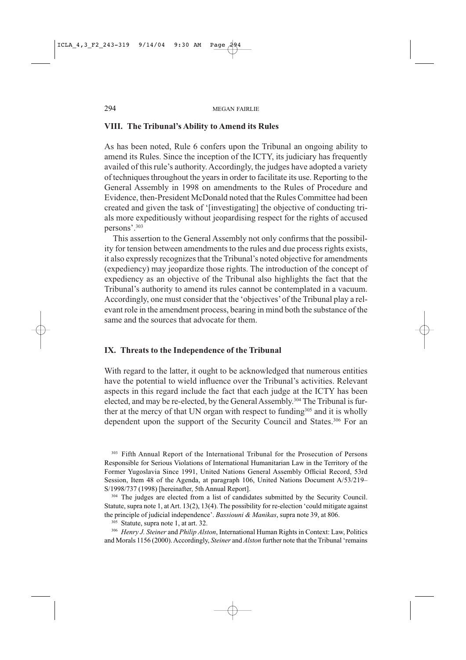## VIII. The Tribunal's Ability to Amend its Rules

As has been noted, Rule 6 confers upon the Tribunal an ongoing ability to amend its Rules. Since the inception of the ICTY, its judiciary has frequently availed of this rule's authority. Accordingly, the judges have adopted a variety of techniques throughout the years in order to facilitate its use. Reporting to the General Assembly in 1998 on amendments to the Rules of Procedure and Evidence, then-President McDonald noted that the Rules Committee had been created and given the task of '[investigating] the objective of conducting trials more expeditiously without jeopardising respect for the rights of accused persons'.<sup>303</sup>

This assertion to the General Assembly not only confirms that the possibility for tension between amendments to the rules and due process rights exists, it also expressly recognizes that the Tribunal's noted objective for amendments (expediency) may jeopardize those rights. The introduction of the concept of expediency as an objective of the Tribunal also highlights the fact that the Tribunal's authority to amend its rules cannot be contemplated in a vacuum. Accordingly, one must consider that the 'objectives' of the Tribunal play a relevant role in the amendment process, bearing in mind both the substance of the same and the sources that advocate for them.

### IX. Threats to the Independence of the Tribunal

With regard to the latter, it ought to be acknowledged that numerous entities have the potential to wield influence over the Tribunal's activities. Relevant aspects in this regard include the fact that each judge at the ICTY has been elected, and may be re-elected, by the General Assembly.<sup>304</sup> The Tribunal is further at the mercy of that UN organ with respect to funding<sup>305</sup> and it is wholly dependent upon the support of the Security Council and States.<sup>306</sup> For an

<sup>303</sup> Fifth Annual Report of the International Tribunal for the Prosecution of Persons Responsible for Serious Violations of International Humanitarian Law in the Territory of the Former Yugoslavia Since 1991, United Nations General Assembly Official Record, 53rd Session, Item 48 of the Agenda, at paragraph 106, United Nations Document A/53/219– S/1998/737 (1998) [hereinafter, 5th Annual Report].

304 The judges are elected from a list of candidates submitted by the Security Council. Statute, supra note 1, at Art. 13(2), 13(4). The possibility for re-election 'could mitigate against the principle of judicial independence'. Bassiouni & Manikas, supra note 39, at 806.

305 Statute, supra note 1, at art. 32.

306 Henry J. Steiner and Philip Alston, International Human Rights in Context: Law, Politics and Morals 1156 (2000). Accordingly, Steiner and Alston further note that the Tribunal 'remains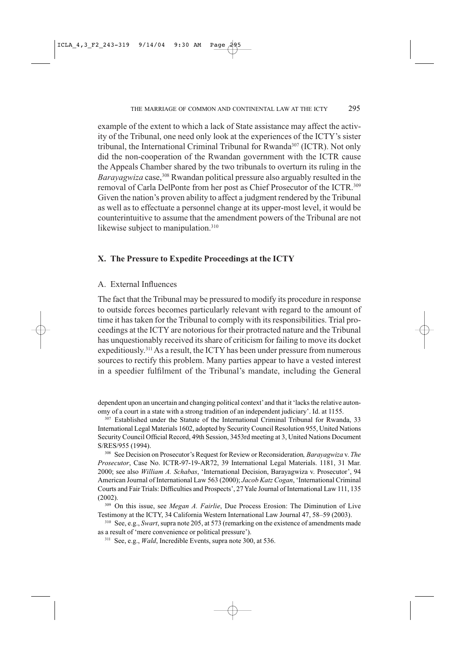example of the extent to which a lack of State assistance may affect the activity of the Tribunal, one need only look at the experiences of the ICTY's sister tribunal, the International Criminal Tribunal for Rwanda<sup>307</sup> (ICTR). Not only did the non-cooperation of the Rwandan government with the ICTR cause the Appeals Chamber shared by the two tribunals to overturn its ruling in the *Barayagwiza* case,<sup>308</sup> Rwandan political pressure also arguably resulted in the removal of Carla DelPonte from her post as Chief Prosecutor of the ICTR.<sup>309</sup> Given the nation's proven ability to affect a judgment rendered by the Tribunal as well as to effectuate a personnel change at its upper-most level, it would be counterintuitive to assume that the amendment powers of the Tribunal are not likewise subject to manipulation.<sup>310</sup>

### X. The Pressure to Expedite Proceedings at the ICTY

#### A. External Influences

The fact that the Tribunal may be pressured to modify its procedure in response to outside forces becomes particularly relevant with regard to the amount of time it has taken for the Tribunal to comply with its responsibilities. Trial proceedings at the ICTY are notorious for their protracted nature and the Tribunal has unquestionably received its share of criticism for failing to move its docket expeditiously.<sup>311</sup> As a result, the ICTY has been under pressure from numerous sources to rectify this problem. Many parties appear to have a vested interest in a speedier fulfilment of the Tribunal's mandate, including the General

dependent upon an uncertain and changing political context' and that it 'lacks the relative autonomy of a court in a state with a strong tradition of an independent judiciary'. Id. at 1155.

307 Established under the Statute of the International Criminal Tribunal for Rwanda, 33 International Legal Materials 1602, adopted by Security Council Resolution 955, United Nations Security Council Official Record, 49th Session, 3453rd meeting at 3, United Nations Document S/RES/955 (1994).

<sup>308</sup> See Decision on Prosecutor's Request for Review or Reconsideration, *Barayagwiza v. The* Prosecutor, Case No. ICTR-97-19-AR72, 39 International Legal Materials. 1181, 31 Mar. 2000; see also William A. Schabas, 'International Decision, Barayagwiza v. Prosecutor', 94 American Journal of International Law 563 (2000); Jacob Katz Cogan, 'International Criminal Courts and Fair Trials: Difficulties and Prospects', 27 Yale Journal of International Law 111, 135  $(2002)$ .

309 On this issue, see Megan A. Fairlie, Due Process Erosion: The Diminution of Live Testimony at the ICTY, 34 California Western International Law Journal 47, 58-59 (2003).

<sup>310</sup> See, e.g., Swart, supra note 205, at 573 (remarking on the existence of amendments made as a result of 'mere convenience or political pressure').

<sup>311</sup> See, e.g., *Wald*, Incredible Events, supra note 300, at 536.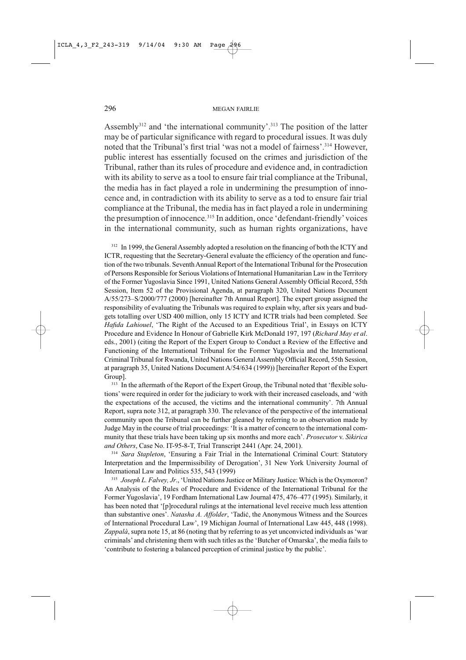Assembly<sup>312</sup> and 'the international community'.<sup>313</sup> The position of the latter may be of particular significance with regard to procedural issues. It was duly noted that the Tribunal's first trial 'was not a model of fairness'.<sup>314</sup> However. public interest has essentially focused on the crimes and jurisdiction of the Tribunal, rather than its rules of procedure and evidence and, in contradiction with its ability to serve as a tool to ensure fair trial compliance at the Tribunal, the media has in fact played a role in undermining the presumption of innocence and, in contradiction with its ability to serve as a tod to ensure fair trial compliance at the Tribunal, the media has in fact played a role in undermining the presumption of innocence.<sup>315</sup> In addition, once 'defendant-friendly' voices in the international community, such as human rights organizations, have

<sup>312</sup> In 1999, the General Assembly adopted a resolution on the financing of both the ICTY and ICTR, requesting that the Secretary-General evaluate the efficiency of the operation and function of the two tribunals. Seventh Annual Report of the International Tribunal for the Prosecution of Persons Responsible for Serious Violations of International Humanitarian Law in the Territory of the Former Yugoslavia Since 1991, United Nations General Assembly Official Record, 55th Session, Item 52 of the Provisional Agenda, at paragraph 320, United Nations Document A/55/273–S/2000/777 (2000) [hereinafter 7th Annual Report]. The expert group assigned the responsibility of evaluating the Tribunals was required to explain why, after six years and budgets totalling over USD 400 million, only 15 ICTY and ICTR trials had been completed. See Hafida Lahiouel, 'The Right of the Accused to an Expeditious Trial', in Essays on ICTY Procedure and Evidence In Honour of Gabrielle Kirk McDonald 197, 197 (Richard May et al. eds., 2001) (citing the Report of the Expert Group to Conduct a Review of the Effective and Functioning of the International Tribunal for the Former Yugoslavia and the International Criminal Tribunal for Rwanda, United Nations General Assembly Official Record, 55th Session, at paragraph 35, United Nations Document A/54/634 (1999)) [hereinafter Report of the Expert Group].

<sup>313</sup> In the aftermath of the Report of the Expert Group, the Tribunal noted that 'flexible solutions' were required in order for the judiciary to work with their increased caseloads, and 'with the expectations of the accused, the victims and the international community'. 7th Annual Report, supra note 312, at paragraph 330. The relevance of the perspective of the international community upon the Tribunal can be further gleaned by referring to an observation made by Judge May in the course of trial proceedings: 'It is a matter of concern to the international community that these trials have been taking up six months and more each'. Prosecutor v. Sikirica and Others, Case No. IT-95-8-T, Trial Transcript 2441 (Apr. 24, 2001).

<sup>314</sup> Sara Stapleton, 'Ensuring a Fair Trial in the International Criminal Court: Statutory Interpretation and the Impermissibility of Derogation', 31 New York University Journal of International Law and Politics 535, 543 (1999)

<sup>315</sup> Joseph L. Falvey, Jr., 'United Nations Justice or Military Justice: Which is the Oxymoron? An Analysis of the Rules of Procedure and Evidence of the International Tribunal for the Former Yugoslavia', 19 Fordham International Law Journal 475, 476-477 (1995). Similarly, it has been noted that '[p]rocedural rulings at the international level receive much less attention than substantive ones'. Natasha A. Affolder, 'Tadić, the Anonymous Witness and the Sources of International Procedural Law', 19 Michigan Journal of International Law 445, 448 (1998). Zappalà, supra note 15, at 86 (noting that by referring to as yet unconvicted individuals as 'war criminals' and christening them with such titles as the 'Butcher of Omarska', the media fails to 'contribute to fostering a balanced perception of criminal justice by the public'.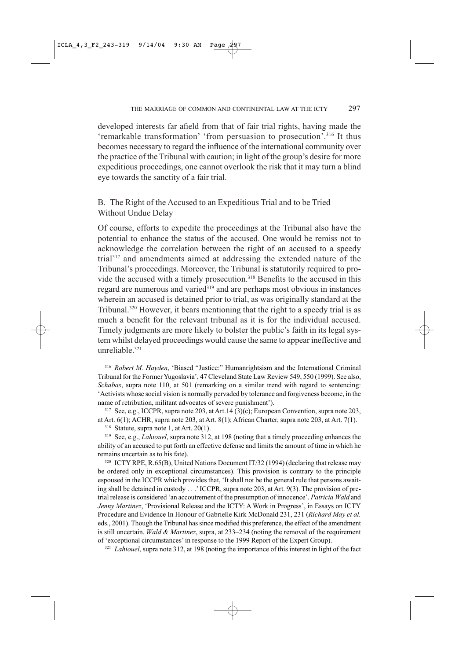developed interests far afield from that of fair trial rights, having made the 'remarkable transformation' 'from persuasion to prosecution'.<sup>316</sup> It thus becomes necessary to regard the influence of the international community over the practice of the Tribunal with caution; in light of the group's desire for more expeditious proceedings, one cannot overlook the risk that it may turn a blind eye towards the sanctity of a fair trial.

B. The Right of the Accused to an Expeditious Trial and to be Tried Without Undue Delay

Of course, efforts to expedite the proceedings at the Tribunal also have the potential to enhance the status of the accused. One would be remiss not to acknowledge the correlation between the right of an accused to a speedy trial<sup>317</sup> and amendments aimed at addressing the extended nature of the Tribunal's proceedings. Moreover, the Tribunal is statutorily required to provide the accused with a timely prosecution.<sup>318</sup> Benefits to the accused in this regard are numerous and varied<sup>319</sup> and are perhaps most obvious in instances wherein an accused is detained prior to trial, as was originally standard at the Tribunal.<sup>320</sup> However, it bears mentioning that the right to a speedy trial is as much a benefit for the relevant tribunal as it is for the individual accused. Timely judgments are more likely to bolster the public's faith in its legal system whilst delayed proceedings would cause the same to appear ineffective and unreliable.<sup>321</sup>

<sup>316</sup> Robert M. Hayden, 'Biased "Justice:" Humanrightsism and the International Criminal Tribunal for the Former Yugoslavia', 47 Cleveland State Law Review 549, 550 (1999). See also, Schabas, supra note 110, at 501 (remarking on a similar trend with regard to sentencing: 'Activists whose social vision is normally pervaded by tolerance and forgiveness become, in the name of retribution, militant advocates of severe punishment').

<sup>317</sup> See, e.g., ICCPR, supra note 203, at Art.14 (3)(c); European Convention, supra note 203, at Art.  $6(1)$ ; ACHR, supra note 203, at Art.  $8(1)$ ; African Charter, supra note 203, at Art. 7(1).

 $318$  Statute, supra note 1, at Art. 20(1).

<sup>319</sup> See, e.g., *Lahiouel*, supra note 312, at 198 (noting that a timely proceeding enhances the ability of an accused to put forth an effective defense and limits the amount of time in which he remains uncertain as to his fate).

<sup>320</sup> ICTY RPE, R.65(B), United Nations Document IT/32 (1994) (declaring that release may be ordered only in exceptional circumstances). This provision is contrary to the principle espoused in the ICCPR which provides that, 'It shall not be the general rule that persons awaiting shall be detained in custody . . . ' ICCPR, supra note 203, at Art. 9(3). The provision of pretrial release is considered 'an accoutrement of the presumption of innocence'. Patricia Wald and Jenny Martinez, 'Provisional Release and the ICTY: A Work in Progress', in Essays on ICTY Procedure and Evidence In Honour of Gabrielle Kirk McDonald 231, 231 (Richard May et al. eds., 2001). Though the Tribunal has since modified this preference, the effect of the amendment is still uncertain. Wald & Martinez, supra, at  $233-234$  (noting the removal of the requirement of 'exceptional circumstances' in response to the 1999 Report of the Expert Group).

<sup>321</sup> *Lahiouel*, supra note 312, at 198 (noting the importance of this interest in light of the fact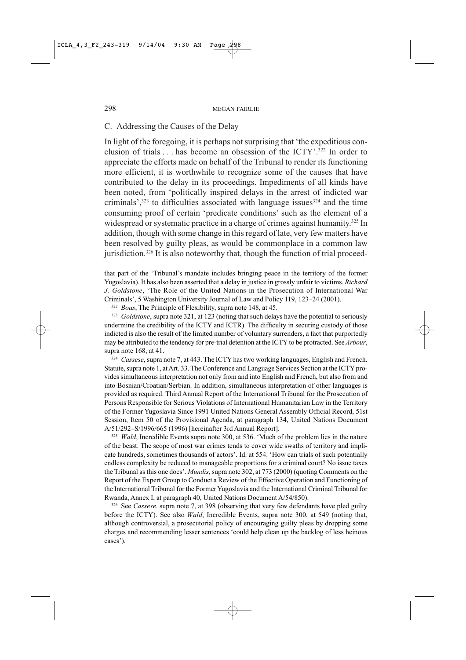C. Addressing the Causes of the Delay

In light of the foregoing, it is perhaps not surprising that 'the expeditious conclusion of trials . . . has become an obsession of the ICTY'.<sup>322</sup> In order to appreciate the efforts made on behalf of the Tribunal to render its functioning more efficient, it is worthwhile to recognize some of the causes that have contributed to the delay in its proceedings. Impediments of all kinds have been noted, from 'politically inspired delays in the arrest of indicted war criminals',<sup>323</sup> to difficulties associated with language issues<sup>324</sup> and the time consuming proof of certain 'predicate conditions' such as the element of a widespread or systematic practice in a charge of crimes against humanity.<sup>325</sup> In addition, though with some change in this regard of late, very few matters have been resolved by guilty pleas, as would be commonplace in a common law jurisdiction.<sup>326</sup> It is also noteworthy that, though the function of trial proceed-

that part of the 'Tribunal's mandate includes bringing peace in the territory of the former Yugoslavia). It has also been asserted that a delay in justice in grossly unfair to victims. Richard J. Goldstone, 'The Role of the United Nations in the Prosecution of International War Criminals', 5 Washington University Journal of Law and Policy 119, 123-24 (2001).

<sup>322</sup> *Boas*, The Principle of Flexibility, supra note 148, at 45.

323 Goldstone, supra note 321, at 123 (noting that such delays have the potential to seriously undermine the credibility of the ICTY and ICTR). The difficulty in securing custody of those indicted is also the result of the limited number of voluntary surrenders, a fact that purportedly may be attributed to the tendency for pre-trial detention at the ICTY to be protracted. See Arbour, supra note 168, at 41.

<sup>324</sup> Cassese, supra note 7, at 443. The ICTY has two working languages, English and French. Statute, supra note 1, at Art. 33. The Conference and Language Services Section at the ICTY provides simultaneous interpretation not only from and into English and French, but also from and into Bosnian/Croatian/Serbian. In addition, simultaneous interpretation of other languages is provided as required. Third Annual Report of the International Tribunal for the Prosecution of Persons Responsible for Serious Violations of International Humanitarian Law in the Territory of the Former Yugoslavia Since 1991 United Nations General Assembly Official Record, 51st Session, Item 50 of the Provisional Agenda, at paragraph 134, United Nations Document A/51/292-S/1996/665 (1996) [hereinafter 3rd Annual Report].

325 *Wald*, Incredible Events supra note 300, at 536. 'Much of the problem lies in the nature of the beast. The scope of most war crimes tends to cover wide swaths of territory and implicate hundreds, sometimes thousands of actors'. Id. at 554. 'How can trials of such potentially endless complexity be reduced to manageable proportions for a criminal court? No issue taxes the Tribunal as this one does'. *Mundis*, supra note 302, at 773 (2000) (quoting Comments on the Report of the Expert Group to Conduct a Review of the Effective Operation and Functioning of the International Tribunal for the Former Yugoslavia and the International Criminal Tribunal for Rwanda, Annex I, at paragraph 40, United Nations Document A/54/850).

<sup>326</sup> See Cassese. supra note 7, at 398 (observing that very few defendants have pled guilty before the ICTY). See also *Wald*, Incredible Events, supra note 300, at 549 (noting that, although controversial, a prosecutorial policy of encouraging guilty pleas by dropping some charges and recommending lesser sentences 'could help clean up the backlog of less heinous cases').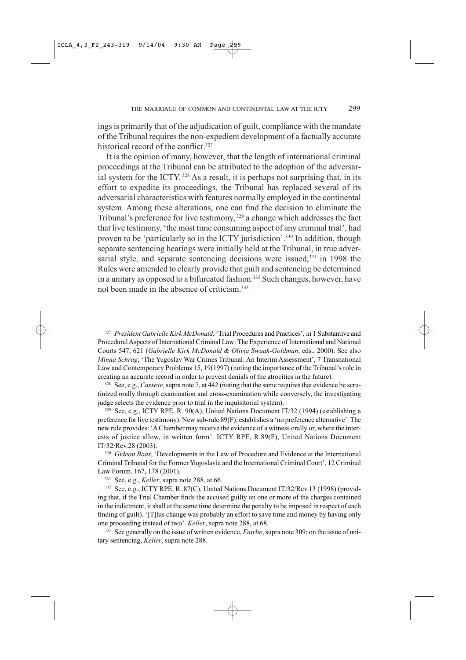ings is primarily that of the adjudication of guilt, compliance with the mandate of the Tribunal requires the non-expedient development of a factually accurate historical record of the conflict.<sup>327</sup>

It is the opinion of many, however, that the length of international criminal proceedings at the Tribunal can be attributed to the adoption of the adversarial system for the ICTY.<sup>328</sup> As a result, it is perhaps not surprising that, in its effort to expedite its proceedings, the Tribunal has replaced several of its adversarial characteristics with features normally employed in the continental system. Among these alterations, one can find the decision to eliminate the Tribunal's preference for live testimony,<sup>329</sup> a change which addresses the fact that live testimony, 'the most time consuming aspect of any criminal trial', had proven to be 'particularly so in the ICTY jurisdiction'.<sup>330</sup> In addition, though separate sentencing hearings were initially held at the Tribunal, in true adversarial style, and separate sentencing decisions were issued,<sup>331</sup> in 1998 the Rules were amended to clearly provide that guilt and sentencing be determined in a unitary as opposed to a bifurcated fashion.<sup>332</sup> Such changes, however, have not been made in the absence of criticism.<sup>333</sup>

<sup>327</sup> President Gabrielle Kirk McDonald, 'Trial Procedures and Practices', in 1 Substantive and Procedural Aspects of International Criminal Law: The Experience of International and National Courts 547, 621 (Gabrielle Kirk McDonald & Olivia Swaak-Goldman, eds., 2000). See also Minna Schrag, 'The Yugoslav War Crimes Tribunal: An Interim Assessment', 7 Transnational Law and Contemporary Problems 15, 19(1997) (noting the importance of the Tribunal's role in creating an accurate record in order to prevent denials of the atrocities in the future).

328 See, e.g., Cassese, supra note 7, at 442 (noting that the same requires that evidence be scrutinized orally through examination and cross-examination while conversely, the investigating judge selects the evidence prior to trial in the inquisitorial system).

<sup>329</sup> See, e.g., ICTY RPE, R. 90(A), United Nations Document IT/32 (1994) (establishing a preference for live testimony). New sub-rule 89(F), establishes a 'no preference alternative'. The new rule provides: 'A Chamber may receive the evidence of a witness orally or, where the interests of justice allow, in written form'. ICTY RPE, R.89(F), United Nations Document IT/32/Rev.28 (2003).

330 Gideon Boas, 'Developments in the Law of Procedure and Evidence at the International Criminal Tribunal for the Former Yugoslavia and the International Criminal Court', 12 Criminal Law Forum. 167, 178 (2001).

<sup>331</sup> See, e.g., *Keller*, supra note 288, at 66.

332 See, e.g., ICTY RPE, R. 87(C), United Nations Document IT/32/Rev.13 (1998) (providing that, if the Trial Chamber finds the accused guilty on one or more of the charges contained in the indictment, it shall at the same time determine the penalty to be imposed in respect of each finding of guilt). '[T]his change was probably an effort to save time and money by having only one proceeding instead of two'. Keller, supra note 288, at 68.

333 See generally on the issue of written evidence, *Fairlie*, supra note 309; on the issue of unitary sentencing, Keller, supra note 288.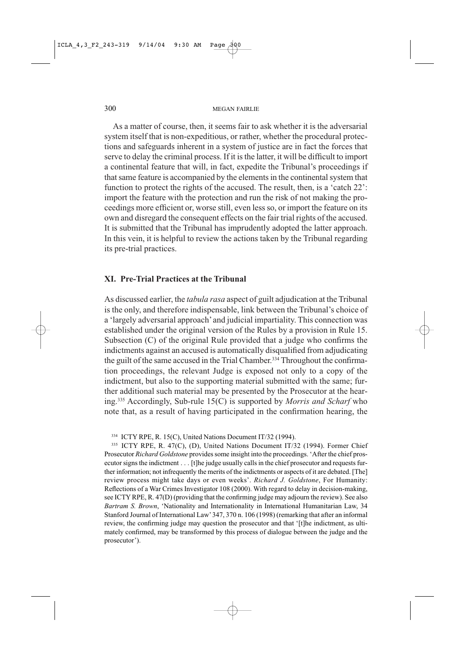As a matter of course, then, it seems fair to ask whether it is the adversarial system itself that is non-expeditious, or rather, whether the procedural protections and safeguards inherent in a system of justice are in fact the forces that serve to delay the criminal process. If it is the latter, it will be difficult to import a continental feature that will, in fact, expedite the Tribunal's proceedings if that same feature is accompanied by the elements in the continental system that function to protect the rights of the accused. The result, then, is a 'catch 22': import the feature with the protection and run the risk of not making the proceedings more efficient or, worse still, even less so, or import the feature on its own and disregard the consequent effects on the fair trial rights of the accused. It is submitted that the Tribunal has imprudently adopted the latter approach. In this vein, it is helpful to review the actions taken by the Tribunal regarding its pre-trial practices.

### **XI. Pre-Trial Practices at the Tribunal**

As discussed earlier, the *tabula rasa* aspect of guilt adjudication at the Tribunal is the only, and therefore indispensable, link between the Tribunal's choice of a 'largely adversarial approach' and judicial impartiality. This connection was established under the original version of the Rules by a provision in Rule 15. Subsection (C) of the original Rule provided that a judge who confirms the indictments against an accused is automatically disqualified from adjudicating the guilt of the same accused in the Trial Chamber.<sup>334</sup> Throughout the confirmation proceedings, the relevant Judge is exposed not only to a copy of the indictment, but also to the supporting material submitted with the same; further additional such material may be presented by the Prosecutor at the hearing.<sup>335</sup> Accordingly, Sub-rule 15(C) is supported by *Morris and Scharf* who note that, as a result of having participated in the confirmation hearing, the

335 ICTY RPE, R. 47(C), (D), United Nations Document IT/32 (1994). Former Chief Prosecutor Richard Goldstone provides some insight into the proceedings. 'After the chief prosecutor signs the indictment . . . [t]he judge usually calls in the chief prosecutor and requests further information; not infrequently the merits of the indictments or aspects of it are debated. [The] review process might take days or even weeks'. Richard J. Goldstone, For Humanity: Reflections of a War Crimes Investigator 108 (2000). With regard to delay in decision-making, see ICTY RPE, R. 47(D) (providing that the confirming judge may adjourn the review). See also Bartram S. Brown, 'Nationality and Internationality in International Humanitarian Law, 34 Stanford Journal of International Law' 347, 370 n. 106 (1998) (remarking that after an informal review, the confirming judge may question the prosecutor and that '[t]he indictment, as ultimately confirmed, may be transformed by this process of dialogue between the judge and the prosecutor').

<sup>334</sup> ICTY RPE, R. 15(C), United Nations Document IT/32 (1994).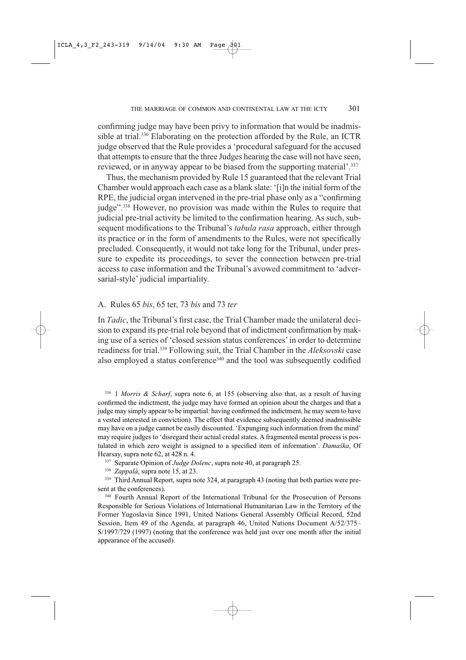confirming judge may have been privy to information that would be inadmissible at trial.<sup>336</sup> Elaborating on the protection afforded by the Rule, an ICTR judge observed that the Rule provides a 'procedural safeguard for the accused that attempts to ensure that the three Judges hearing the case will not have seen, reviewed, or in anyway appear to be biased from the supporting material'.<sup>337</sup>

Thus, the mechanism provided by Rule 15 guaranteed that the relevant Trial Chamber would approach each case as a blank slate: '[i]n the initial form of the RPE, the judicial organ intervened in the pre-trial phase only as a "confirming" judge".<sup>338</sup> However, no provision was made within the Rules to require that judicial pre-trial activity be limited to the confirmation hearing. As such, subsequent modifications to the Tribunal's *tabula rasa* approach, either through its practice or in the form of amendments to the Rules, were not specifically precluded. Consequently, it would not take long for the Tribunal, under pressure to expedite its proceedings, to sever the connection between pre-trial access to case information and the Tribunal's avowed commitment to 'adversarial-style' judicial impartiality.

#### A. Rules 65 *bis*, 65 ter, 73 *bis* and 73 *ter*

In Tadic, the Tribunal's first case, the Trial Chamber made the unilateral decision to expand its pre-trial role beyond that of indictment confirmation by making use of a series of 'closed session status conferences' in order to determine readiness for trial.<sup>339</sup> Following suit, the Trial Chamber in the Aleksovski case also employed a status conference<sup>340</sup> and the tool was subsequently codified

 $336$  1 *Morris & Scharf*, supra note 6, at 155 (observing also that, as a result of having confirmed the indictment, the judge may have formed an opinion about the charges and that a judge may simply appear to be impartial: having confirmed the indictment, he may seem to have a vested interested in conviction). The effect that evidence subsequently deemed inadmissible may have on a judge cannot be easily discounted. 'Expunging such information from the mind' may require judges to 'disregard their actual credal states. A fragmented mental process is postulated in which zero weight is assigned to a specified item of information'. Damaška, Of Hearsay, supra note 62, at 428 n. 4.

337 Separate Opinion of Judge Dolenc, supra note 40, at paragraph 25.

<sup>338</sup> Zappalà, supra note 15, at 23.

<sup>339</sup> Third Annual Report, supra note 324, at paragraph 43 (noting that both parties were present at the conferences).

<sup>340</sup> Fourth Annual Report of the International Tribunal for the Prosecution of Persons Responsible for Serious Violations of International Humanitarian Law in the Territory of the Former Yugoslavia Since 1991, United Nations General Assembly Official Record, 52nd Session, Item 49 of the Agenda, at paragraph 46, United Nations Document A/52/375-S/1997/729 (1997) (noting that the conference was held just over one month after the initial appearance of the accused).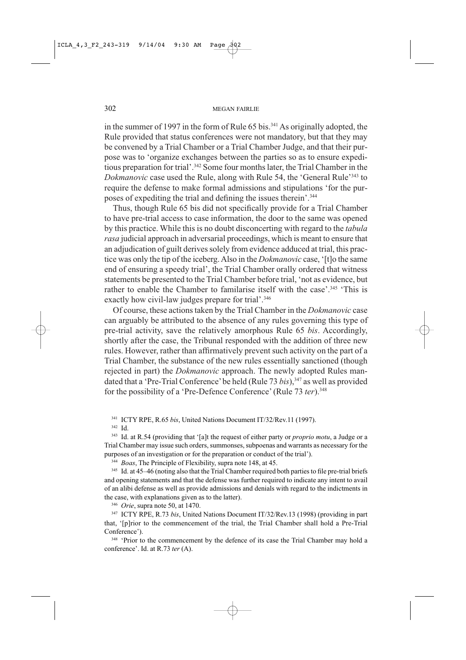in the summer of 1997 in the form of Rule 65 bis.<sup>341</sup> As originally adopted, the Rule provided that status conferences were not mandatory, but that they may be convened by a Trial Chamber or a Trial Chamber Judge, and that their purpose was to 'organize exchanges between the parties so as to ensure expeditious preparation for trial'.<sup>342</sup> Some four months later, the Trial Chamber in the Dokmanovic case used the Rule, along with Rule 54, the 'General Rule'<sup>343</sup> to require the defense to make formal admissions and stipulations 'for the purposes of expediting the trial and defining the issues therein'.<sup>344</sup>

Thus, though Rule 65 bis did not specifically provide for a Trial Chamber to have pre-trial access to case information, the door to the same was opened by this practice. While this is no doubt disconcerting with regard to the tabula rasa judicial approach in adversarial proceedings, which is meant to ensure that an adjudication of guilt derives solely from evidence adduced at trial, this practice was only the tip of the iceberg. Also in the *Dokmanovic* case, '[t]o the same end of ensuring a speedy trial', the Trial Chamber orally ordered that witness statements be presented to the Trial Chamber before trial, 'not as evidence, but rather to enable the Chamber to familarise itself with the case'.<sup>345</sup> 'This is exactly how civil-law judges prepare for trial'.<sup>346</sup>

Of course, these actions taken by the Trial Chamber in the *Dokmanovic* case can arguably be attributed to the absence of any rules governing this type of pre-trial activity, save the relatively amorphous Rule 65 bis. Accordingly, shortly after the case, the Tribunal responded with the addition of three new rules. However, rather than affirmatively prevent such activity on the part of a Trial Chamber, the substance of the new rules essentially sanctioned (though rejected in part) the *Dokmanovic* approach. The newly adopted Rules mandated that a 'Pre-Trial Conference' be held (Rule 73 bis),<sup>347</sup> as well as provided for the possibility of a 'Pre-Defence Conference' (Rule 73 ter).<sup>348</sup>

<sup>341</sup> ICTY RPE, R.65 bis, United Nations Document IT/32/Rev.11 (1997).

342 Id.

<sup>343</sup> Id. at R.54 (providing that '[a]t the request of either party or *proprio motu*, a Judge or a Trial Chamber may issue such orders, summonses, subpoenas and warrants as necessary for the purposes of an investigation or for the preparation or conduct of the trial').

<sup>344</sup> Boas, The Principle of Flexibility, supra note 148, at 45.

345 Id. at 45–46 (noting also that the Trial Chamber required both parties to file pre-trial briefs and opening statements and that the defense was further required to indicate any intent to avail of an alibi defense as well as provide admissions and denials with regard to the indictments in the case, with explanations given as to the latter).

 $346$  *Orie*, supra note 50, at 1470.

<sup>347</sup> ICTY RPE, R.73 bis, United Nations Document IT/32/Rev.13 (1998) (providing in part that, '[p]rior to the commencement of the trial, the Trial Chamber shall hold a Pre-Trial Conference').

<sup>348</sup> 'Prior to the commencement by the defence of its case the Trial Chamber may hold a conference'. Id. at R.73 ter (A).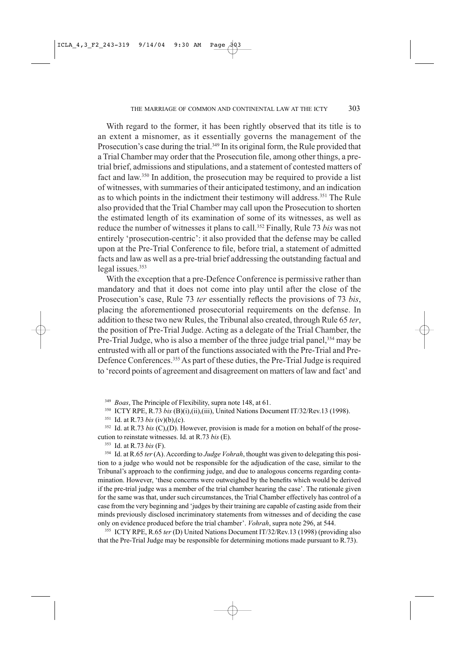With regard to the former, it has been rightly observed that its title is to an extent a misnomer, as it essentially governs the management of the Prosecution's case during the trial.<sup>349</sup> In its original form, the Rule provided that a Trial Chamber may order that the Prosecution file, among other things, a pretrial brief, admissions and stipulations, and a statement of contested matters of fact and law.<sup>350</sup> In addition, the prosecution may be required to provide a list of witnesses, with summaries of their anticipated testimony, and an indication as to which points in the indictment their testimony will address.<sup>351</sup> The Rule also provided that the Trial Chamber may call upon the Prosecution to shorten the estimated length of its examination of some of its witnesses, as well as reduce the number of witnesses it plans to call.<sup>352</sup> Finally, Rule 73 bis was not entirely 'prosecution-centric': it also provided that the defense may be called upon at the Pre-Trial Conference to file, before trial, a statement of admitted facts and law as well as a pre-trial brief addressing the outstanding factual and legal issues.<sup>353</sup>

With the exception that a pre-Defence Conference is permissive rather than mandatory and that it does not come into play until after the close of the Prosecution's case, Rule 73 ter essentially reflects the provisions of 73 bis, placing the aforementioned prosecutorial requirements on the defense. In addition to these two new Rules, the Tribunal also created, through Rule 65 ter, the position of Pre-Trial Judge. Acting as a delegate of the Trial Chamber, the Pre-Trial Judge, who is also a member of the three judge trial panel,<sup>354</sup> may be entrusted with all or part of the functions associated with the Pre-Trial and Pre-Defence Conferences.<sup>355</sup> As part of these duties, the Pre-Trial Judge is required to 'record points of agreement and disagreement on matters of law and fact' and

Boas, The Principle of Flexibility, supra note 148, at 61.

ICTY RPE, R.73 bis (B)(i),(ii),(iii), United Nations Document IT/32/Rev.13 (1998). 350

<sup>351</sup> Id. at R.73 *bis* (iv)(b),(c).

 $352$  Id. at R.73 bis (C),(D). However, provision is made for a motion on behalf of the prosecution to reinstate witnesses. Id. at R.73 bis (E).

<sup>353</sup> Id. at R.73 bis (F).

<sup>354</sup> Id. at R.65 ter (A). According to *Judge Vohrah*, thought was given to delegating this position to a judge who would not be responsible for the adjudication of the case, similar to the Tribunal's approach to the confirming judge, and due to analogous concerns regarding contamination. However, 'these concerns were outweighed by the benefits which would be derived if the pre-trial judge was a member of the trial chamber hearing the case'. The rationale given for the same was that, under such circumstances, the Trial Chamber effectively has control of a case from the very beginning and 'judges by their training are capable of casting aside from their minds previously disclosed incriminatory statements from witnesses and of deciding the case only on evidence produced before the trial chamber'. Vohrah, supra note 296, at 544.

<sup>355</sup> ICTY RPE, R.65 ter (D) United Nations Document IT/32/Rev.13 (1998) (providing also that the Pre-Trial Judge may be responsible for determining motions made pursuant to R.73).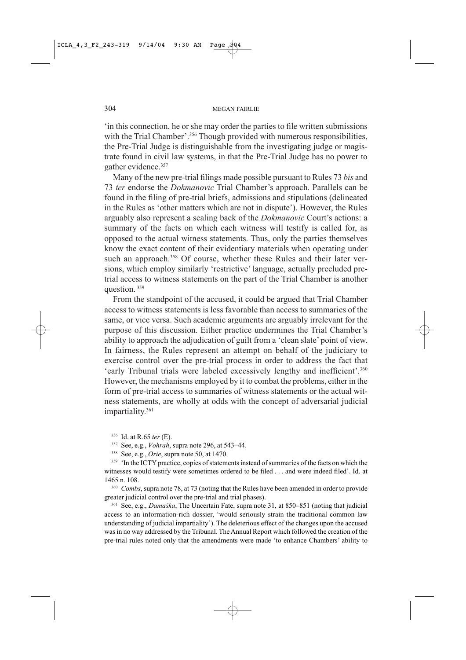in this connection, he or she may order the parties to file written submissions with the Trial Chamber'.<sup>356</sup> Though provided with numerous responsibilities, the Pre-Trial Judge is distinguishable from the investigating judge or magistrate found in civil law systems, in that the Pre-Trial Judge has no power to gather evidence.<sup>357</sup>

Many of the new pre-trial filings made possible pursuant to Rules 73 bis and 73 ter endorse the *Dokmanovic* Trial Chamber's approach. Parallels can be found in the filing of pre-trial briefs, admissions and stipulations (delineated in the Rules as 'other matters which are not in dispute'). However, the Rules arguably also represent a scaling back of the Dokmanovic Court's actions: a summary of the facts on which each witness will testify is called for, as opposed to the actual witness statements. Thus, only the parties themselves know the exact content of their evidentiary materials when operating under such an approach.<sup>358</sup> Of course, whether these Rules and their later versions, which employ similarly 'restrictive' language, actually precluded pretrial access to witness statements on the part of the Trial Chamber is another question.<sup>359</sup>

From the standpoint of the accused, it could be argued that Trial Chamber access to witness statements is less favorable than access to summaries of the same, or vice versa. Such academic arguments are arguably irrelevant for the purpose of this discussion. Either practice undermines the Trial Chamber's ability to approach the adjudication of guilt from a 'clean slate' point of view. In fairness, the Rules represent an attempt on behalf of the judiciary to exercise control over the pre-trial process in order to address the fact that 'early Tribunal trials were labeled excessively lengthy and inefficient'.<sup>360</sup> However, the mechanisms employed by it to combat the problems, either in the form of pre-trial access to summaries of witness statements or the actual witness statements, are wholly at odds with the concept of adversarial judicial impartiality.<sup>361</sup>

 $356$  Id. at R.65 ter (E).

<sup>357</sup> See, e.g., *Vohrah*, supra note 296, at 543–44.

<sup>358</sup> See, e.g., *Orie*, supra note 50, at 1470.

<sup>359</sup> 'In the ICTY practice, copies of statements instead of summaries of the facts on which the witnesses would testify were sometimes ordered to be filed . . . and were indeed filed'. Id. at 1465 n. 108.

<sup>360</sup> Combs, supra note 78, at 73 (noting that the Rules have been amended in order to provide greater judicial control over the pre-trial and trial phases).

<sup>361</sup> See, e.g., *Damaška*, The Uncertain Fate, supra note 31, at 850-851 (noting that judicial access to an information-rich dossier, 'would seriously strain the traditional common law understanding of judicial impartiality'). The deleterious effect of the changes upon the accused was in no way addressed by the Tribunal. The Annual Report which followed the creation of the pre-trial rules noted only that the amendments were made 'to enhance Chambers' ability to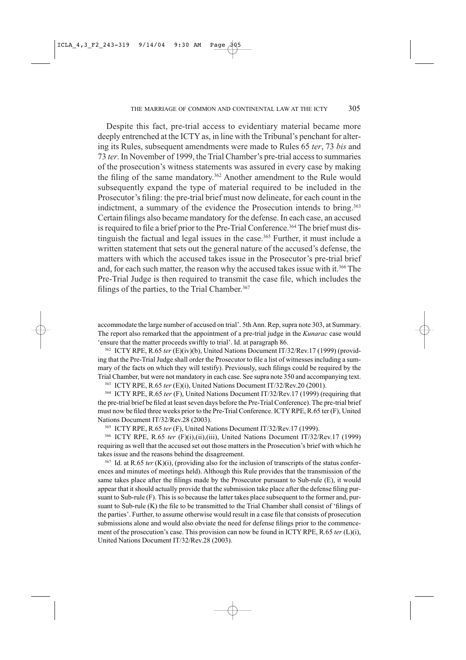Despite this fact, pre-trial access to evidentiary material became more deeply entrenched at the ICTY as, in line with the Tribunal's penchant for altering its Rules, subsequent amendments were made to Rules 65 ter, 73 bis and 73 ter. In November of 1999, the Trial Chamber's pre-trial access to summaries of the prosecution's witness statements was assured in every case by making the filing of the same mandatory.<sup>362</sup> Another amendment to the Rule would subsequently expand the type of material required to be included in the Prosecutor's filing: the pre-trial brief must now delineate, for each count in the indictment, a summary of the evidence the Prosecution intends to bring.<sup>363</sup> Certain filings also became mandatory for the defense. In each case, an accused is required to file a brief prior to the Pre-Trial Conference.<sup>364</sup> The brief must distinguish the factual and legal issues in the case.<sup>365</sup> Further, it must include a written statement that sets out the general nature of the accused's defense, the matters with which the accused takes issue in the Prosecutor's pre-trial brief and, for each such matter, the reason why the accused takes issue with it.<sup>366</sup> The Pre-Trial Judge is then required to transmit the case file, which includes the filings of the parties, to the Trial Chamber.<sup>367</sup>

accommodate the large number of accused on trial'. 5th Ann. Rep, supra note 303, at Summary. The report also remarked that the appointment of a pre-trial judge in the *Kunarac* case would 'ensure that the matter proceeds swiftly to trial'. Id. at paragraph 86.

<sup>362</sup> ICTY RPE, R.65 ter (E)(iv)(b), United Nations Document IT/32/Rev.17 (1999) (providing that the Pre-Trial Judge shall order the Prosecutor to file a list of witnesses including a summary of the facts on which they will testify). Previously, such filings could be required by the Trial Chamber, but were not mandatory in each case. See supra note 350 and accompanying text.

<sup>363</sup> ICTY RPE, R.65 ter (E)(i), United Nations Document IT/32/Rev.20 (2001).

<sup>364</sup> ICTY RPE, R.65 ter (F), United Nations Document IT/32/Rev.17 (1999) (requiring that the pre-trial brief be filed at least seven days before the Pre-Trial Conference). The pre-trial brief must now be filed three weeks prior to the Pre-Trial Conference. ICTY RPE, R.65 ter (F), United Nations Document IT/32/Rev.28 (2003).

<sup>365</sup> ICTY RPE, R.65 ter (F), United Nations Document IT/32/Rev.17 (1999).

<sup>366</sup> ICTY RPE, R.65 ter (F)(i),(ii),(iii), United Nations Document IT/32/Rev.17 (1999) requiring as well that the accused set out those matters in the Prosecution's brief with which he takes issue and the reasons behind the disagreement.

 $367$  Id. at R.65 ter (K)(i), (providing also for the inclusion of transcripts of the status conferences and minutes of meetings held). Although this Rule provides that the transmission of the same takes place after the filings made by the Prosecutor pursuant to Sub-rule (E), it would appear that it should actually provide that the submission take place after the defense filing pursuant to Sub-rule (F). This is so because the latter takes place subsequent to the former and, pursuant to Sub-rule (K) the file to be transmitted to the Trial Chamber shall consist of 'filings of the parties'. Further, to assume otherwise would result in a case file that consists of prosecution submissions alone and would also obviate the need for defense filings prior to the commencement of the prosecution's case. This provision can now be found in ICTY RPE, R.65 ter  $(L)(i)$ , United Nations Document IT/32/Rev.28 (2003).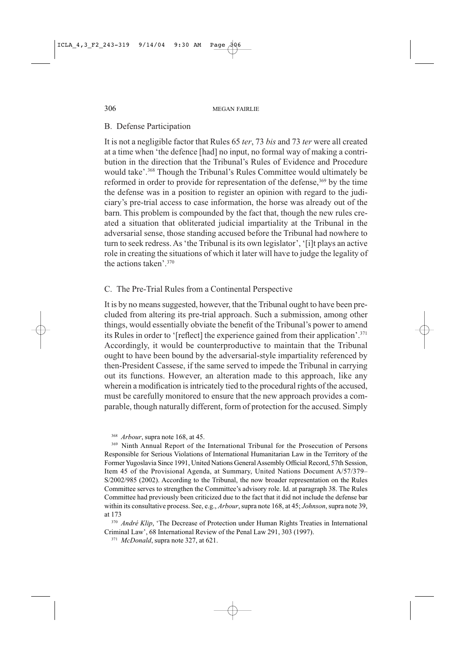# **B.** Defense Participation

It is not a negligible factor that Rules 65 ter, 73 bis and 73 ter were all created at a time when 'the defence [had] no input, no formal way of making a contribution in the direction that the Tribunal's Rules of Evidence and Procedure would take'.<sup>368</sup> Though the Tribunal's Rules Committee would ultimately be reformed in order to provide for representation of the defense,<sup>369</sup> by the time the defense was in a position to register an opinion with regard to the judiciary's pre-trial access to case information, the horse was already out of the barn. This problem is compounded by the fact that, though the new rules created a situation that obliterated judicial impartiality at the Tribunal in the adversarial sense, those standing accused before the Tribunal had nowhere to turn to seek redress. As 'the Tribunal is its own legislator', '[i]t plays an active role in creating the situations of which it later will have to judge the legality of the actions taken'.<sup>370</sup>

# C. The Pre-Trial Rules from a Continental Perspective

It is by no means suggested, however, that the Tribunal ought to have been precluded from altering its pre-trial approach. Such a submission, among other things, would essentially obviate the benefit of the Tribunal's power to amend its Rules in order to '[reflect] the experience gained from their application'.<sup>371</sup> Accordingly, it would be counterproductive to maintain that the Tribunal ought to have been bound by the adversarial-style impartiality referenced by then-President Cassese, if the same served to impede the Tribunal in carrying out its functions. However, an alteration made to this approach, like any wherein a modification is intricately tied to the procedural rights of the accused, must be carefully monitored to ensure that the new approach provides a comparable, though naturally different, form of protection for the accused. Simply

<sup>368</sup> *Arbour*, supra note 168, at 45.

<sup>369</sup> Ninth Annual Report of the International Tribunal for the Prosecution of Persons Responsible for Serious Violations of International Humanitarian Law in the Territory of the Former Yugoslavia Since 1991, United Nations General Assembly Official Record, 57th Session, Item 45 of the Provisional Agenda, at Summary, United Nations Document A/57/379-S/2002/985 (2002). According to the Tribunal, the now broader representation on the Rules Committee serves to strengthen the Committee's advisory role. Id. at paragraph 38. The Rules Committee had previously been criticized due to the fact that it did not include the defense bar within its consultative process. See, e.g., Arbour, supra note 168, at 45; Johnson, supra note 39, at 173

<sup>370</sup> André Klip, 'The Decrease of Protection under Human Rights Treaties in International Criminal Law', 68 International Review of the Penal Law 291, 303 (1997).

<sup>371</sup> McDonald, supra note 327, at 621.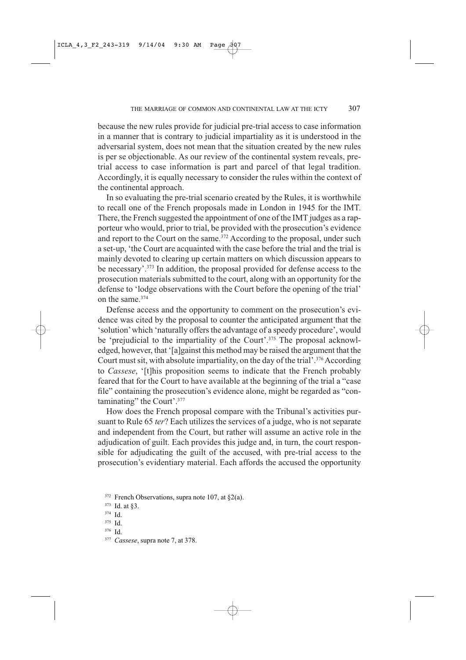because the new rules provide for judicial pre-trial access to case information in a manner that is contrary to judicial impartiality as it is understood in the adversarial system, does not mean that the situation created by the new rules is per se objectionable. As our review of the continental system reveals, pretrial access to case information is part and parcel of that legal tradition. Accordingly, it is equally necessary to consider the rules within the context of the continental approach.

In so evaluating the pre-trial scenario created by the Rules, it is worthwhile to recall one of the French proposals made in London in 1945 for the IMT. There, the French suggested the appointment of one of the IMT judges as a rapporteur who would, prior to trial, be provided with the prosecution's evidence and report to the Court on the same.<sup>372</sup> According to the proposal, under such a set-up, 'the Court are acquainted with the case before the trial and the trial is mainly devoted to clearing up certain matters on which discussion appears to be necessary'.<sup>373</sup> In addition, the proposal provided for defense access to the prosecution materials submitted to the court, along with an opportunity for the defense to 'lodge observations with the Court before the opening of the trial' on the same.<sup>374</sup>

Defense access and the opportunity to comment on the prosecution's evidence was cited by the proposal to counter the anticipated argument that the 'solution' which 'naturally offers the advantage of a speedy procedure', would be 'prejudicial to the impartiality of the Court'.<sup>375</sup> The proposal acknowledged, however, that '[a]gainst this method may be raised the argument that the Court must sit, with absolute impartiality, on the day of the trial'.<sup>376</sup> According to Cassese, '[t]his proposition seems to indicate that the French probably feared that for the Court to have available at the beginning of the trial a "case file" containing the prosecution's evidence alone, might be regarded as "contaminating" the Court'.<sup>377</sup>

How does the French proposal compare with the Tribunal's activities pursuant to Rule 65 *ter*? Each utilizes the services of a judge, who is not separate and independent from the Court, but rather will assume an active role in the adjudication of guilt. Each provides this judge and, in turn, the court responsible for adjudicating the guilt of the accused, with pre-trial access to the prosecution's evidentiary material. Each affords the accused the opportunity

- 375 Id.
- 376 Id.

<sup>&</sup>lt;sup>372</sup> French Observations, supra note 107, at  $\S2(a)$ .

 $373$  Id. at §3.

<sup>374</sup> Id.

<sup>&</sup>lt;sup>377</sup> Cassese, supra note 7, at 378.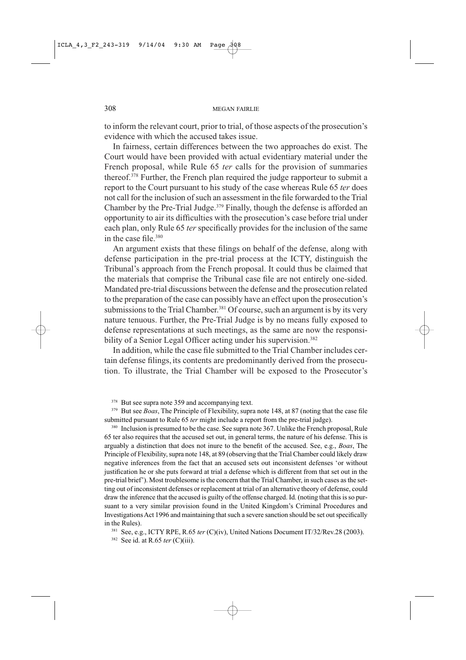to inform the relevant court, prior to trial, of those aspects of the prosecution's evidence with which the accused takes issue.

In fairness, certain differences between the two approaches do exist. The Court would have been provided with actual evidentiary material under the French proposal, while Rule 65 ter calls for the provision of summaries thereof.<sup>378</sup> Further, the French plan required the judge rapporteur to submit a report to the Court pursuant to his study of the case whereas Rule 65 ter does not call for the inclusion of such an assessment in the file forwarded to the Trial Chamber by the Pre-Trial Judge.<sup>379</sup> Finally, though the defense is afforded an opportunity to air its difficulties with the prosecution's case before trial under each plan, only Rule 65 ter specifically provides for the inclusion of the same in the case file.<sup>380</sup>

An argument exists that these filings on behalf of the defense, along with defense participation in the pre-trial process at the ICTY, distinguish the Tribunal's approach from the French proposal. It could thus be claimed that the materials that comprise the Tribunal case file are not entirely one-sided. Mandated pre-trial discussions between the defense and the prosecution related to the preparation of the case can possibly have an effect upon the prosecution's submissions to the Trial Chamber.<sup>381</sup> Of course, such an argument is by its very nature tenuous. Further, the Pre-Trial Judge is by no means fully exposed to defense representations at such meetings, as the same are now the responsibility of a Senior Legal Officer acting under his supervision.<sup>382</sup>

In addition, while the case file submitted to the Trial Chamber includes certain defense filings, its contents are predominantly derived from the prosecution. To illustrate, the Trial Chamber will be exposed to the Prosecutor's

<sup>378</sup> But see supra note 359 and accompanying text.

<sup>379</sup> But see *Boas*, The Principle of Flexibility, supra note 148, at 87 (noting that the case file submitted pursuant to Rule 65 *ter* might include a report from the pre-trial judge).

<sup>380</sup> Inclusion is presumed to be the case. See supra note 367. Unlike the French proposal, Rule 65 ter also requires that the accused set out, in general terms, the nature of his defense. This is arguably a distinction that does not inure to the benefit of the accused. See, e.g.,  $Boas$ , The Principle of Flexibility, supra note 148, at 89 (observing that the Trial Chamber could likely draw negative inferences from the fact that an accused sets out inconsistent defenses 'or without justification he or she puts forward at trial a defense which is different from that set out in the pre-trial brief'). Most troublesome is the concern that the Trial Chamber, in such cases as the setting out of inconsistent defenses or replacement at trial of an alternative theory of defense, could draw the inference that the accused is guilty of the offense charged. Id. (noting that this is so pursuant to a very similar provision found in the United Kingdom's Criminal Procedures and Investigations Act 1996 and maintaining that such a severe sanction should be set out specifically in the Rules).

381 See, e.g., ICTY RPE, R.65 ter (C)(iv), United Nations Document IT/32/Rev.28 (2003).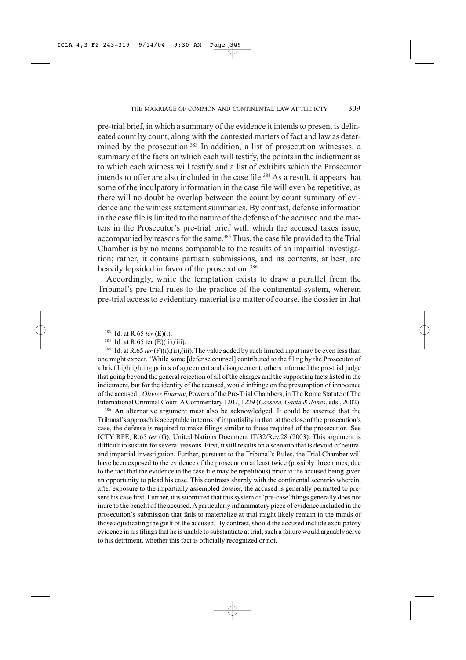pre-trial brief, in which a summary of the evidence it intends to present is delineated count by count, along with the contested matters of fact and law as determined by the prosecution.<sup>383</sup> In addition, a list of prosecution witnesses, a summary of the facts on which each will testify, the points in the indictment as to which each witness will testify and a list of exhibits which the Prosecutor intends to offer are also included in the case file.<sup>384</sup> As a result, it appears that some of the inculpatory information in the case file will even be repetitive, as there will no doubt be overlap between the count by count summary of evidence and the witness statement summaries. By contrast, defense information in the case file is limited to the nature of the defense of the accused and the matters in the Prosecutor's pre-trial brief with which the accused takes issue, accompanied by reasons for the same.<sup>385</sup> Thus, the case file provided to the Trial Chamber is by no means comparable to the results of an impartial investigation; rather, it contains partisan submissions, and its contents, at best, are heavily lopsided in favor of the prosecution.<sup>386</sup>

Accordingly, while the temptation exists to draw a parallel from the Tribunal's pre-trial rules to the practice of the continental system, wherein pre-trial access to evidentiary material is a matter of course, the dossier in that

383 Id. at R.65 ter  $(E)(i)$ .

 $384\,$ Id. at R.65 ter  $(E)(ii)$ ,  $(iii)$ .

<sup>385</sup> Id. at R.65 ter (F)(i),(ii),(iii). The value added by such limited input may be even less than one might expect. 'While some [defense counsel] contributed to the filing by the Prosecutor of a brief highlighting points of agreement and disagreement, others informed the pre-trial judge that going beyond the general rejection of all of the charges and the supporting facts listed in the indictment, but for the identity of the accused, would infringe on the presumption of innocence of the accused'. Olivier Fourmy, Powers of the Pre-Trial Chambers, in The Rome Statute of The International Criminal Court: A Commentary 1207, 1229 (Cassese, Gaeta & Jones, eds., 2002).

<sup>386</sup> An alternative argument must also be acknowledged. It could be asserted that the Tribunal's approach is acceptable in terms of impartiality in that, at the close of the prosecution's case, the defense is required to make filings similar to those required of the prosecution. See ICTY RPE, R.65 ter (G), United Nations Document IT/32/Rev.28 (2003). This argument is difficult to sustain for several reasons. First, it still results on a scenario that is devoid of neutral and impartial investigation. Further, pursuant to the Tribunal's Rules, the Trial Chamber will have been exposed to the evidence of the prosecution at least twice (possibly three times, due to the fact that the evidence in the case file may be repetitious) prior to the accused being given an opportunity to plead his case. This contrasts sharply with the continental scenario wherein, after exposure to the impartially assembled dossier, the accused is generally permitted to present his case first. Further, it is submitted that this system of 'pre-case' filings generally does not inure to the benefit of the accused. A particularly inflammatory piece of evidence included in the prosecution's submission that fails to materialize at trial might likely remain in the minds of those adjudicating the guilt of the accused. By contrast, should the accused include exculpatory evidence in his filings that he is unable to substantiate at trial, such a failure would arguably serve to his detriment, whether this fact is officially recognized or not.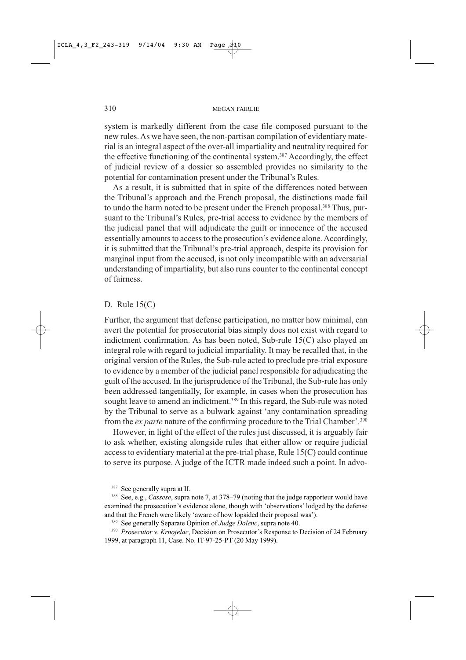system is markedly different from the case file composed pursuant to the new rules. As we have seen, the non-partisan compilation of evidentiary material is an integral aspect of the over-all impartiality and neutrality required for the effective functioning of the continental system.<sup>387</sup> Accordingly, the effect of judicial review of a dossier so assembled provides no similarity to the potential for contamination present under the Tribunal's Rules.

As a result, it is submitted that in spite of the differences noted between the Tribunal's approach and the French proposal, the distinctions made fail to undo the harm noted to be present under the French proposal.<sup>388</sup> Thus, pursuant to the Tribunal's Rules, pre-trial access to evidence by the members of the judicial panel that will adjudicate the guilt or innocence of the accused essentially amounts to access to the prosecution's evidence alone. Accordingly, it is submitted that the Tribunal's pre-trial approach, despite its provision for marginal input from the accused, is not only incompatible with an adversarial understanding of impartiality, but also runs counter to the continental concept of fairness.

#### D. Rule  $15(C)$

Further, the argument that defense participation, no matter how minimal, can avert the potential for prosecutorial bias simply does not exist with regard to indictment confirmation. As has been noted, Sub-rule 15(C) also played an integral role with regard to judicial impartiality. It may be recalled that, in the original version of the Rules, the Sub-rule acted to preclude pre-trial exposure to evidence by a member of the judicial panel responsible for adjudicating the guilt of the accused. In the jurisprudence of the Tribunal, the Sub-rule has only been addressed tangentially, for example, in cases when the prosecution has sought leave to amend an indictment.<sup>389</sup> In this regard, the Sub-rule was noted by the Tribunal to serve as a bulwark against 'any contamination spreading from the *ex parte* nature of the confirming procedure to the Trial Chamber'.<sup>390</sup>

However, in light of the effect of the rules just discussed, it is arguably fair to ask whether, existing alongside rules that either allow or require judicial access to evidentiary material at the pre-trial phase, Rule 15(C) could continue to serve its purpose. A judge of the ICTR made indeed such a point. In advo-

<sup>387</sup> See generally supra at II.

<sup>388</sup> See, e.g., *Cassese*, supra note 7, at 378–79 (noting that the judge rapporteur would have examined the prosecution's evidence alone, though with 'observations' lodged by the defense and that the French were likely 'aware of how lopsided their proposal was').

<sup>389</sup> See generally Separate Opinion of Judge Dolenc, supra note 40.

<sup>390</sup> Prosecutor v. Krnojelac, Decision on Prosecutor's Response to Decision of 24 February 1999, at paragraph 11, Case. No. IT-97-25-PT (20 May 1999).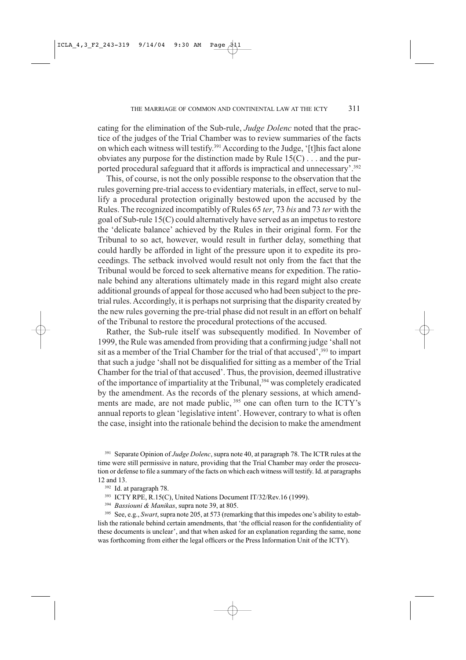cating for the elimination of the Sub-rule, Judge Dolenc noted that the practice of the judges of the Trial Chamber was to review summaries of the facts on which each witness will testify.<sup>391</sup> According to the Judge, '[t]his fact alone obviates any purpose for the distinction made by Rule  $15(C)$ ... and the purported procedural safeguard that it affords is impractical and unnecessary'.<sup>392</sup>

This, of course, is not the only possible response to the observation that the rules governing pre-trial access to evidentiary materials, in effect, serve to nullify a procedural protection originally bestowed upon the accused by the Rules. The recognized incompatibly of Rules 65 ter, 73 bis and 73 ter with the goal of Sub-rule 15(C) could alternatively have served as an impetus to restore the 'delicate balance' achieved by the Rules in their original form. For the Tribunal to so act, however, would result in further delay, something that could hardly be afforded in light of the pressure upon it to expedite its proceedings. The setback involved would result not only from the fact that the Tribunal would be forced to seek alternative means for expedition. The rationale behind any alterations ultimately made in this regard might also create additional grounds of appeal for those accused who had been subject to the pretrial rules. Accordingly, it is perhaps not surprising that the disparity created by the new rules governing the pre-trial phase did not result in an effort on behalf of the Tribunal to restore the procedural protections of the accused.

Rather, the Sub-rule itself was subsequently modified. In November of 1999, the Rule was amended from providing that a confirming judge 'shall not sit as a member of the Trial Chamber for the trial of that accused', 393 to impart that such a judge 'shall not be disqualified for sitting as a member of the Trial Chamber for the trial of that accused'. Thus, the provision, deemed illustrative of the importance of impartiality at the Tribunal,<sup>394</sup> was completely eradicated by the amendment. As the records of the plenary sessions, at which amendments are made, are not made public, 395 one can often turn to the ICTY's annual reports to glean 'legislative intent'. However, contrary to what is often the case, insight into the rationale behind the decision to make the amendment

<sup>391</sup> Separate Opinion of Judge Dolenc, supra note 40, at paragraph 78. The ICTR rules at the time were still permissive in nature, providing that the Trial Chamber may order the prosecution or defense to file a summary of the facts on which each witness will testify. Id. at paragraphs 12 and 13.

<sup>392</sup> Id. at paragraph 78.

<sup>393</sup> ICTY RPE, R.15(C), United Nations Document IT/32/Rev.16 (1999).

<sup>394</sup> Bassiouni & Manikas, supra note 39, at 805.

<sup>395</sup> See, e.g., *Swart*, supra note 205, at 573 (remarking that this impedes one's ability to establish the rationale behind certain amendments, that 'the official reason for the confidentiality of these documents is unclear', and that when asked for an explanation regarding the same, none was forthcoming from either the legal officers or the Press Information Unit of the ICTY).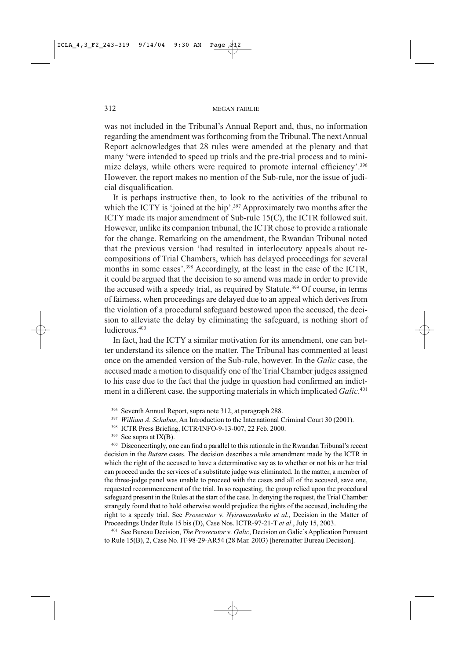was not included in the Tribunal's Annual Report and, thus, no information regarding the amendment was forthcoming from the Tribunal. The next Annual Report acknowledges that 28 rules were amended at the plenary and that many 'were intended to speed up trials and the pre-trial process and to minimize delays, while others were required to promote internal efficiency'.<sup>396</sup> However, the report makes no mention of the Sub-rule, nor the issue of judicial disqualification.

It is perhaps instructive then, to look to the activities of the tribunal to which the ICTY is 'joined at the hip'.<sup>397</sup> Approximately two months after the ICTY made its major amendment of Sub-rule 15(C), the ICTR followed suit. However, unlike its companion tribunal, the ICTR chose to provide a rationale for the change. Remarking on the amendment, the Rwandan Tribunal noted that the previous version 'had resulted in interlocutory appeals about recompositions of Trial Chambers, which has delayed proceedings for several months in some cases'.<sup>398</sup> Accordingly, at the least in the case of the ICTR, it could be argued that the decision to so amend was made in order to provide the accused with a speedy trial, as required by Statute.<sup>399</sup> Of course, in terms of fairness, when proceedings are delayed due to an appeal which derives from the violation of a procedural safeguard bestowed upon the accused, the decision to alleviate the delay by eliminating the safeguard, is nothing short of ludicrous.<sup>400</sup>

In fact, had the ICTY a similar motivation for its amendment, one can better understand its silence on the matter. The Tribunal has commented at least once on the amended version of the Sub-rule, however. In the *Galic* case, the accused made a motion to disqualify one of the Trial Chamber judges assigned to his case due to the fact that the judge in question had confirmed an indictment in a different case, the supporting materials in which implicated Galic.<sup>401</sup>

- 396 Seventh Annual Report, supra note 312, at paragraph 288.
- <sup>397</sup> William A. Schabas, An Introduction to the International Criminal Court 30 (2001).
- <sup>398</sup> ICTR Press Briefing, ICTR/INFO-9-13-007, 22 Feb. 2000.
- 399 See supra at  $IX(B)$ .

400 Disconcertingly, one can find a parallel to this rationale in the Rwandan Tribunal's recent decision in the Butare cases. The decision describes a rule amendment made by the ICTR in which the right of the accused to have a determinative say as to whether or not his or her trial can proceed under the services of a substitute judge was eliminated. In the matter, a member of the three-judge panel was unable to proceed with the cases and all of the accused, save one, requested recommencement of the trial. In so requesting, the group relied upon the procedural safeguard present in the Rules at the start of the case. In denying the request, the Trial Chamber strangely found that to hold otherwise would prejudice the rights of the accused, including the right to a speedy trial. See Prosecutor v. Nyiramasuhuko et al., Decision in the Matter of Proceedings Under Rule 15 bis (D), Case Nos. ICTR-97-21-T et al., July 15, 2003.

401 See Bureau Decision, *The Prosecutor* v. Galic, Decision on Galic's Application Pursuant to Rule 15(B), 2, Case No. IT-98-29-AR54 (28 Mar. 2003) [hereinafter Bureau Decision].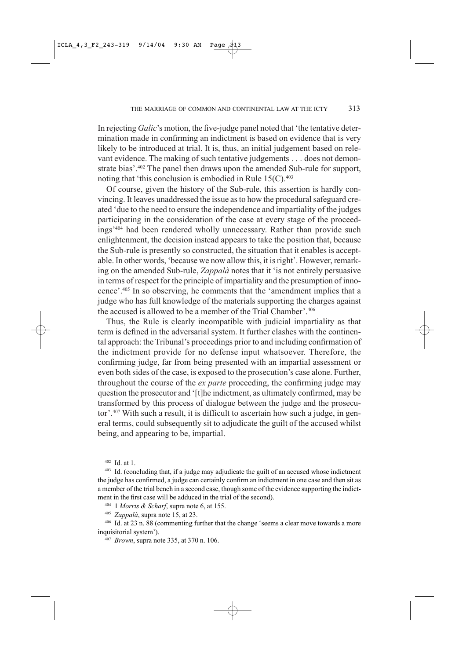In rejecting Galic's motion, the five-judge panel noted that 'the tentative determination made in confirming an indictment is based on evidence that is very likely to be introduced at trial. It is, thus, an initial judgement based on relevant evidence. The making of such tentative judgements . . . does not demonstrate bias'.<sup>402</sup> The panel then draws upon the amended Sub-rule for support, noting that 'this conclusion is embodied in Rule  $15(C)$ .<sup>403</sup>

Of course, given the history of the Sub-rule, this assertion is hardly convincing. It leaves unaddressed the issue as to how the procedural safeguard created 'due to the need to ensure the independence and impartiality of the judges participating in the consideration of the case at every stage of the proceedings<sup>2404</sup> had been rendered wholly unnecessary. Rather than provide such enlightenment, the decision instead appears to take the position that, because the Sub-rule is presently so constructed, the situation that it enables is acceptable. In other words, 'because we now allow this, it is right'. However, remarking on the amended Sub-rule, Zappalà notes that it 'is not entirely persuasive in terms of respect for the principle of impartiality and the presumption of innocence'.<sup>405</sup> In so observing, he comments that the 'amendment implies that a judge who has full knowledge of the materials supporting the charges against the accused is allowed to be a member of the Trial Chamber'.<sup>406</sup>

Thus, the Rule is clearly incompatible with judicial impartiality as that term is defined in the adversarial system. It further clashes with the continental approach: the Tribunal's proceedings prior to and including confirmation of the indictment provide for no defense input whatsoever. Therefore, the confirming judge, far from being presented with an impartial assessment or even both sides of the case, is exposed to the prosecution's case alone. Further, throughout the course of the *ex parte* proceeding, the confirming judge may question the prosecutor and '[t]he indictment, as ultimately confirmed, may be transformed by this process of dialogue between the judge and the prosecutor'.<sup>407</sup> With such a result, it is difficult to ascertain how such a judge, in general terms, could subsequently sit to adjudicate the guilt of the accused whilst being, and appearing to be, impartial.

 $402$  Id. at 1.

403 Id. (concluding that, if a judge may adjudicate the guilt of an accused whose indictment the judge has confirmed, a judge can certainly confirm an indictment in one case and then sit as a member of the trial bench in a second case, though some of the evidence supporting the indictment in the first case will be adduced in the trial of the second).

<sup>404</sup> 1 Morris & Scharf, supra note 6, at 155.

405 Zappalà, supra note 15, at 23.

406 Id. at 23 n. 88 (commenting further that the change 'seems a clear move towards a more inquisitorial system').

407 Brown, supra note 335, at 370 n. 106.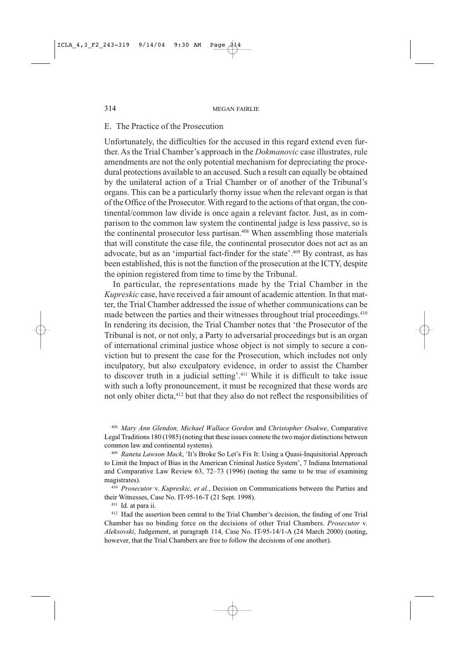## E. The Practice of the Prosecution

Unfortunately, the difficulties for the accused in this regard extend even further. As the Trial Chamber's approach in the *Dokmanovic* case illustrates, rule amendments are not the only potential mechanism for depreciating the procedural protections available to an accused. Such a result can equally be obtained by the unilateral action of a Trial Chamber or of another of the Tribunal's organs. This can be a particularly thorny issue when the relevant organ is that of the Office of the Prosecutor. With regard to the actions of that organ, the continental/common law divide is once again a relevant factor. Just, as in comparison to the common law system the continental judge is less passive, so is the continental prosecutor less partisan.<sup>408</sup> When assembling those materials that will constitute the case file, the continental prosecutor does not act as an advocate, but as an 'impartial fact-finder for the state'.<sup>409</sup> By contrast, as has been established, this is not the function of the prosecution at the ICTY, despite the opinion registered from time to time by the Tribunal.

In particular, the representations made by the Trial Chamber in the Kupreskic case, have received a fair amount of academic attention. In that matter, the Trial Chamber addressed the issue of whether communications can be made between the parties and their witnesses throughout trial proceedings.<sup>410</sup> In rendering its decision, the Trial Chamber notes that 'the Prosecutor of the Tribunal is not, or not only, a Party to adversarial proceedings but is an organ of international criminal justice whose object is not simply to secure a conviction but to present the case for the Prosecution, which includes not only inculpatory, but also exculpatory evidence, in order to assist the Chamber to discover truth in a judicial setting'.<sup>411</sup> While it is difficult to take issue with such a lofty pronouncement, it must be recognized that these words are not only obiter dicta,<sup>412</sup> but that they also do not reflect the responsibilities of

408 Mary Ann Glendon, Michael Wallace Gordon and Christopher Osakwe, Comparative Legal Traditions 180 (1985) (noting that these issues connote the two major distinctions between common law and continental systems).

409 Raneta Lawson Mack, 'It's Broke So Let's Fix It: Using a Quasi-Inquisitorial Approach to Limit the Impact of Bias in the American Criminal Justice System', 7 Indiana International and Comparative Law Review  $63$ ,  $72-73$  (1996) (noting the same to be true of examining magistrates).

<sup>410</sup> Prosecutor v. Kupreskic, et al., Decision on Communications between the Parties and their Witnesses, Case No. IT-95-16-T (21 Sept. 1998).

<sup>411</sup> Id. at para ii.

<sup>412</sup> Had the assertion been central to the Trial Chamber's decision, the finding of one Trial Chamber has no binding force on the decisions of other Trial Chambers. *Prosecutor* v. Aleksovski, Judgement, at paragraph 114, Case No. IT-95-14/1-A (24 March 2000) (noting, however, that the Trial Chambers are free to follow the decisions of one another).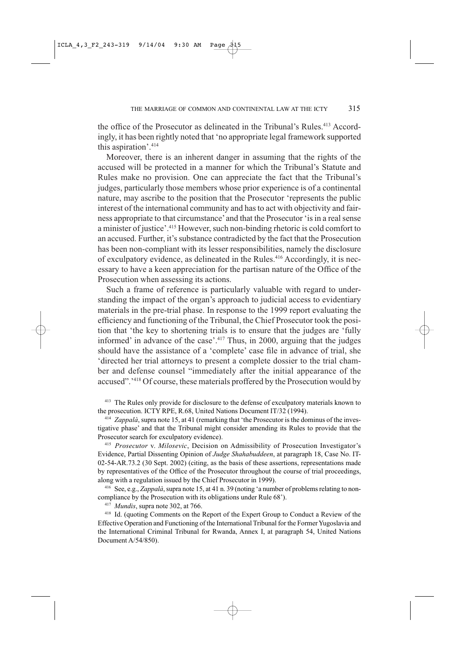the office of the Prosecutor as delineated in the Tribunal's Rules.<sup>413</sup> Accordingly, it has been rightly noted that 'no appropriate legal framework supported this aspiration'.<sup>414</sup>

Moreover, there is an inherent danger in assuming that the rights of the accused will be protected in a manner for which the Tribunal's Statute and Rules make no provision. One can appreciate the fact that the Tribunal's judges, particularly those members whose prior experience is of a continental nature, may ascribe to the position that the Prosecutor 'represents the public interest of the international community and has to act with objectivity and fairness appropriate to that circumstance' and that the Prosecutor 'is in a real sense a minister of justice'.<sup>415</sup> However, such non-binding rhetoric is cold comfort to an accused. Further, it's substance contradicted by the fact that the Prosecution has been non-compliant with its lesser responsibilities, namely the disclosure of exculpatory evidence, as delineated in the Rules.<sup>416</sup> Accordingly, it is necessary to have a keen appreciation for the partisan nature of the Office of the Prosecution when assessing its actions.

Such a frame of reference is particularly valuable with regard to understanding the impact of the organ's approach to judicial access to evidentiary materials in the pre-trial phase. In response to the 1999 report evaluating the efficiency and functioning of the Tribunal, the Chief Prosecutor took the position that 'the key to shortening trials is to ensure that the judges are 'fully informed' in advance of the case'.<sup>417</sup> Thus, in 2000, arguing that the judges should have the assistance of a 'complete' case file in advance of trial, she 'directed her trial attorneys to present a complete dossier to the trial chamber and defense counsel "immediately after the initial appearance of the accused".<sup>2418</sup> Of course, these materials proffered by the Prosecution would by

<sup>413</sup> The Rules only provide for disclosure to the defense of exculpatory materials known to the prosecution. ICTY RPE, R.68, United Nations Document IT/32 (1994).

<sup>414</sup> Zappalà, supra note 15, at 41 (remarking that 'the Prosecutor is the dominus of the investigative phase' and that the Tribunal might consider amending its Rules to provide that the Prosecutor search for exculpatory evidence).

<sup>415</sup> Prosecutor v. Milosevic, Decision on Admissibility of Prosecution Investigator's Evidence, Partial Dissenting Opinion of Judge Shahabuddeen, at paragraph 18, Case No. IT-02-54-AR.73.2 (30 Sept. 2002) (citing, as the basis of these assertions, representations made by representatives of the Office of the Prosecutor throughout the course of trial proceedings, along with a regulation issued by the Chief Prosecutor in 1999).

416 See, e.g., Zappalà, supra note 15, at 41 n. 39 (noting 'a number of problems relating to noncompliance by the Prosecution with its obligations under Rule 68').

<sup>417</sup> Mundis, supra note 302, at 766.

<sup>418</sup> Id. (quoting Comments on the Report of the Expert Group to Conduct a Review of the Effective Operation and Functioning of the International Tribunal for the Former Yugoslavia and the International Criminal Tribunal for Rwanda, Annex I, at paragraph 54, United Nations Document A/54/850).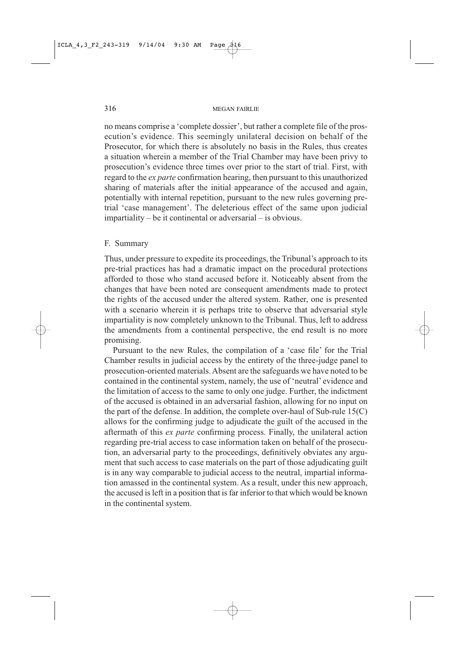no means comprise a 'complete dossier', but rather a complete file of the prosecution's evidence. This seemingly unilateral decision on behalf of the Prosecutor, for which there is absolutely no basis in the Rules, thus creates a situation wherein a member of the Trial Chamber may have been privy to prosecution's evidence three times over prior to the start of trial. First, with regard to the *ex parte* confirmation hearing, then pursuant to this unauthorized sharing of materials after the initial appearance of the accused and again, potentially with internal repetition, pursuant to the new rules governing pretrial 'case management'. The deleterious effect of the same upon judicial  $impartality - be it \text{ continental or adversarial} - is \text{ obvious.}$ 

## F. Summary

Thus, under pressure to expedite its proceedings, the Tribunal's approach to its pre-trial practices has had a dramatic impact on the procedural protections afforded to those who stand accused before it. Noticeably absent from the changes that have been noted are consequent amendments made to protect the rights of the accused under the altered system. Rather, one is presented with a scenario wherein it is perhaps trite to observe that adversarial style impartiality is now completely unknown to the Tribunal. Thus, left to address the amendments from a continental perspective, the end result is no more promising.

Pursuant to the new Rules, the compilation of a 'case file' for the Trial Chamber results in judicial access by the entirety of the three-judge panel to prosecution-oriented materials. Absent are the safeguards we have noted to be contained in the continental system, namely, the use of 'neutral' evidence and the limitation of access to the same to only one judge. Further, the indictment of the accused is obtained in an adversarial fashion, allowing for no input on the part of the defense. In addition, the complete over-haul of Sub-rule  $15(C)$ allows for the confirming judge to adjudicate the guilt of the accused in the aftermath of this ex parte confirming process. Finally, the unilateral action regarding pre-trial access to case information taken on behalf of the prosecution, an adversarial party to the proceedings, definitively obviates any argument that such access to case materials on the part of those adjudicating guilt is in any way comparable to judicial access to the neutral, impartial information amassed in the continental system. As a result, under this new approach, the accused is left in a position that is far inferior to that which would be known in the continental system.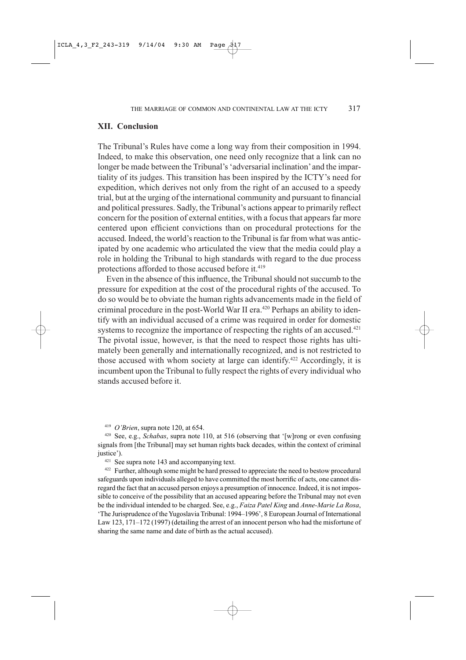## **XII. Conclusion**

The Tribunal's Rules have come a long way from their composition in 1994. Indeed, to make this observation, one need only recognize that a link can no longer be made between the Tribunal's 'adversarial inclination' and the impartiality of its judges. This transition has been inspired by the ICTY's need for expedition, which derives not only from the right of an accused to a speedy trial, but at the urging of the international community and pursuant to financial and political pressures. Sadly, the Tribunal's actions appear to primarily reflect concern for the position of external entities, with a focus that appears far more centered upon efficient convictions than on procedural protections for the accused. Indeed, the world's reaction to the Tribunal is far from what was anticipated by one academic who articulated the view that the media could play a role in holding the Tribunal to high standards with regard to the due process protections afforded to those accused before it.<sup>419</sup>

Even in the absence of this influence, the Tribunal should not succumb to the pressure for expedition at the cost of the procedural rights of the accused. To do so would be to obviate the human rights advancements made in the field of criminal procedure in the post-World War II era.<sup>420</sup> Perhaps an ability to identify with an individual accused of a crime was required in order for domestic systems to recognize the importance of respecting the rights of an accused.<sup>421</sup> The pivotal issue, however, is that the need to respect those rights has ultimately been generally and internationally recognized, and is not restricted to those accused with whom society at large can identify.<sup>422</sup> Accordingly, it is incumbent upon the Tribunal to fully respect the rights of every individual who stands accused before it.

 $419$  O'Brien, supra note 120, at 654.

<sup>420</sup> See, e.g., Schabas, supra note 110, at 516 (observing that '[w]rong or even confusing signals from [the Tribunal] may set human rights back decades, within the context of criminal justice').

 $421$  See supra note 143 and accompanying text.

<sup>422</sup> Further, although some might be hard pressed to appreciate the need to bestow procedural safeguards upon individuals alleged to have committed the most horrific of acts, one cannot disregard the fact that an accused person enjoys a presumption of innocence. Indeed, it is not impossible to conceive of the possibility that an accused appearing before the Tribunal may not even be the individual intended to be charged. See, e.g., Faiza Patel King and Anne-Marie La Rosa, 'The Jurisprudence of the Yugoslavia Tribunal: 1994–1996', 8 European Journal of International Law 123, 171–172 (1997) (detailing the arrest of an innocent person who had the misfortune of sharing the same name and date of birth as the actual accused).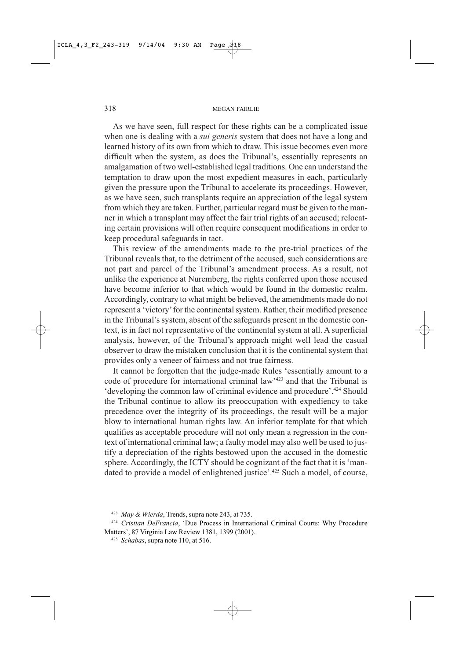As we have seen, full respect for these rights can be a complicated issue when one is dealing with a *sui generis* system that does not have a long and learned history of its own from which to draw. This issue becomes even more difficult when the system, as does the Tribunal's, essentially represents an amalgamation of two well-established legal traditions. One can understand the temptation to draw upon the most expedient measures in each, particularly given the pressure upon the Tribunal to accelerate its proceedings. However, as we have seen, such transplants require an appreciation of the legal system from which they are taken. Further, particular regard must be given to the manner in which a transplant may affect the fair trial rights of an accused; relocating certain provisions will often require consequent modifications in order to keep procedural safeguards in tact.

This review of the amendments made to the pre-trial practices of the Tribunal reveals that, to the detriment of the accused, such considerations are not part and parcel of the Tribunal's amendment process. As a result, not unlike the experience at Nuremberg, the rights conferred upon those accused have become inferior to that which would be found in the domestic realm. Accordingly, contrary to what might be believed, the amendments made do not represent a 'victory' for the continental system. Rather, their modified presence in the Tribunal's system, absent of the safeguards present in the domestic context, is in fact not representative of the continental system at all. A superficial analysis, however, of the Tribunal's approach might well lead the casual observer to draw the mistaken conclusion that it is the continental system that provides only a veneer of fairness and not true fairness.

It cannot be forgotten that the judge-made Rules 'essentially amount to a code of procedure for international criminal law<sup>1423</sup> and that the Tribunal is 'developing the common law of criminal evidence and procedure'.<sup>424</sup> Should the Tribunal continue to allow its preoccupation with expediency to take precedence over the integrity of its proceedings, the result will be a major blow to international human rights law. An inferior template for that which qualifies as acceptable procedure will not only mean a regression in the context of international criminal law; a faulty model may also well be used to justify a depreciation of the rights bestowed upon the accused in the domestic sphere. Accordingly, the ICTY should be cognizant of the fact that it is 'mandated to provide a model of enlightened justice'.<sup>425</sup> Such a model, of course,

<sup>423</sup> May & Wierda, Trends, supra note 243, at 735.

<sup>424</sup> Cristian DeFrancia, 'Due Process in International Criminal Courts: Why Procedure Matters', 87 Virginia Law Review 1381, 1399 (2001).

<sup>425</sup> Schabas, supra note 110, at 516.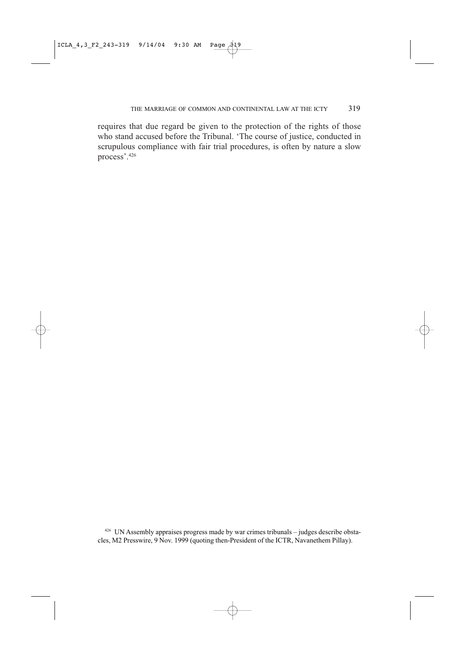requires that due regard be given to the protection of the rights of those who stand accused before the Tribunal. 'The course of justice, conducted in scrupulous compliance with fair trial procedures, is often by nature a slow process'.426